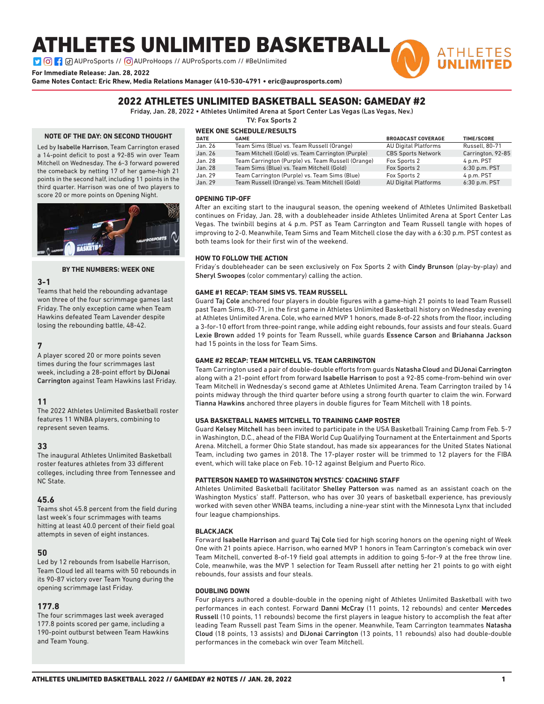# ATHLETES UNLIMITED BASKETBALL

**DO : a** AUProSports // **O** AUProHoops // AUProSports.com // #BeUnlimited

**For Immediate Release: Jan. 28, 2022**

**Game Notes Contact: Eric Rhew, Media Relations Manager (410-530-4791 • eric@auprosports.com)**

## 2022 ATHLETES UNLIMITED BASKETBALL SEASON: GAMEDAY #2

Friday, Jan. 28, 2022 • Athletes Unlimited Arena at Sport Center Las Vegas (Las Vegas, Nev.)

TV: Fox Sports 2

### **NOTE OF THE DAY: ON SECOND THOUGHT**

Led by Isabelle Harrison, Team Carrington erased a 14-point deficit to post a 92-85 win over Team Mitchell on Wednesday. The 6-3 forward powered the comeback by netting 17 of her game-high 21 points in the second half, including 11 points in the third quarter. Harrison was one of two players to score 20 or more points on Opening Night.



#### **BY THE NUMBERS: WEEK ONE**

#### **3-1**

Teams that held the rebounding advantage won three of the four scrimmage games last Friday. The only exception came when Team Hawkins defeated Team Lavender despite losing the rebounding battle, 48-42.

#### **7**

A player scored 20 or more points seven times during the four scrimmages last week, including a 28-point effort by DiJonai Carrington against Team Hawkins last Friday.

### **11**

The 2022 Athletes Unlimited Basketball roster features 11 WNBA players, combining to represent seven teams.

#### **33**

The inaugural Athletes Unlimited Basketball roster features athletes from 33 different colleges, including three from Tennessee and NC State.

#### **45.6**

Teams shot 45.8 percent from the field during last week's four scrimmages with teams hitting at least 40.0 percent of their field goal attempts in seven of eight instances.

### **50**

Led by 12 rebounds from Isabelle Harrison, Team Cloud led all teams with 50 rebounds in its 90-87 victory over Team Young during the opening scrimmage last Friday.

### **177.8**

The four scrimmages last week averaged 177.8 points scored per game, including a 190-point outburst between Team Hawkins and Team Young.

### **WEEK ONE SCHEDULE/RESULTS**

| <b>DATE</b> | <b>GAME</b>                                        | <b>BROADCAST COVERAGE</b>   | <b>TIME/SCORE</b> |
|-------------|----------------------------------------------------|-----------------------------|-------------------|
| Jan. 26     | Team Sims (Blue) vs. Team Russell (Orange)         | <b>AU Digital Platforms</b> | Russell, 80-71    |
| Jan. 26     | Team Mitchell (Gold) vs. Team Carrington (Purple)  | <b>CBS Sports Network</b>   | Carrington, 92-85 |
| Jan. 28     | Team Carrington (Purple) vs. Team Russell (Orange) | Fox Sports 2                | 4 p.m. PST        |
| Jan. 28     | Team Sims (Blue) vs. Team Mitchell (Gold)          | Fox Sports 2                | $6:30$ p.m. PST   |
| Jan. 29     | Team Carrington (Purple) vs. Team Sims (Blue)      | Fox Sports 2                | 4 p.m. PST        |
| Jan. 29     | Team Russell (Orange) vs. Team Mitchell (Gold)     | <b>AU Digital Platforms</b> | 6:30 p.m. PST     |

**ATHLETES** 

#### **OPENING TIP-OFF**

After an exciting start to the inaugural season, the opening weekend of Athletes Unlimited Basketball continues on Friday, Jan. 28, with a doubleheader inside Athletes Unlimited Arena at Sport Center Las Vegas. The twinbill begins at 4 p.m. PST as Team Carrington and Team Russell tangle with hopes of improving to 2-0. Meanwhile, Team Sims and Team Mitchell close the day with a 6:30 p.m. PST contest as both teams look for their first win of the weekend.

#### **HOW TO FOLLOW THE ACTION**

Friday's doubleheader can be seen exclusively on Fox Sports 2 with Cindy Brunson (play-by-play) and Sheryl Swoopes (color commentary) calling the action.

#### **GAME #1 RECAP: TEAM SIMS VS. TEAM RUSSELL**

Guard Taj Cole anchored four players in double figures with a game-high 21 points to lead Team Russell past Team Sims, 80-71, in the first game in Athletes Unlimited Basketball history on Wednesday evening at Athletes Unlimited Arena. Cole, who earned MVP 1 honors, made 8-of-22 shots from the floor, including a 3-for-10 effort from three-point range, while adding eight rebounds, four assists and four steals. Guard Lexie Brown added 19 points for Team Russell, while guards Essence Carson and Briahanna Jackson had 15 points in the loss for Team Sims.

#### **GAME #2 RECAP: TEAM MITCHELL VS. TEAM CARRINGTON**

Team Carrington used a pair of double-double efforts from guards Natasha Cloud and DiJonai Carrington along with a 21-point effort from forward Isabelle Harrison to post a 92-85 come-from-behind win over Team Mitchell in Wednesday's second game at Athletes Unlimited Arena. Team Carrington trailed by 14 points midway through the third quarter before using a strong fourth quarter to claim the win. Forward Tianna Hawkins anchored three players in double figures for Team Mitchell with 18 points.

#### **USA BASKETBALL NAMES MITCHELL TO TRAINING CAMP ROSTER**

Guard Kelsey Mitchell has been invited to participate in the USA Basketball Training Camp from Feb. 5-7 in Washington, D.C., ahead of the FIBA World Cup Qualifying Tournament at the Entertainment and Sports Arena. Mitchell, a former Ohio State standout, has made six appearances for the United States National Team, including two games in 2018. The 17-player roster will be trimmed to 12 players for the FIBA event, which will take place on Feb. 10-12 against Belgium and Puerto Rico.

#### **PATTERSON NAMED TO WASHINGTON MYSTICS' COACHING STAFF**

Athletes Unlimited Basketball facilitator Shelley Patterson was named as an assistant coach on the Washington Mystics' staff. Patterson, who has over 30 years of basketball experience, has previously worked with seven other WNBA teams, including a nine-year stint with the Minnesota Lynx that included four league championships.

#### **BLACK JACK**

Forward Isabelle Harrison and guard Taj Cole tied for high scoring honors on the opening night of Week One with 21 points apiece. Harrison, who earned MVP 1 honors in Team Carrington's comeback win over Team Mitchell, converted 8-of-19 field goal attempts in addition to going 5-for-9 at the free throw line. Cole, meanwhile, was the MVP 1 selection for Team Russell after netting her 21 points to go with eight rebounds, four assists and four steals.

#### **DOUBLING DOWN**

Four players authored a double-double in the opening night of Athletes Unlimited Basketball with two performances in each contest. Forward Danni McCray (11 points, 12 rebounds) and center Mercedes Russell (10 points, 11 rebounds) become the first players in league history to accomplish the feat after leading Team Russell past Team Sims in the opener. Meanwhile, Team Carrington teammates Natasha Cloud (18 points, 13 assists) and DiJonai Carrington (13 points, 11 rebounds) also had double-double performances in the comeback win over Team Mitchell.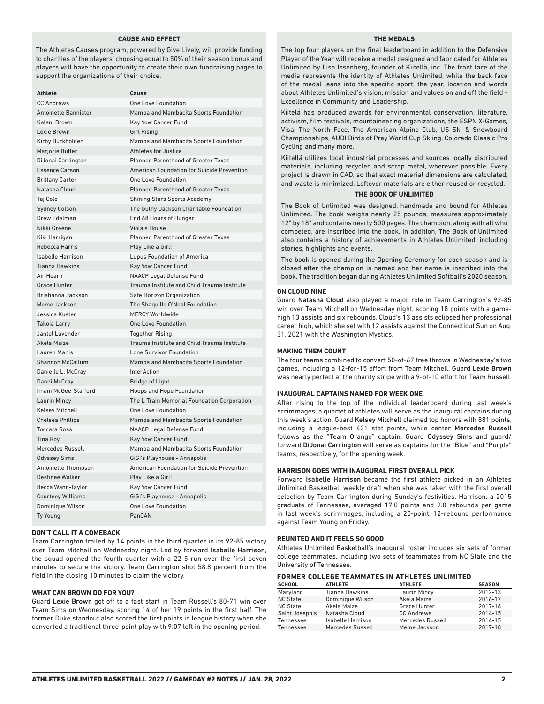#### **CAUSE AND EFFECT**

The Athletes Causes program, powered by Give Lively, will provide funding to charities of the players' choosing equal to 50% of their season bonus and players will have the opportunity to create their own fundraising pages to support the organizations of their choice.

| Athlete                     | Cause                                       |
|-----------------------------|---------------------------------------------|
| <b>CC Andrews</b>           | One Love Foundation                         |
| <b>Antoinette Bannister</b> | Mamba and Mambacita Sports Foundation       |
| Kalani Brown                | Kay Yow Cancer Fund                         |
| Lexie Brown                 | <b>Girl Rising</b>                          |
| Kirby Burkholder            | Mamba and Mambacita Sports Foundation       |
| Marjorie Butler             | <b>Athletes for Justice</b>                 |
| DiJonai Carrington          | <b>Planned Parenthood of Greater Texas</b>  |
| <b>Essence Carson</b>       | American Foundation for Suicide Prevention  |
| <b>Brittany Carter</b>      | <b>One Love Foundation</b>                  |
| Natasha Cloud               | <b>Planned Parenthood of Greater Texas</b>  |
| Taj Cole                    | <b>Shining Stars Sports Academy</b>         |
| <b>Sydney Colson</b>        | The Guthy-Jackson Charitable Foundation     |
| Drew Edelman                | End 68 Hours of Hunger                      |
| Nikki Greene                | Viola's House                               |
| Kiki Harrigan               | <b>Planned Parenthood of Greater Texas</b>  |
| <b>Rebecca Harris</b>       | Play Like a Girl!                           |
| <b>Isabelle Harrison</b>    | Lupus Foundation of America                 |
| <b>Tianna Hawkins</b>       | <b>Kay Yow Cancer Fund</b>                  |
| Air Hearn                   | <b>NAACP Legal Defense Fund</b>             |
| <b>Grace Hunter</b>         | Trauma Institute and Child Trauma Institute |
| Briahanna Jackson           | Safe Horizon Organization                   |
| Meme Jackson                | The Shaquille O'Neal Foundation             |
| Jessica Kuster              | <b>MERCY Worldwide</b>                      |
| Takoia Larry                | <b>One Love Foundation</b>                  |
| Jantel Lavender             | <b>Together Rising</b>                      |
| Akela Maize                 | Trauma Institute and Child Trauma Institute |
| Lauren Manis                | Lone Survivor Foundation                    |
| <b>Shannon McCallum</b>     | Mamba and Mambacita Sports Foundation       |
| Danielle L. McCray          | <b>InterAction</b>                          |
| Danni McCray                | <b>Bridge of Light</b>                      |
| Imani McGee-Stafford        | Hoops and Hope Foundation                   |
| <b>Laurin Mincy</b>         | The L-Train Memorial Foundation Corporation |
| <b>Kelsey Mitchell</b>      | One Love Foundation                         |
| <b>Chelsea Phillips</b>     | Mamba and Mambacita Sports Foundation       |
| <b>Toccara Ross</b>         | <b>NAACP Legal Defense Fund</b>             |
| <b>Tina Roy</b>             | Kay Yow Cancer Fund                         |
| Mercedes Russell            | Mamba and Mambacita Sports Foundation       |
| <b>Odyssey Sims</b>         | GiGi's Playhouse - Annapolis                |
| Antoinette Thompson         | American Foundation for Suicide Prevention  |
| <b>Destinee Walker</b>      | Play Like a Girl!                           |
| Becca Wann-Taylor           | Kay Yow Cancer Fund                         |
| <b>Courtney Williams</b>    | GiGi's Playhouse - Annapolis                |
| Dominique Wilson            | <b>One Love Foundation</b>                  |
| <b>Ty Young</b>             | PanCAN                                      |

#### **DON'T CALL IT A COMEBACK**

Team Carrington trailed by 14 points in the third quarter in its 92-85 victory over Team Mitchell on Wednesday night. Led by forward Isabelle Harrison, the squad opened the fourth quarter with a 22-5 run over the first seven minutes to secure the victory. Team Carrington shot 58.8 percent from the field in the closing 10 minutes to claim the victory.

#### **WHAT CAN BROWN DO FOR YOU?**

Guard Lexie Brown got off to a fast start in Team Russell's 80-71 win over Team Sims on Wednesday, scoring 14 of her 19 points in the first half. The former Duke standout also scored the first points in league history when she converted a traditional three-point play with 9:07 left in the opening period.

#### **THE MEDALS**

The top four players on the final leaderboard in addition to the Defensive Player of the Year will receive a medal designed and fabricated for Athletes Unlimited by Lisa Issenberg, founder of Kiitellä, inc. The front face of the media represents the identity of Athletes Unlimited, while the back face of the medal leans into the specific sport, the year, location and words about Athletes Unlimited's vision, mission and values on and off the field - Excellence in Community and Leadership.

Kiitelä has produced awards for environmental conservation, literature, activism, film festivals, mountaineering organizations, the ESPN X-Games, Visa, The North Face, The American Alpine Club, US Ski & Snowboard Championships, AUDI Birds of Prey World Cup Skiing, Colorado Classic Pro Cycling and many more.

Kiitellä utilizes local industrial processes and sources locally distributed materials, including recycled and scrap metal, wherever possible. Every project is drawn in CAD, so that exact material dimensions are calculated, and waste is minimized. Leftover materials are either reused or recycled.

#### **THE BOOK OF UNLIMITED**

The Book of Unlimited was designed, handmade and bound for Athletes Unlimited. The book weighs nearly 25 pounds, measures approximately 12" by 18" and contains nearly 500 pages. The champion, along with all who competed, are inscribed into the book. In addition, The Book of Unlimited also contains a history of achievements in Athletes Unlimited, including stories, highlights and events.

The book is opened during the Opening Ceremony for each season and is closed after the champion is named and her name is inscribed into the book. The tradition began during Athletes Unlimited Softball's 2020 season.

#### **ON CLOUD NINE**

Guard Natasha Cloud also played a major role in Team Carrington's 92-85 win over Team Mitchell on Wednesday night, scoring 18 points with a gamehigh 13 assists and six rebounds. Cloud's 13 assists eclipsed her professional career high, which she set with 12 assists against the Connecticut Sun on Aug. 31, 2021 with the Washington Mystics.

#### **MAKING THEM COUNT**

The four teams combined to convert 50-of-67 free throws in Wednesday's two games, including a 12-for-15 effort from Team Mitchell. Guard Lexie Brown was nearly perfect at the charity stripe with a 9-of-10 effort for Team Russell.

#### **INAUGURAL CAPTAINS NAMED FOR WEEK ONE**

After rising to the top of the individual leaderboard during last week's scrimmages, a quartet of athletes will serve as the inaugural captains during this week's action. Guard Kelsey Mitchell claimed top honors with 881 points, including a league-best 431 stat points, while center Mercedes Russell follows as the "Team Orange" captain. Guard Odyssey Sims and guard/ forward DiJonai Carrington will serve as captains for the "Blue" and "Purple" teams, respectively, for the opening week.

#### **HARRISON GOES WITH INAUGURAL FIRST OVERALL PICK**

Forward Isabelle Harrison became the first athlete picked in an Athletes Unlimited Basketball weekly draft when she was taken with the first overall selection by Team Carrington during Sunday's festivities. Harrison, a 2015 graduate of Tennessee, averaged 17.0 points and 9.0 rebounds per game in last week's scrimmages, including a 20-point, 12-rebound performance against Team Young on Friday.

#### **REUNITED AND IT FEELS SO GOOD**

Athletes Unlimited Basketball's inaugural roster includes six sets of former college teammates, including two sets of teammates from NC State and the University of Tennessee.

#### **FORMER COLLEGE TEAMMATES IN ATHLETES UNLIMITED**

| <b>SCHOOL</b>   | <b>ATHLETE</b>        | <b>ATHLETE</b>      | <b>SEASON</b> |
|-----------------|-----------------------|---------------------|---------------|
| Maryland        | <b>Tianna Hawkins</b> | <b>Laurin Mincy</b> | 2012-13       |
| <b>NC State</b> | Dominique Wilson      | Akela Maize         | 2016-17       |
| <b>NC State</b> | Akela Maize           | Grace Hunter        | 2017-18       |
| Saint Joseph's  | Natasha Cloud         | <b>CC Andrews</b>   | 2014-15       |
| Tennessee       | Isabelle Harrison     | Mercedes Russell    | 2014-15       |
| Tennessee       | Mercedes Russell      | Meme Jackson        | 2017-18       |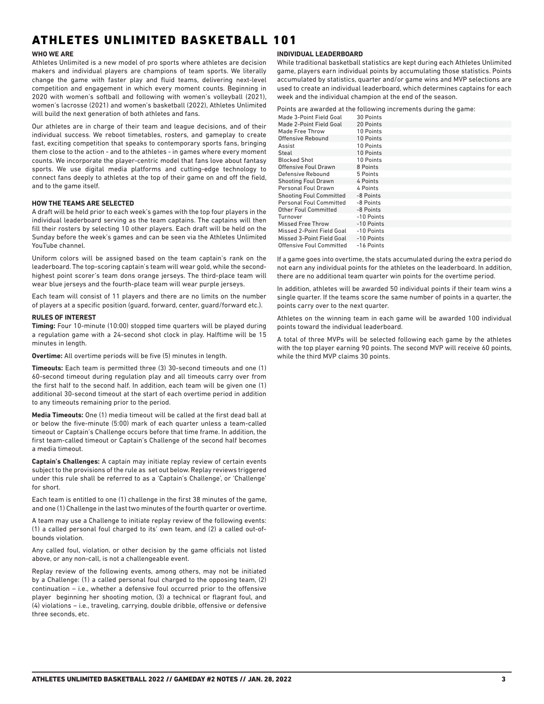## ATHLETES UNLIMITED BASKETBALL 101

#### **WHO WE ARE**

Athletes Unlimited is a new model of pro sports where athletes are decision makers and individual players are champions of team sports. We literally change the game with faster play and fluid teams, delivering next-level competition and engagement in which every moment counts. Beginning in 2020 with women's softball and following with women's volleyball (2021), women's lacrosse (2021) and women's basketball (2022), Athletes Unlimited will build the next generation of both athletes and fans.

Our athletes are in charge of their team and league decisions, and of their individual success. We reboot timetables, rosters, and gameplay to create fast, exciting competition that speaks to contemporary sports fans, bringing them close to the action - and to the athletes - in games where every moment counts. We incorporate the player-centric model that fans love about fantasy sports. We use digital media platforms and cutting-edge technology to connect fans deeply to athletes at the top of their game on and off the field, and to the game itself.

#### **HOW THE TEAMS ARE SELECTED**

A draft will be held prior to each week's games with the top four players in the individual leaderboard serving as the team captains. The captains will then fill their rosters by selecting 10 other players. Each draft will be held on the Sunday before the week's games and can be seen via the Athletes Unlimited YouTube channel.

Uniform colors will be assigned based on the team captain's rank on the leaderboard. The top-scoring captain's team will wear gold, while the secondhighest point scorer's team dons orange jerseys. The third-place team will wear blue jerseys and the fourth-place team will wear purple jerseys.

Each team will consist of 11 players and there are no limits on the number of players at a specific position (guard, forward, center, guard/forward etc.).

#### **RULES OF INTEREST**

**Timing:** Four 10-minute (10:00) stopped time quarters will be played during a regulation game with a 24-second shot clock in play. Halftime will be 15 minutes in length.

**Overtime:** All overtime periods will be five (5) minutes in length.

**Timeouts:** Each team is permitted three (3) 30-second timeouts and one (1) 60-second timeout during regulation play and all timeouts carry over from the first half to the second half. In addition, each team will be given one (1) additional 30-second timeout at the start of each overtime period in addition to any timeouts remaining prior to the period.

**Media Timeouts:** One (1) media timeout will be called at the first dead ball at or below the five-minute (5:00) mark of each quarter unless a team-called timeout or Captain's Challenge occurs before that time frame. In addition, the first team-called timeout or Captain's Challenge of the second half becomes a media timeout.

**Captain's Challenges:** A captain may initiate replay review of certain events subject to the provisions of the rule as set out below. Replay reviews triggered under this rule shall be referred to as a 'Captain's Challenge', or 'Challenge' for short.

Each team is entitled to one (1) challenge in the first 38 minutes of the game, and one (1) Challenge in the last two minutes of the fourth quarter or overtime.

A team may use a Challenge to initiate replay review of the following events: (1) a called personal foul charged to its' own team, and (2) a called out-ofbounds violation.

Any called foul, violation, or other decision by the game officials not listed above, or any non-call, is not a challengeable event.

Replay review of the following events, among others, may not be initiated by a Challenge: (1) a called personal foul charged to the opposing team, (2) continuation – i.e., whether a defensive foul occurred prior to the offensive player beginning her shooting motion, (3) a technical or flagrant foul, and (4) violations – i.e., traveling, carrying, double dribble, offensive or defensive three seconds, etc.

#### **INDIVIDUAL LEADERBOARD**

While traditional basketball statistics are kept during each Athletes Unlimited game, players earn individual points by accumulating those statistics. Points accumulated by statistics, quarter and/or game wins and MVP selections are used to create an individual leaderboard, which determines captains for each week and the individual champion at the end of the season.

Points are awarded at the following increments during the game:

| Made 3-Point Field Goal        | 30 Points  |
|--------------------------------|------------|
| Made 2-Point Field Goal        | 20 Points  |
| Made Free Throw                | 10 Points  |
| Offensive Rebound              | 10 Points  |
| Assist                         | 10 Points  |
| Steal                          | 10 Points  |
| <b>Blocked Shot</b>            | 10 Points  |
| Offensive Foul Drawn           | 8 Points   |
| Defensive Rebound              | 5 Points   |
| <b>Shooting Foul Drawn</b>     | 4 Points   |
| Personal Foul Drawn            | 4 Points   |
| <b>Shooting Foul Committed</b> | -8 Points  |
| <b>Personal Foul Committed</b> | -8 Points  |
| Other Foul Committed           | -8 Points  |
| Turnover                       | -10 Points |
| <b>Missed Free Throw</b>       | -10 Points |
| Missed 2-Point Field Goal      | -10 Points |
| Missed 3-Point Field Goal      | -10 Points |
| Offensive Foul Committed       | -16 Points |

If a game goes into overtime, the stats accumulated during the extra period do not earn any individual points for the athletes on the leaderboard. In addition, there are no additional team quarter win points for the overtime period.

In addition, athletes will be awarded 50 individual points if their team wins a single quarter. If the teams score the same number of points in a quarter, the points carry over to the next quarter.

Athletes on the winning team in each game will be awarded 100 individual points toward the individual leaderboard.

A total of three MVPs will be selected following each game by the athletes with the top player earning 90 points. The second MVP will receive 60 points, while the third MVP claims 30 points.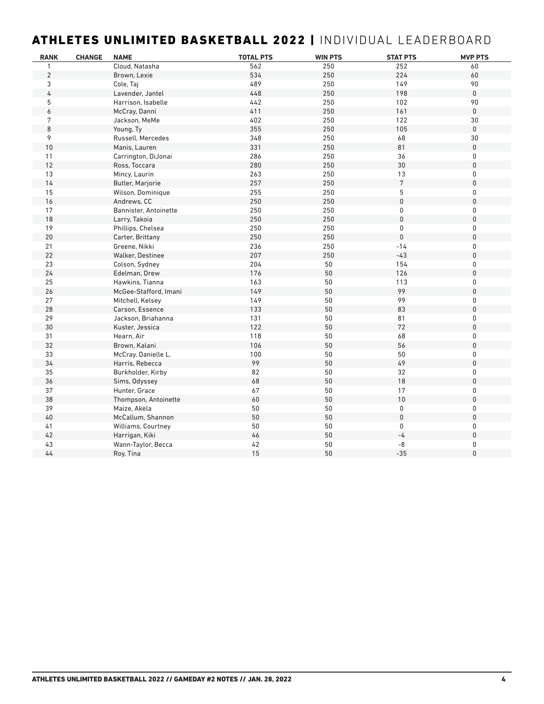## ATHLETES UNLIMITED BASKETBALL 2022 | INDIVIDUAL LEADERBOARD

| <b>RANK</b>    | <b>CHANGE</b> | <b>NAME</b>             | <b>TOTAL PTS</b> | <b>WIN PTS</b> | <b>STAT PTS</b> | <b>MVP PTS</b> |
|----------------|---------------|-------------------------|------------------|----------------|-----------------|----------------|
| $\mathbf{1}$   |               | Cloud, Natasha          | 562              | 250            | 252             | 60             |
| $\overline{2}$ |               | Brown, Lexie            | 534              | 250            | 224             | 60             |
| 3              |               | Cole, Taj               | 489              | 250            | 149             | 90             |
| 4              |               | Lavender, Jantel        | 448              | 250            | 198             | 0              |
| 5              |               | Harrison, Isabelle      | 442              | 250            | 102             | 90             |
| 6              |               | McCray, Danni           | 411              | 250            | 161             | $\mathsf 0$    |
| 7              |               | Jackson, MeMe           | 402              | 250            | 122             | 30             |
| 8              |               | Young, Ty               | 355              | 250            | 105             | $\mathsf 0$    |
| 9              |               | Russell, Mercedes       | 348              | 250            | 68              | 30             |
| 10             |               | Manis, Lauren           | 331              | 250            | 81              | 0              |
| 11             |               | Carrington, DiJonai     | 286              | 250            | 36              | 0              |
| $12$           |               | Ross, Toccara           | 280              | 250            | 30              | 0              |
| 13             |               | Mincy, Laurin           | 263              | 250            | 13              | 0              |
| $14$           |               | <b>Butler, Marjorie</b> | 257              | 250            | $7\phantom{.}$  | 0              |
| 15             |               | Wilson, Dominique       | 255              | 250            | 5               | 0              |
| 16             |               | Andrews, CC             | 250              | 250            | $\mathbf 0$     | 0              |
| 17             |               | Bannister, Antoinette   | 250              | 250            | $\pmb{0}$       | 0              |
| 18             |               | Larry, Takoia           | 250              | 250            | 0               | 0              |
| 19             |               | Phillips, Chelsea       | 250              | 250            | 0               | 0              |
| 20             |               | Carter, Brittany        | 250              | 250            | $\mathbf 0$     | 0              |
| 21             |               | Greene, Nikki           | 236              | 250            | $-14$           | 0              |
| 22             |               | Walker, Destinee        | 207              | 250            | $-43$           | 0              |
| 23             |               | Colson, Sydney          | 204              | 50             | 154             | 0              |
| 24             |               | Edelman, Drew           | 176              | 50             | 126             | 0              |
| 25             |               | Hawkins, Tianna         | 163              | 50             | 113             | 0              |
| 26             |               | McGee-Stafford, Imani   | 149              | 50             | 99              | $\mathsf{0}$   |
| 27             |               | Mitchell, Kelsey        | 149              | 50             | 99              | 0              |
| 28             |               | Carson, Essence         | 133              | 50             | 83              | 0              |
| 29             |               | Jackson, Briahanna      | 131              | 50             | 81              | 0              |
| $30\,$         |               | Kuster, Jessica         | 122              | 50             | 72              | $\mathbf 0$    |
| 31             |               | Hearn, Air              | 118              | 50             | 68              | 0              |
| 32             |               | Brown, Kalani           | 106              | 50             | 56              | $\mathbf 0$    |
| 33             |               | McCray, Danielle L.     | 100              | 50             | 50              | 0              |
| 34             |               | Harris, Rebecca         | 99               | 50             | 49              | 0              |
| 35             |               | Burkholder, Kirby       | 82               | $50\,$         | 32              | 0              |
| 36             |               | Sims, Odyssey           | 68               | 50             | 18              | $\mathsf{0}$   |
| 37             |               | Hunter, Grace           | 67               | 50             | 17              | 0              |
| 38             |               | Thompson, Antoinette    | 60               | 50             | $10$            | $\mathsf{0}$   |
| 39             |               | Maize, Akela            | 50               | 50             | 0               | 0              |
| 40             |               | McCallum, Shannon       | $50\,$           | 50             | $\mathsf 0$     | 0              |
| 41             |               | Williams, Courtney      | 50               | 50             | $\mathbf{0}$    | 0              |
| $42$           |               | Harrigan, Kiki          | 46               | 50             | $-4$            | 0              |
| 43             |               | Wann-Taylor, Becca      | 42               | 50             | -8              | 0              |
| $44$           |               | Roy, Tina               | 15               | 50             | $-35$           | 0              |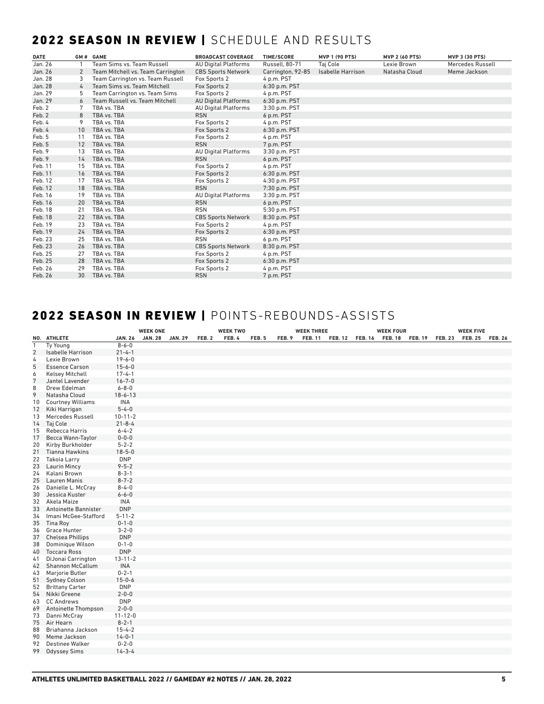## 2022 SEASON IN REVIEW | SCHEDULE AND RESULTS

| <b>DATE</b> |          | GM# GAME                          | <b>BROADCAST COVERAGE</b>   | <b>TIME/SCORE</b> | <b>MVP 1 (90 PTS)</b>    | <b>MVP 2 (60 PTS)</b> | <b>MVP 3 (30 PTS)</b> |
|-------------|----------|-----------------------------------|-----------------------------|-------------------|--------------------------|-----------------------|-----------------------|
| Jan. 26     |          | Team Sims vs. Team Russell        | <b>AU Digital Platforms</b> | Russell, 80-71    | Taj Cole                 | Lexie Brown           | Mercedes Russell      |
| Jan. 26     | 2        | Team Mitchell vs. Team Carrington | <b>CBS Sports Network</b>   | Carrington, 92-85 | <b>Isabelle Harrison</b> | Natasha Cloud         | Meme Jackson          |
| Jan. 28     | 3        | Team Carrington vs. Team Russell  | Fox Sports 2                | 4 p.m. PST        |                          |                       |                       |
| Jan. 28     | $\Delta$ | Team Sims vs. Team Mitchell       | Fox Sports 2                | 6:30 p.m. PST     |                          |                       |                       |
| Jan. 29     | 5        | Team Carrington vs. Team Sims     | Fox Sports 2                | 4 p.m. PST        |                          |                       |                       |
| Jan. 29     |          | Team Russell vs. Team Mitchell    | <b>AU Digital Platforms</b> | 6:30 p.m. PST     |                          |                       |                       |
| Feb. 2      |          | TBA vs. TBA                       | <b>AU Digital Platforms</b> | 3:30 p.m. PST     |                          |                       |                       |
| Feb. 2      | 8        | TBA vs. TBA                       | <b>RSN</b>                  | 6 p.m. PST        |                          |                       |                       |
| Feb. 4      | 9        | TBA vs. TBA                       | Fox Sports 2                | 4 p.m. PST        |                          |                       |                       |
| Feb. 4      | 10       | TBA vs. TBA                       | Fox Sports 2                | 6:30 p.m. PST     |                          |                       |                       |
| Feb. 5      | 11       | TBA vs. TBA                       | Fox Sports 2                | 4 p.m. PST        |                          |                       |                       |
| Feb. 5      | 12       | TBA vs. TBA                       | <b>RSN</b>                  | 7 p.m. PST        |                          |                       |                       |
| Feb. 9      | 13       | TBA vs. TBA                       | <b>AU Digital Platforms</b> | 3:30 p.m. PST     |                          |                       |                       |
| Feb. 9      | 14       | TBA vs. TBA                       | <b>RSN</b>                  | 6 p.m. PST        |                          |                       |                       |
| Feb. 11     | 15       | TBA vs. TBA                       | Fox Sports 2                | 4 p.m. PST        |                          |                       |                       |
| Feb. 11     | 16       | TBA vs. TBA                       | Fox Sports 2                | 6:30 p.m. PST     |                          |                       |                       |
| Feb. 12     | 17       | TBA vs. TBA                       | Fox Sports 2                | 4:30 p.m. PST     |                          |                       |                       |
| Feb. 12     | 18       | TBA vs. TBA                       | <b>RSN</b>                  | 7:30 p.m. PST     |                          |                       |                       |
| Feb. 16     | 19       | TBA vs. TBA                       | <b>AU Digital Platforms</b> | 3:30 p.m. PST     |                          |                       |                       |
| Feb. 16     | 20       | TBA vs. TBA                       | <b>RSN</b>                  | 6 p.m. PST        |                          |                       |                       |
| Feb. 18     | 21       | TBA vs. TBA                       | <b>RSN</b>                  | 5:30 p.m. PST     |                          |                       |                       |
| Feb. 18     | 22       | TBA vs. TBA                       | <b>CBS Sports Network</b>   | 8:30 p.m. PST     |                          |                       |                       |
| Feb. 19     | 23       | TBA vs. TBA                       | Fox Sports 2                | 4 p.m. PST        |                          |                       |                       |
| Feb. 19     | 24       | TBA vs. TBA                       | Fox Sports 2                | 6:30 p.m. PST     |                          |                       |                       |
| Feb. 23     | 25       | TBA vs. TBA                       | <b>RSN</b>                  | 6 p.m. PST        |                          |                       |                       |
| Feb. 23     | 26       | TBA vs. TBA                       | <b>CBS Sports Network</b>   | 8:30 p.m. PST     |                          |                       |                       |
| Feb. 25     | 27       | TBA vs. TBA                       | Fox Sports 2                | 4 p.m. PST        |                          |                       |                       |
| Feb. 25     | 28       | TBA vs. TBA                       | Fox Sports 2                | $6:30$ p.m. PST   |                          |                       |                       |
| Feb. 26     | 29       | TBA vs. TBA                       | Fox Sports 2                | 4 p.m. PST        |                          |                       |                       |
| Feb. 26     | 30       | TBA vs. TBA                       | <b>RSN</b>                  | 7 p.m. PST        |                          |                       |                       |

## 2022 SEASON IN REVIEW | POINTS-REBOUNDS-ASSISTS

|                |                                        |                              | <b>WEEK ONE</b> |                |        | <b>WEEK TWO</b> |       |        | <b>WEEK THREE</b> |                 | <b>WEEK FOUR</b> |                | <b>WEEK FIVE</b> |                |
|----------------|----------------------------------------|------------------------------|-----------------|----------------|--------|-----------------|-------|--------|-------------------|-----------------|------------------|----------------|------------------|----------------|
|                | NO. ATHLETE                            | <b>JAN. 26</b>               | <b>JAN. 28</b>  | <b>JAN. 29</b> | FEB. 2 | FEB. 4          | FEB.5 | FEB. 9 | <b>FEB. 11</b>    | FEB. 12 FEB. 16 | FEB. 18 FEB. 19  | <b>FEB. 23</b> | <b>FEB. 25</b>   | <b>FEB. 26</b> |
| $\mathbf{1}$   | Ty Young                               | $8 - 6 - 0$                  |                 |                |        |                 |       |        |                   |                 |                  |                |                  |                |
| $\overline{2}$ | Isabelle Harrison                      | $21 - 4 - 1$                 |                 |                |        |                 |       |        |                   |                 |                  |                |                  |                |
| 4              | Lexie Brown                            | $19 - 6 - 0$                 |                 |                |        |                 |       |        |                   |                 |                  |                |                  |                |
| 5              | <b>Essence Carson</b>                  | $15 - 6 - 0$                 |                 |                |        |                 |       |        |                   |                 |                  |                |                  |                |
| 6              | <b>Kelsey Mitchell</b>                 | $17 - 4 - 1$                 |                 |                |        |                 |       |        |                   |                 |                  |                |                  |                |
| $\overline{7}$ | Jantel Lavender                        | $16 - 7 - 0$                 |                 |                |        |                 |       |        |                   |                 |                  |                |                  |                |
| 8              | Drew Edelman                           | $6 - 8 - 0$                  |                 |                |        |                 |       |        |                   |                 |                  |                |                  |                |
| 9              | Natasha Cloud                          | $18 - 6 - 13$                |                 |                |        |                 |       |        |                   |                 |                  |                |                  |                |
| 10             | <b>Courtney Williams</b>               | INA                          |                 |                |        |                 |       |        |                   |                 |                  |                |                  |                |
| 12             | Kiki Harrigan                          | $5 - 4 - 0$                  |                 |                |        |                 |       |        |                   |                 |                  |                |                  |                |
| 13             | Mercedes Russell                       | $10 - 11 - 2$                |                 |                |        |                 |       |        |                   |                 |                  |                |                  |                |
| 14             | Taj Cole                               | $21 - 8 - 4$                 |                 |                |        |                 |       |        |                   |                 |                  |                |                  |                |
| 15             | Rebecca Harris                         | $6 - 4 - 2$                  |                 |                |        |                 |       |        |                   |                 |                  |                |                  |                |
| 17             | Becca Wann-Taylor                      | $0 - 0 - 0$                  |                 |                |        |                 |       |        |                   |                 |                  |                |                  |                |
| 20             | Kirby Burkholder                       | $5 - 2 - 2$                  |                 |                |        |                 |       |        |                   |                 |                  |                |                  |                |
| 21             | <b>Tianna Hawkins</b>                  | $18 - 5 - 0$                 |                 |                |        |                 |       |        |                   |                 |                  |                |                  |                |
| 22             | Takoia Larry                           | <b>DNP</b>                   |                 |                |        |                 |       |        |                   |                 |                  |                |                  |                |
| 23             | <b>Laurin Mincy</b>                    | $9 - 5 - 2$                  |                 |                |        |                 |       |        |                   |                 |                  |                |                  |                |
| 24             | Kalani Brown                           | $8 - 3 - 1$                  |                 |                |        |                 |       |        |                   |                 |                  |                |                  |                |
| 25             | <b>Lauren Manis</b>                    | $8 - 7 - 2$                  |                 |                |        |                 |       |        |                   |                 |                  |                |                  |                |
| 26             | Danielle L. McCray                     | $8 - 4 - 0$                  |                 |                |        |                 |       |        |                   |                 |                  |                |                  |                |
| 30             | Jessica Kuster                         | $6 - 6 - 0$                  |                 |                |        |                 |       |        |                   |                 |                  |                |                  |                |
| 32             | Akela Maize                            | INA                          |                 |                |        |                 |       |        |                   |                 |                  |                |                  |                |
| 33             | Antoinette Bannister                   | <b>DNP</b>                   |                 |                |        |                 |       |        |                   |                 |                  |                |                  |                |
| 34             | Imani McGee-Stafford                   | $5 - 11 - 2$                 |                 |                |        |                 |       |        |                   |                 |                  |                |                  |                |
| 35             | Tina Roy                               | $0 - 1 - 0$                  |                 |                |        |                 |       |        |                   |                 |                  |                |                  |                |
| 36             | <b>Grace Hunter</b>                    | $3 - 2 - 0$                  |                 |                |        |                 |       |        |                   |                 |                  |                |                  |                |
| 37             | <b>Chelsea Phillips</b>                | <b>DNP</b>                   |                 |                |        |                 |       |        |                   |                 |                  |                |                  |                |
| 38             | Dominique Wilson                       | $0 - 1 - 0$                  |                 |                |        |                 |       |        |                   |                 |                  |                |                  |                |
| 40             | <b>Toccara Ross</b>                    | <b>DNP</b>                   |                 |                |        |                 |       |        |                   |                 |                  |                |                  |                |
| 41             | DiJonai Carrington                     | $13 - 11 - 2$                |                 |                |        |                 |       |        |                   |                 |                  |                |                  |                |
| 42             | Shannon McCallum                       | <b>INA</b>                   |                 |                |        |                 |       |        |                   |                 |                  |                |                  |                |
| 43             | Marjorie Butler                        | $0 - 2 - 1$                  |                 |                |        |                 |       |        |                   |                 |                  |                |                  |                |
| 51             | <b>Sydney Colson</b>                   | $15 - 0 - 6$                 |                 |                |        |                 |       |        |                   |                 |                  |                |                  |                |
| 52             | <b>Brittany Carter</b><br>Nikki Greene | <b>DNP</b>                   |                 |                |        |                 |       |        |                   |                 |                  |                |                  |                |
| 54             |                                        | $2 - 0 - 0$<br><b>DNP</b>    |                 |                |        |                 |       |        |                   |                 |                  |                |                  |                |
| 63             | <b>CC Andrews</b>                      |                              |                 |                |        |                 |       |        |                   |                 |                  |                |                  |                |
| 69             | Antoinette Thompson                    | $2 - 0 - 0$<br>$11 - 12 - 0$ |                 |                |        |                 |       |        |                   |                 |                  |                |                  |                |
| 73             | Danni McCray                           | $8 - 2 - 1$                  |                 |                |        |                 |       |        |                   |                 |                  |                |                  |                |
| 75<br>88       | Air Hearn<br>Briahanna Jackson         | $15 - 4 - 2$                 |                 |                |        |                 |       |        |                   |                 |                  |                |                  |                |
| 90             | Meme Jackson                           | $14 - 0 - 1$                 |                 |                |        |                 |       |        |                   |                 |                  |                |                  |                |
| 92             | <b>Destinee Walker</b>                 | $0 - 2 - 0$                  |                 |                |        |                 |       |        |                   |                 |                  |                |                  |                |
| 99             | <b>Odyssey Sims</b>                    | $14 - 3 - 4$                 |                 |                |        |                 |       |        |                   |                 |                  |                |                  |                |
|                |                                        |                              |                 |                |        |                 |       |        |                   |                 |                  |                |                  |                |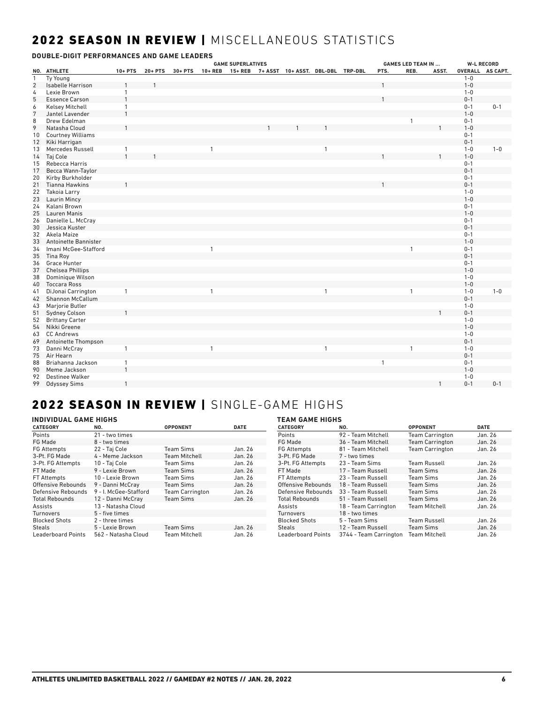## 2022 SEASON IN REVIEW | MISCELLANEOUS STATISTICS

|                | DOUBLE-DIGIT PERFORMANCES AND GAME LEADERS |                |         |            |              |                          |                                           |              |              |                           |              |         |                   |
|----------------|--------------------------------------------|----------------|---------|------------|--------------|--------------------------|-------------------------------------------|--------------|--------------|---------------------------|--------------|---------|-------------------|
|                |                                            |                |         |            |              | <b>GAME SUPERLATIVES</b> |                                           |              |              | <b>GAMES LED TEAM IN </b> |              |         | <b>W-L RECORD</b> |
|                | NO. ATHLETE                                | 10+ PTS        | 20+ PTS | $30 + PTS$ | $10 + REB$   |                          | 15+ REB 7+ ASST 10+ ASST. DBL-DBL TRP-DBL |              | PTS.         | REB.                      | ASST.        |         | OVERALL AS CAPT.  |
| $\mathbf{1}$   | Ty Young                                   |                |         |            |              |                          |                                           |              |              |                           |              | $1 - 0$ |                   |
| $\overline{2}$ | <b>Isabelle Harrison</b>                   |                |         |            |              |                          |                                           |              |              |                           |              | $1 - 0$ |                   |
| 4              | Lexie Brown                                | 1              |         |            |              |                          |                                           |              |              |                           |              | $1 - 0$ |                   |
| 5              | <b>Essence Carson</b>                      | $\overline{1}$ |         |            |              |                          |                                           |              |              |                           |              | $0 - 1$ |                   |
| 6              | <b>Kelsey Mitchell</b>                     | $\overline{1}$ |         |            |              |                          |                                           |              |              |                           |              | $0 - 1$ | $0 - 1$           |
| 7              | Jantel Lavender                            | 1              |         |            |              |                          |                                           |              |              |                           |              | $1 - 0$ |                   |
| 8              | Drew Edelman                               |                |         |            |              |                          |                                           |              |              | $\mathbf{1}$              |              | $0 - 1$ |                   |
| 9              | Natasha Cloud                              |                |         |            |              |                          |                                           |              |              |                           |              | $1 - 0$ |                   |
| 10             | <b>Courtney Williams</b>                   |                |         |            |              |                          |                                           |              |              |                           |              | $0 - 1$ |                   |
| 12             | Kiki Harrigan                              |                |         |            |              |                          |                                           |              |              |                           |              | $0 - 1$ |                   |
| 13             | Mercedes Russell                           | $\overline{1}$ |         |            | $\mathbf{1}$ |                          |                                           | $\mathbf{1}$ |              |                           |              | $1 - 0$ | $1 - 0$           |
| 14             | Taj Cole                                   | $\mathbf{1}$   |         |            |              |                          |                                           |              |              |                           |              | $1 - 0$ |                   |
| 15             | Rebecca Harris                             |                |         |            |              |                          |                                           |              |              |                           |              | $0 - 1$ |                   |
| 17             | <b>Becca Wann-Taylor</b>                   |                |         |            |              |                          |                                           |              |              |                           |              | $0 - 1$ |                   |
| 20             | Kirby Burkholder                           |                |         |            |              |                          |                                           |              |              |                           |              | $0 - 1$ |                   |
| 21             | <b>Tianna Hawkins</b>                      |                |         |            |              |                          |                                           |              |              |                           |              | $0 - 1$ |                   |
| 22             | Takoia Larry                               |                |         |            |              |                          |                                           |              |              |                           |              | $1 - 0$ |                   |
|                |                                            |                |         |            |              |                          |                                           |              |              |                           |              | $1 - 0$ |                   |
| 23             | Laurin Mincy                               |                |         |            |              |                          |                                           |              |              |                           |              |         |                   |
| 24             | Kalani Brown                               |                |         |            |              |                          |                                           |              |              |                           |              | $0 - 1$ |                   |
| 25             | Lauren Manis                               |                |         |            |              |                          |                                           |              |              |                           |              | $1 - 0$ |                   |
| 26             | Danielle L. McCray                         |                |         |            |              |                          |                                           |              |              |                           |              | $0 - 1$ |                   |
| 30             | Jessica Kuster                             |                |         |            |              |                          |                                           |              |              |                           |              | $0 - 1$ |                   |
| 32             | Akela Maize                                |                |         |            |              |                          |                                           |              |              |                           |              | $0 - 1$ |                   |
| 33             | Antoinette Bannister                       |                |         |            |              |                          |                                           |              |              |                           |              | $1 - 0$ |                   |
| 34             | Imani McGee-Stafford                       |                |         |            | 1            |                          |                                           |              |              | $\mathbf{1}$              |              | $0 - 1$ |                   |
| 35             | Tina Roy                                   |                |         |            |              |                          |                                           |              |              |                           |              | $0 - 1$ |                   |
| 36             | Grace Hunter                               |                |         |            |              |                          |                                           |              |              |                           |              | $0 - 1$ |                   |
| 37             | <b>Chelsea Phillips</b>                    |                |         |            |              |                          |                                           |              |              |                           |              | $1 - 0$ |                   |
| 38             | Dominique Wilson                           |                |         |            |              |                          |                                           |              |              |                           |              | $1 - 0$ |                   |
| 40             | <b>Toccara Ross</b>                        |                |         |            |              |                          |                                           |              |              |                           |              | $1 - 0$ |                   |
| 41             | DiJonai Carrington                         | $\overline{1}$ |         |            | $\mathbf{1}$ |                          |                                           | $\mathbf{1}$ |              | $\mathbf{1}$              |              | $1 - 0$ | $1 - 0$           |
| 42             | <b>Shannon McCallum</b>                    |                |         |            |              |                          |                                           |              |              |                           |              | $0 - 1$ |                   |
| 43             | Marjorie Butler                            |                |         |            |              |                          |                                           |              |              |                           |              | $1 - 0$ |                   |
| 51             | <b>Sydney Colson</b>                       |                |         |            |              |                          |                                           |              |              |                           |              | $0 - 1$ |                   |
| 52             | <b>Brittany Carter</b>                     |                |         |            |              |                          |                                           |              |              |                           |              | $1 - 0$ |                   |
| 54             | Nikki Greene                               |                |         |            |              |                          |                                           |              |              |                           |              | $1 - 0$ |                   |
| 63             | <b>CC Andrews</b>                          |                |         |            |              |                          |                                           |              |              |                           |              | $1 - 0$ |                   |
| 69             | Antoinette Thompson                        |                |         |            |              |                          |                                           |              |              |                           |              | $0 - 1$ |                   |
| 73             | Danni McCray                               | $\mathbf{1}$   |         |            | $\mathbf{1}$ |                          |                                           | $\mathbf{1}$ |              | $\mathbf{1}$              |              | $1 - 0$ |                   |
| 75             | Air Hearn                                  |                |         |            |              |                          |                                           |              |              |                           |              | $0 - 1$ |                   |
| 88             | Briahanna Jackson                          | $\mathbf{1}$   |         |            |              |                          |                                           |              | $\mathbf{1}$ |                           |              | $0 - 1$ |                   |
| 90             | Meme Jackson                               | $\mathbf{1}$   |         |            |              |                          |                                           |              |              |                           |              | $1 - 0$ |                   |
| 92             | <b>Destinee Walker</b>                     |                |         |            |              |                          |                                           |              |              |                           |              | $1 - 0$ |                   |
| 99             | <b>Odyssey Sims</b>                        | $\mathbf{1}$   |         |            |              |                          |                                           |              |              |                           | $\mathbf{1}$ | $0 - 1$ | $0 - 1$           |

## 2022 SEASON IN REVIEW | SINGLE-GAME HIGHS

### **INDIVIDUAL GAME HIGHS**

| <b>CATEGORY</b>           | NO.                   | <b>OPPONENT</b>        | <b>DATE</b> | <b>CATEGO</b>  |
|---------------------------|-----------------------|------------------------|-------------|----------------|
| Points                    | 21 - two times        |                        |             | Points         |
| FG Made                   | 8 - two times         |                        |             | FG Mac         |
| <b>FG Attempts</b>        | 22 - Taj Cole         | <b>Team Sims</b>       | Jan. 26     | FG Atte        |
| 3-Pt. FG Made             | 4 - Meme Jackson      | <b>Team Mitchell</b>   | Jan. 26     | 3-Pt. F        |
| 3-Pt. FG Attempts         | 10 - Taj Cole         | <b>Team Sims</b>       | Jan. 26     | 3-Pt. F        |
| FT Made                   | 9 - Lexie Brown       | <b>Team Sims</b>       | Jan. 26     | FT Mad         |
| <b>FT Attempts</b>        | 10 - Lexie Brown      | <b>Team Sims</b>       | Jan. 26     | FT Atte        |
| Offensive Rebounds        | 9 - Danni McCray      | <b>Team Sims</b>       | Jan. 26     | Offensi        |
| Defensive Rebounds        | 9 - I. McGee-Stafford | <b>Team Carrington</b> | Jan. 26     | Defens         |
| <b>Total Rebounds</b>     | 12 - Danni McCray     | <b>Team Sims</b>       | Jan. 26     | <b>Total R</b> |
| Assists                   | 13 - Natasha Cloud    |                        |             | Assists        |
| <b>Turnovers</b>          | 5 - five times        |                        |             | Turnov         |
| <b>Blocked Shots</b>      | 2 - three times       |                        |             | <b>Blocke</b>  |
| <b>Steals</b>             | 5 - Lexie Brown       | <b>Team Sims</b>       | Jan. 26     | <b>Steals</b>  |
| <b>Leaderboard Points</b> | 562 - Natasha Cloud   | <b>Team Mitchell</b>   | Jan. 26     | Leader         |

## **TEAM GAME HIGHS**

| <b>CATEGORY</b>           | NO.                    | <b>OPPONENT</b>        | <b>DATE</b> |
|---------------------------|------------------------|------------------------|-------------|
| Points                    | 92 - Team Mitchell     | <b>Team Carrington</b> | Jan. 26     |
| FG Made                   | 36 - Team Mitchell     | <b>Team Carrington</b> | Jan. 26     |
| <b>FG Attempts</b>        | 81 - Team Mitchell     | <b>Team Carrington</b> | Jan. 26     |
| 3-Pt. FG Made             | 7 - two times          |                        |             |
| 3-Pt. FG Attempts         | 23 - Team Sims         | <b>Team Russell</b>    | Jan. 26     |
| FT Made                   | 17 - Team Russell      | <b>Team Sims</b>       | Jan. 26     |
| FT Attempts               | 23 - Team Russell      | Team Sims              | Jan. 26     |
| Offensive Rebounds        | 18 - Team Russell      | Team Sims              | Jan. 26     |
| Defensive Rebounds        | 33 - Team Russell      | <b>Team Sims</b>       | Jan. 26     |
| <b>Total Rebounds</b>     | 51 - Team Russell      | <b>Team Sims</b>       | Jan. 26     |
| Assists                   | 18 - Team Carrington   | <b>Team Mitchell</b>   | Jan. 26     |
| Turnovers                 | 18 - two times         |                        |             |
| <b>Blocked Shots</b>      | 5 - Team Sims          | <b>Team Russell</b>    | Jan. 26     |
| Steals                    | 12 - Team Russell      | <b>Team Sims</b>       | Jan. 26     |
| <b>Leaderboard Points</b> | 3744 - Team Carrington | <b>Team Mitchell</b>   | Jan. 26     |
|                           |                        |                        |             |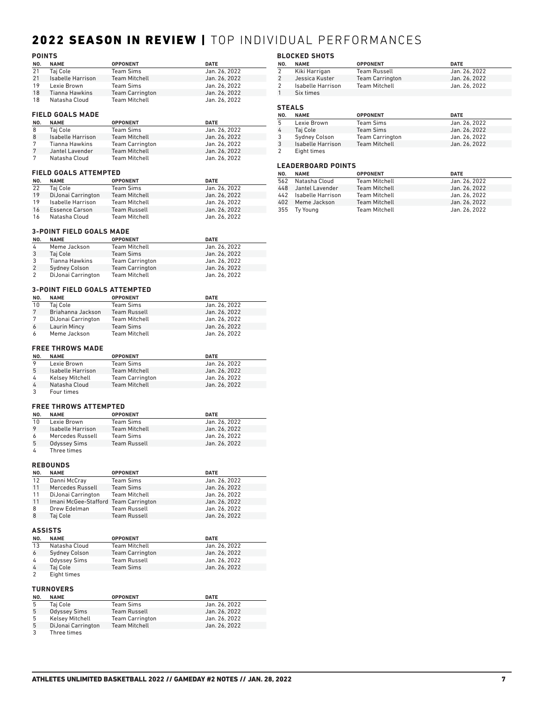## 2022 SEASON IN REVIEW | TOP INDIVIDUAL PERFORMANCES

|     | <b>POINTS</b>            |                        |               |  |  |  |  |  |
|-----|--------------------------|------------------------|---------------|--|--|--|--|--|
| NO. | <b>NAME</b>              | <b>OPPONENT</b>        | <b>DATE</b>   |  |  |  |  |  |
| 21  | Taj Cole                 | <b>Team Sims</b>       | Jan. 26, 2022 |  |  |  |  |  |
| 21  | <b>Isabelle Harrison</b> | <b>Team Mitchell</b>   | Jan. 26, 2022 |  |  |  |  |  |
| 19  | Lexie Brown              | <b>Team Sims</b>       | Jan. 26, 2022 |  |  |  |  |  |
| 18  | Tianna Hawkins           | <b>Team Carrington</b> | Jan. 26, 2022 |  |  |  |  |  |
| 18  | Natasha Cloud            | <b>Team Mitchell</b>   | Jan. 26, 2022 |  |  |  |  |  |
|     |                          |                        |               |  |  |  |  |  |
|     | <b>FIELD GOALS MADE</b>  |                        |               |  |  |  |  |  |

| NO. | <b>NAME</b>              | <b>OPPONENT</b>        | <b>DATE</b>   |
|-----|--------------------------|------------------------|---------------|
| 8   | Tai Cole                 | Team Sims              | Jan. 26, 2022 |
| 8   | <b>Isabelle Harrison</b> | <b>Team Mitchell</b>   | Jan. 26, 2022 |
|     | Tianna Hawkins           | <b>Team Carrington</b> | Jan. 26, 2022 |
|     | Jantel Lavender          | <b>Team Mitchell</b>   | Jan. 26, 2022 |
|     | Natasha Cloud            | Team Mitchell          | Jan. 26, 2022 |

#### **FIELD GOALS ATTEMPTED**

| NO. | <b>NAME</b>           | <b>OPPONENT</b>      | <b>DATE</b>   |
|-----|-----------------------|----------------------|---------------|
| 22  | Tai Cole              | Team Sims            | Jan. 26, 2022 |
| 19  | DiJonai Carrington    | <b>Team Mitchell</b> | Jan. 26, 2022 |
| 19  | Isabelle Harrison     | Team Mitchell        | Jan. 26, 2022 |
| 16  | <b>Essence Carson</b> | <b>Team Russell</b>  | Jan. 26, 2022 |
| 16  | Natasha Cloud         | Team Mitchell        | Jan. 26, 2022 |

#### **3-POINT FIELD GOALS MADE**

| NO. | <b>NAME</b>          | <b>OPPONENT</b>        | <b>DATE</b>   |
|-----|----------------------|------------------------|---------------|
| 4   | Meme Jackson         | <b>Team Mitchell</b>   | Jan. 26, 2022 |
| 3   | Tai Cole             | <b>Team Sims</b>       | Jan. 26, 2022 |
| 3   | Tianna Hawkins       | <b>Team Carrington</b> | Jan. 26, 2022 |
|     | <b>Sydney Colson</b> | <b>Team Carrington</b> | Jan. 26, 2022 |
|     | DiJonai Carrington   | <b>Team Mitchell</b>   | Jan. 26, 2022 |

#### **3-POINT FIELD GOALS ATTEMPTED**

| NO. | <b>NAME</b>        | <b>OPPONENT</b>      | <b>DATE</b>   |
|-----|--------------------|----------------------|---------------|
| 10  | Tai Cole           | <b>Team Sims</b>     | Jan. 26, 2022 |
|     | Briahanna Jackson  | <b>Team Russell</b>  | Jan. 26, 2022 |
| 7   | DiJonai Carrington | <b>Team Mitchell</b> | Jan. 26, 2022 |
| 6   | Laurin Mincy       | <b>Team Sims</b>     | Jan. 26, 2022 |
| 6   | Meme Jackson       | <b>Team Mitchell</b> | Jan. 26, 2022 |

#### **FREE THROWS MADE**

| NO. | <b>NAME</b>            | <b>OPPONENT</b>        | <b>DATE</b>   |
|-----|------------------------|------------------------|---------------|
|     | Lexie Brown            | Team Sims              | Jan. 26, 2022 |
| 5   | Isabelle Harrison      | <b>Team Mitchell</b>   | Jan. 26, 2022 |
| 4   | <b>Kelsey Mitchell</b> | <b>Team Carrington</b> | Jan. 26, 2022 |
| 4   | Natasha Cloud          | <b>Team Mitchell</b>   | Jan. 26, 2022 |
| 3   | Four times             |                        |               |

### **FREE THROWS ATTEMPTED**

| NO. | <b>NAME</b>         | <b>OPPONENT</b>      | <b>DATE</b>   |
|-----|---------------------|----------------------|---------------|
| 10  | Lexie Brown         | Team Sims            | Jan. 26, 2022 |
| 9   | Isabelle Harrison   | <b>Team Mitchell</b> | Jan. 26, 2022 |
| 6   | Mercedes Russell    | Team Sims            | Jan. 26, 2022 |
| 5   | <b>Odyssey Sims</b> | <b>Team Russell</b>  | Jan. 26, 2022 |
|     | Three times         |                      |               |

#### **REBOUNDS**

| NO.            | <b>NAME</b>                          | <b>OPPONENT</b>      | <b>DATE</b>   |
|----------------|--------------------------------------|----------------------|---------------|
| 12             | Danni McCray                         | <b>Team Sims</b>     | Jan. 26, 2022 |
| 11             | Mercedes Russell                     | <b>Team Sims</b>     | Jan. 26, 2022 |
| 11             | DiJonai Carrington                   | <b>Team Mitchell</b> | Jan. 26, 2022 |
| 11             | Imani McGee-Stafford Team Carrington |                      | Jan. 26, 2022 |
| 8              | Drew Edelman                         | <b>Team Russell</b>  | Jan. 26, 2022 |
| 8              | Taj Cole                             | <b>Team Russell</b>  | Jan. 26, 2022 |
| <b>ASSISTS</b> |                                      |                      |               |

| NO. | <b>NAME</b>          | <b>OPPONENT</b>        | <b>DATE</b>   |
|-----|----------------------|------------------------|---------------|
| 13  | Natasha Cloud        | <b>Team Mitchell</b>   | Jan. 26, 2022 |
| 6   | <b>Sydney Colson</b> | <b>Team Carrington</b> | Jan. 26, 2022 |
| 4   | <b>Odyssey Sims</b>  | <b>Team Russell</b>    | Jan. 26, 2022 |
| 4   | Tai Cole             | <b>Team Sims</b>       | Jan. 26, 2022 |
|     | Eight times          |                        |               |

#### **TURNOVERS**

| NO. | <b>NAME</b>            | <b>OPPONENT</b>        | <b>DATE</b>   |
|-----|------------------------|------------------------|---------------|
| 5   | Taj Cole               | Team Sims              | Jan. 26, 2022 |
| 5   | <b>Odyssey Sims</b>    | <b>Team Russell</b>    | Jan. 26, 2022 |
| 5   | <b>Kelsey Mitchell</b> | <b>Team Carrington</b> | Jan. 26, 2022 |
| 5   | DiJonai Carrington     | <b>Team Mitchell</b>   | Jan. 26, 2022 |
|     | Three times            |                        |               |

### **BLOCKED SHOTS**

| NO. | <b>NAME</b>       | <b>OPPONENT</b>        | <b>DATE</b>   |
|-----|-------------------|------------------------|---------------|
|     | Kiki Harrigan     | <b>Team Russell</b>    | Jan. 26, 2022 |
|     | Jessica Kuster    | <b>Team Carrington</b> | Jan. 26, 2022 |
|     | Isabelle Harrison | <b>Team Mitchell</b>   | Jan. 26, 2022 |
|     | Six times         |                        |               |
|     |                   |                        |               |

## **STEALS**

| NO. | <b>NAME</b>       | <b>OPPONENT</b>        | <b>DATE</b>   |
|-----|-------------------|------------------------|---------------|
| 5   | Lexie Brown       | Team Sims              | Jan. 26, 2022 |
| 4   | Tai Cole          | <b>Team Sims</b>       | Jan. 26, 2022 |
| 3   | Sydney Colson     | <b>Team Carrington</b> | Jan. 26, 2022 |
| 3   | Isabelle Harrison | <b>Team Mitchell</b>   | Jan. 26, 2022 |
| 2   | Eight times       |                        |               |

#### **LEADERBOARD POINTS**

| NO. | <b>NAME</b>           | <b>OPPONENT</b>      | <b>DATE</b>   |
|-----|-----------------------|----------------------|---------------|
| 562 | Natasha Cloud         | <b>Team Mitchell</b> | Jan. 26, 2022 |
|     | 448 Jantel Lavender   | <b>Team Mitchell</b> | Jan. 26, 2022 |
|     | 442 Isabelle Harrison | <b>Team Mitchell</b> | Jan. 26, 2022 |
|     | 402 Meme Jackson      | <b>Team Mitchell</b> | Jan. 26, 2022 |
|     | 355 Ty Young          | <b>Team Mitchell</b> | Jan. 26, 2022 |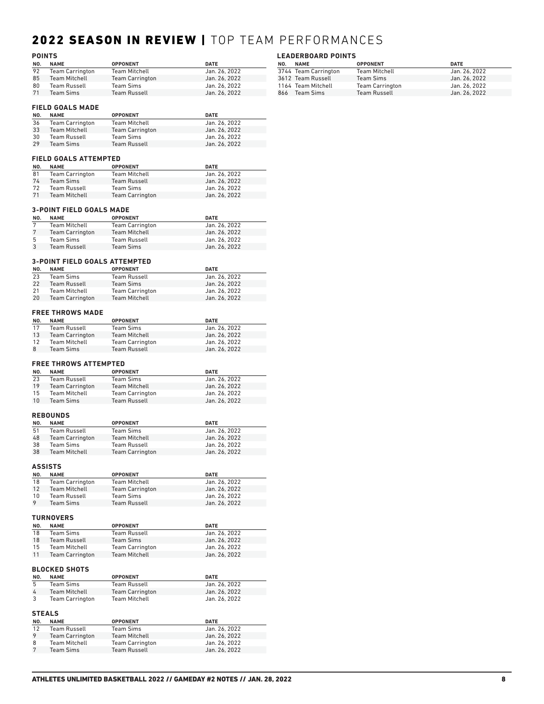## 2022 SEASON IN REVIEW | TOP TEAM PERFORMANCES

| <b>POINTS</b> |                        |                        |               |
|---------------|------------------------|------------------------|---------------|
| NO.           | <b>NAME</b>            | <b>OPPONENT</b>        | <b>DATE</b>   |
| 92            | <b>Team Carrington</b> | <b>Team Mitchell</b>   | Jan. 26, 2022 |
| 85            | <b>Team Mitchell</b>   | <b>Team Carrington</b> | Jan. 26, 2022 |
| 80            | Team Russell           | <b>Team Sims</b>       | Jan. 26, 2022 |
| 71            | <b>Team Sims</b>       | <b>Team Russell</b>    | Jan. 26, 2022 |

## **LEADERBOARD POINTS**

| NO. | <b>NAME</b>          | <b>OPPONENT</b>        | <b>DATE</b>   |
|-----|----------------------|------------------------|---------------|
|     | 3744 Team Carrington | Team Mitchell          | Jan. 26, 2022 |
|     | 3612 Team Russell    | <b>Team Sims</b>       | Jan. 26, 2022 |
|     | 1164 Team Mitchell   | <b>Team Carrington</b> | Jan. 26. 2022 |
|     | 866 Team Sims        | <b>Team Russell</b>    | Jan. 26, 2022 |

#### **FIELD GOALS MADE**

| NO. | <b>NAME</b>            | <b>OPPONENT</b>        | <b>DATE</b>   |
|-----|------------------------|------------------------|---------------|
| 36  | <b>Team Carrington</b> | <b>Team Mitchell</b>   | Jan. 26, 2022 |
| 33  | <b>Team Mitchell</b>   | <b>Team Carrington</b> | Jan. 26, 2022 |
| 30  | <b>Team Russell</b>    | Team Sims              | Jan. 26, 2022 |
| 29  | <b>Team Sims</b>       | <b>Team Russell</b>    | Jan. 26, 2022 |

#### **FIELD GOALS ATTEMPTED**

| NO. | <b>NAME</b>            | <b>OPPONENT</b>        | <b>DATE</b>   |
|-----|------------------------|------------------------|---------------|
| 81  | <b>Team Carrington</b> | Team Mitchell          | Jan. 26, 2022 |
| 74  | Team Sims              | <b>Team Russell</b>    | Jan. 26, 2022 |
| 72  | <b>Team Russell</b>    | Team Sims              | Jan. 26, 2022 |
| 71  | <b>Team Mitchell</b>   | <b>Team Carrington</b> | Jan. 26, 2022 |

### **3-POINT FIELD GOALS MADE**

| NO. | <b>NAME</b>            | <b>OPPONENT</b>        | <b>DATE</b>   |
|-----|------------------------|------------------------|---------------|
|     | <b>Team Mitchell</b>   | <b>Team Carrington</b> | Jan. 26, 2022 |
|     | <b>Team Carrington</b> | <b>Team Mitchell</b>   | Jan. 26, 2022 |
| 5   | Team Sims              | <b>Team Russell</b>    | Jan. 26, 2022 |
|     | <b>Team Russell</b>    | Team Sims              | Jan. 26, 2022 |

### **3-POINT FIELD GOALS ATTEMPTED**

| NO. | <b>NAME</b>            | <b>OPPONENT</b>        | <b>DATE</b>   |
|-----|------------------------|------------------------|---------------|
| 23  | Team Sims              | Team Russell           | Jan. 26, 2022 |
| 22  | <b>Team Russell</b>    | Team Sims              | Jan. 26, 2022 |
| 21  | Team Mitchell          | <b>Team Carrington</b> | Jan. 26, 2022 |
| 20  | <b>Team Carrington</b> | <b>Team Mitchell</b>   | Jan. 26, 2022 |

#### **FREE THROWS MADE**

| NO. | <b>NAME</b>            | <b>OPPONENT</b>        | <b>DATE</b>   |
|-----|------------------------|------------------------|---------------|
| 17  | Team Russell           | Team Sims              | Jan. 26. 2022 |
| 13  | <b>Team Carrington</b> | <b>Team Mitchell</b>   | Jan. 26, 2022 |
| 12  | <b>Team Mitchell</b>   | <b>Team Carrington</b> | Jan. 26, 2022 |
| 8   | Team Sims              | <b>Team Russell</b>    | Jan. 26, 2022 |

#### **FREE THROWS ATTEMPTED**

| NO. | <b>NAME</b>            | <b>OPPONENT</b>        | <b>DATE</b>   |
|-----|------------------------|------------------------|---------------|
| 23  | <b>Team Russell</b>    | Team Sims              | Jan. 26, 2022 |
| 19  | <b>Team Carrington</b> | <b>Team Mitchell</b>   | Jan. 26, 2022 |
| 15  | Team Mitchell          | <b>Team Carrington</b> | Jan. 26, 2022 |
| 10  | <b>Team Sims</b>       | <b>Team Russell</b>    | Jan. 26, 2022 |

### **REBOUNDS**

| NO. | <b>NAME</b>            | <b>OPPONENT</b>        | <b>DATE</b>   |
|-----|------------------------|------------------------|---------------|
| 51  | Team Russell           | <b>Team Sims</b>       | Jan. 26, 2022 |
| 48  | <b>Team Carrington</b> | <b>Team Mitchell</b>   | Jan. 26, 2022 |
| 38  | Team Sims              | Team Russell           | Jan. 26, 2022 |
| 38  | <b>Team Mitchell</b>   | <b>Team Carrington</b> | Jan. 26, 2022 |

#### **ASSISTS**

| NO.     | <b>NAME</b>            | <b>OPPONENT</b>        | <b>DATE</b>   |
|---------|------------------------|------------------------|---------------|
| 18      | <b>Team Carrington</b> | Team Mitchell          | Jan. 26, 2022 |
| 12      | Team Mitchell          | <b>Team Carrington</b> | Jan. 26, 2022 |
| 10      | <b>Team Russell</b>    | Team Sims              | Jan. 26, 2022 |
| $\circ$ | <b>Team Sims</b>       | <b>Team Russell</b>    | Jan. 26, 2022 |
|         |                        |                        |               |

### **TURNOVERS**

| NO. | <b>NAME</b>            | <b>OPPONENT</b>        | <b>DATE</b>   |
|-----|------------------------|------------------------|---------------|
| 18  | Team Sims              | Team Russell           | Jan. 26. 2022 |
| 18  | <b>Team Russell</b>    | <b>Team Sims</b>       | Jan. 26, 2022 |
| 15  | Team Mitchell          | <b>Team Carrington</b> | Jan. 26. 2022 |
| 11  | <b>Team Carrington</b> | <b>Team Mitchell</b>   | Jan. 26, 2022 |

#### **BLOCKED SHOTS**

| NO.                       | <b>NAME</b>            | <b>OPPONENT</b>        | <b>DATE</b>   |
|---------------------------|------------------------|------------------------|---------------|
| 5                         | <b>Team Sims</b>       | <b>Team Russell</b>    | Jan. 26, 2022 |
| 4                         | <b>Team Mitchell</b>   | <b>Team Carrington</b> | Jan. 26, 2022 |
| 3                         | <b>Team Carrington</b> | <b>Team Mitchell</b>   | Jan. 26, 2022 |
| <b>STEALS</b><br>$\cdots$ |                        |                        | ----          |

| NO. | <b>NAME</b>            | <b>OPPONENT</b>        | <b>DATE</b>   |
|-----|------------------------|------------------------|---------------|
| 12  | <b>Team Russell</b>    | Team Sims              | Jan. 26, 2022 |
| 9   | <b>Team Carrington</b> | <b>Team Mitchell</b>   | Jan. 26, 2022 |
| 8   | <b>Team Mitchell</b>   | <b>Team Carrington</b> | Jan. 26, 2022 |
|     | <b>Team Sims</b>       | <b>Team Russell</b>    | Jan. 26, 2022 |
|     |                        |                        |               |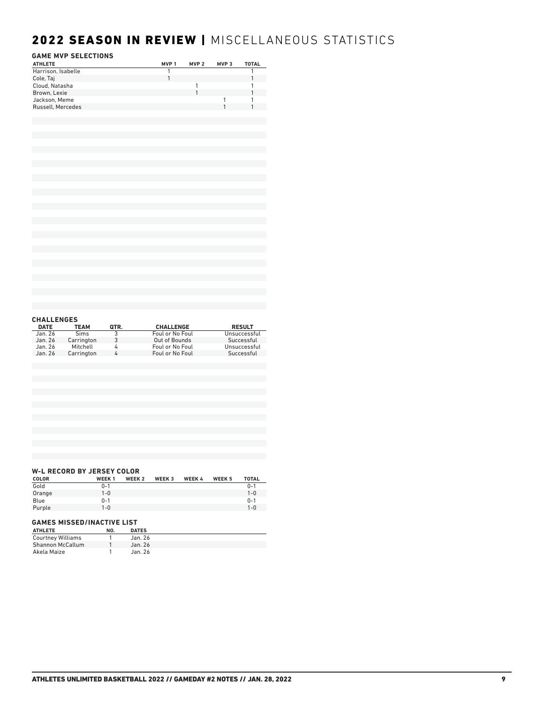## 2022 SEASON IN REVIEW | MISCELLANEOUS STATISTICS

#### **GAME MVP SELECTIONS**

| <b>GAME MVP SELECTIONS</b> |                  |                  |                  |                |
|----------------------------|------------------|------------------|------------------|----------------|
| <b>ATHLETE</b>             | MVP <sub>1</sub> | MVP <sub>2</sub> | MVP <sub>3</sub> | <b>TOTAL</b>   |
| Harrison, Isabelle         | 1                |                  |                  | $\overline{1}$ |
| Cole, Taj                  | $\mathbf{1}$     |                  |                  | $\mathbf{1}$   |
| Cloud, Natasha             |                  | 1                |                  | 1              |
| Brown, Lexie               |                  | 1                |                  | $\mathbf{1}$   |
| Jackson, Meme              |                  |                  | 1                | 1              |
| Russell, Mercedes          |                  |                  | $\mathbf{1}$     | $\mathbf{1}$   |
|                            |                  |                  |                  |                |
|                            |                  |                  |                  |                |
|                            |                  |                  |                  |                |
|                            |                  |                  |                  |                |
|                            |                  |                  |                  |                |
|                            |                  |                  |                  |                |
|                            |                  |                  |                  |                |
|                            |                  |                  |                  |                |
|                            |                  |                  |                  |                |
|                            |                  |                  |                  |                |
|                            |                  |                  |                  |                |
|                            |                  |                  |                  |                |
|                            |                  |                  |                  |                |
|                            |                  |                  |                  |                |
|                            |                  |                  |                  |                |
|                            |                  |                  |                  |                |
|                            |                  |                  |                  |                |
|                            |                  |                  |                  |                |
|                            |                  |                  |                  |                |
|                            |                  |                  |                  |                |
|                            |                  |                  |                  |                |
|                            |                  |                  |                  |                |
|                            |                  |                  |                  |                |
|                            |                  |                  |                  |                |
|                            |                  |                  |                  |                |
|                            |                  |                  |                  |                |
|                            |                  |                  |                  |                |
|                            |                  |                  |                  |                |
|                            |                  |                  |                  |                |
| <b>CHALLENGES</b>          |                  |                  |                  |                |

| <b>DATE</b> | <b>TEAM</b> | QTR. | <b>CHALLENGE</b> | <b>RESULT</b> |
|-------------|-------------|------|------------------|---------------|
| Jan. 26     | <b>Sims</b> |      | Foul or No Foul  | Unsuccessful  |
| Jan. 26     | Carrington  | 3    | Out of Bounds    | Successful    |
| Jan. 26     | Mitchell    | 4    | Foul or No Foul  | Unsuccessful  |
| Jan. 26     | Carrington  | 4    | Foul or No Foul  | Successful    |
|             |             |      |                  |               |

### **W-L RECORD BY JERSEY COLOR**

| <b>COLOR</b> | <b>WEEK1</b> | WEEK <sub>2</sub> | WEEK 3 | WEEK 4 | WEEK 5 | <b>TOTAL</b> |
|--------------|--------------|-------------------|--------|--------|--------|--------------|
| Gold         | $0 - 1$      |                   |        |        |        | $0 - 1$      |
| Orange       | $1 - 0$      |                   |        |        |        | $1 - 0$      |
| Blue         | $0 - 1$      |                   |        |        |        | $0 - 1$      |
| Purple       | $1 - 0$      |                   |        |        |        | $1 - 0$      |
|              |              |                   |        |        |        |              |

### **GAMES MISSED/INACTIVE LIST**

| <b>ATHLETE</b>           | NO. | <b>DATES</b> |  |
|--------------------------|-----|--------------|--|
| <b>Courtney Williams</b> |     | Jan. 26      |  |
| <b>Shannon McCallum</b>  |     | Jan. 26      |  |
| Akela Maize              |     | Jan. 26      |  |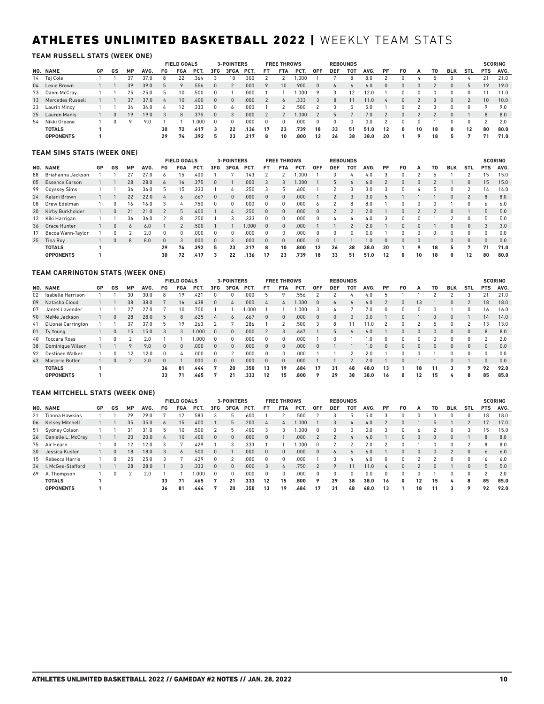## ATHLETES UNLIMITED BASKETBALL 2022 | WEEKLY TEAM STATS

#### **TEAM RUSSELL STATS (WEEK ONE)**

|                     |    |              |           |      |                | <b>FIELD GOALS</b> |      |          | <b>3-POINTERS</b> |      |          | <b>FREE THROWS</b> |        |            |            | <b>REBOUNDS</b> |      |          |          |          |    |            |            |            | <b>SCORING</b> |
|---------------------|----|--------------|-----------|------|----------------|--------------------|------|----------|-------------------|------|----------|--------------------|--------|------------|------------|-----------------|------|----------|----------|----------|----|------------|------------|------------|----------------|
| NO. NAME            | GP | GS           | <b>MP</b> | AVG. | FG             | FGA                | PCT. | 3FG      | 3FGA              | PCT. | FT       | <b>FTA</b>         | PCT.   | <b>OFF</b> | <b>DEF</b> | тот             | AVG. | PF       | F0       | А        | то | <b>BLK</b> | <b>STL</b> | <b>PTS</b> | AVG.           |
| 14 Taj Cole         |    |              | 37        | 37.0 |                | 22                 | .364 |          | 10                | .300 |          |                    |        |            |            |                 | 8.0  |          |          |          |    |            |            |            | 21.0           |
| 04 Lexie Brown      |    |              | 39        | 39.0 |                |                    | .556 | $\Omega$ |                   | .000 | 9        | 10                 | .900   | $\Omega$   | $\sigma$   | 6               | 6.0  | $\Omega$ | $\Omega$ | $\Omega$ |    | $\Omega$   |            | 19         | 19.0           |
| 73 Danni McCray     |    |              | 25        | 25.0 |                | 10                 | .500 | 0        |                   | .000 |          |                    | 000. ا | $\circ$    |            | 12              | 12.0 |          |          |          |    | 0          |            |            | 11.0           |
| 13 Mercedes Russell |    |              | 37        | 37.0 | $\overline{4}$ | 10                 | .400 | $\Omega$ | $\Omega$          | .000 |          | $\sigma$           | .333   | 3          | 8          |                 | 11.0 |          | 0        |          |    | 0          |            | 10         | 10.0           |
| 23 Laurin Mincy     |    |              | 34        | 34.0 |                | 12                 | .333 | 0        |                   | .000 |          |                    | .500   |            |            | h               | 5.0  |          |          |          |    | U          |            | ۰          | 9.0            |
| 25 Lauren Manis     |    | $\mathbf{0}$ | 19        | 19.0 |                | 8                  | .375 | $\Omega$ |                   | .000 |          |                    | 1.000  |            |            |                 | 7.0  |          | $\Omega$ |          |    | $\Omega$   |            | 8          | 8.0            |
| 54 Nikki Greene     |    |              | 9         | 9.0  |                |                    | .000 | $\Omega$ | 0                 | .000 | $\Omega$ | 0                  | .000   | $\Omega$   | 0          | $\Omega$        | 0.0  |          |          |          |    | 0          |            |            | 2.0            |
| <b>TOTALS</b>       |    |              |           |      | 30             | 72                 | .417 | 3        | 22                | .136 | 17       | 23                 | .739   | 18         | 33         | 51              | 51.0 | 12       | 0        | 10       | 18 | 0          | 12         | 80         | 80.0           |
| <b>OPPONENTS</b>    |    |              |           |      | 29             | 74                 | .392 |          | 23                | .217 | 8        | 10                 | .800   | 12         | 26         | 38              | 38.0 | 20       |          |          | 18 |            |            |            | 71.0           |

#### **TEAM SIMS STATS (WEEK ONE)**

|    |                       |           |    |    |      |          | <b>FIELD GOALS</b> |      |              | 3-POINTERS |       |          | <b>FREE THROWS</b> |      |            |            | <b>REBOUNDS</b> |      |          |              |          |    |            |              |            | <b>SCORING</b> |
|----|-----------------------|-----------|----|----|------|----------|--------------------|------|--------------|------------|-------|----------|--------------------|------|------------|------------|-----------------|------|----------|--------------|----------|----|------------|--------------|------------|----------------|
|    | NO. NAME              | <b>GP</b> | GS | MP | AVG. | FG       | <b>FGA</b>         | PCT. | 3FG          | 3FGA       | PCT.  | FT       | <b>FTA</b>         | PCT. | <b>OFF</b> | <b>DEF</b> | TOT             | AVG. | PF       | F0           | А        | τо | <b>BLK</b> | <b>STL</b>   | <b>PTS</b> | AVG.           |
| 88 | Briahanna Jackson     |           |    | 27 | 27.0 |          | 15                 | 400  |              |            | .143  |          |                    | .000 |            |            |                 | 4.0  |          |              |          |    |            |              | 15         | 15.0           |
| 05 | <b>Essence Carson</b> |           |    | 28 | 28.0 | 6        | 16                 | .375 | $\Omega$     |            | .000  | 3        |                    | 000. |            | 5          | 6               | 6.0  |          | $\mathbf{0}$ | $\Omega$ |    |            | $\mathbf{0}$ | 15         | 15.0           |
|    | 99 Odyssey Sims       |           |    | 34 | 34.0 | 5.       | 15                 | .333 |              | Δ          | 250   | 3        | 5                  | 600  |            |            |                 | 3.0  |          | n            | д        |    |            |              | 14         | 14.0           |
|    | 24 Kalani Brown       |           |    | 22 | 22.0 |          | 6                  | .667 | $\Omega$     | $\Omega$   | .000  |          | $\Omega$           | .000 |            |            | 3               | 3.0  |          |              |          |    | $\Omega$   |              | 8          | 8.0            |
| 08 | Drew Edelman          |           |    | 16 | 16.0 |          | Δ                  | .750 | $\mathbf{0}$ |            | .000  | $\Omega$ |                    | .000 |            |            | 8               | 8.0  |          | n            |          |    |            |              |            | 6.0            |
|    | 20 Kirby Burkholder   |           | 0  | 21 | 21.0 |          | 5                  | .400 |              | 4          | 250   | $\Omega$ | $\Omega$           | .000 |            |            | $\Omega$        | 2.0  |          | $\Omega$     |          |    | $\Box$     |              | 5          | 5.0            |
|    | 12 Kiki Harrigan      |           |    | 36 | 36.0 |          | 8                  | .250 |              |            | .333  |          | U                  | .000 |            | 4          |                 | 4.0  |          | n            | 0        |    |            | 0            | 5          | 5.0            |
|    | 36 Grace Hunter       |           |    | 6  | 6.0  |          |                    | .500 |              |            | 000.1 | $\Omega$ | $\Omega$           | .000 |            |            | $\Omega$        | 2.0  |          | $\Omega$     | $\Omega$ |    |            | 0            | 3          | 3.0            |
| 17 | Becca Wann-Taylor     |           |    |    | 2.0  | 0        | 0                  | .000 |              | 0          | .000  |          | $\Omega$           | 000  |            |            | 0               | 0.0  |          | 0            | 0        |    | 0          |              | U          | 0.0            |
| 35 | Tina Rov              |           | 0  | 8  | 8.0  | $\Omega$ | 3                  | .000 | $\Omega$     |            | .000  | $\Omega$ | $\Omega$           | .000 | $\Omega$   |            |                 | 1.0  | $\Omega$ | $\Omega$     | $\Omega$ |    | $\Omega$   | $\Omega$     | 0          | 0.0            |
|    | <b>TOTALS</b>         |           |    |    |      | 29       | 74                 | .392 | 5            | 23         | .217  | 8        | 10                 | .800 | 12         | 26         | 38              | 38.0 | 20       |              | ۰        | 18 | 5.         |              | 71         | 71.0           |
|    | <b>OPPONENTS</b>      |           |    |    |      | 30       | 72                 | .417 |              | 22         | .136  | 17       | 23                 | .739 | 18         | 33         | 51              | 51.0 | 12       | 0            | 10       | 18 | 0          | 12           | 80         | 80.0           |

#### **TEAM CARRINGTON STATS (WEEK ONE)**

|    |                        |    |          |           |      |              | <b>FIELD GOALS</b> |         |          | <b>3-POINTERS</b> |      |          | <b>FREE THROWS</b> |      |            |            | <b>REBOUNDS</b> |      |    |    |    |    |            |              |            | <b>SCORING</b> |
|----|------------------------|----|----------|-----------|------|--------------|--------------------|---------|----------|-------------------|------|----------|--------------------|------|------------|------------|-----------------|------|----|----|----|----|------------|--------------|------------|----------------|
|    | NO. NAME               | GP | GS       | <b>MP</b> | AVG. | FG           | <b>FGA</b>         | PCT.    | 3FG      | 3FGA              | PCT. | FT       | FTA                | PCT. | <b>OFF</b> | <b>DEF</b> | тот             | AVG. | PF | F0 | А  | T0 | <b>BLK</b> | <b>STL</b>   | <b>PTS</b> | AVG.           |
| 02 | Isabelle Harrison      |    |          | 30        | 30.0 | 8            | 19                 | $.42^*$ |          |                   | .000 |          |                    | .556 |            |            |                 | 4.0  |    |    |    |    |            |              | 21         | 21.0           |
| 09 | Natasha Cloud          |    |          | 38        | 38.0 |              | 16                 | .438    |          | 4                 | .000 |          | 4                  | .000 |            | 6          | 6               | 6.0  |    |    | 13 |    | $\Omega$   |              | 18         | 18.0           |
| 07 | Jantel Lavender        |    |          | 27        | 27.0 |              | 10                 | .700    |          |                   | .000 |          |                    | .000 |            |            |                 | 7.0  |    |    |    |    |            | 0            | 16         | 16.0           |
|    | 90 MeMe Jackson        |    |          | 28        | 28.0 | 5            | 8                  | .625    |          | 6                 | .667 |          | $\mathbf{0}$       | .000 |            | 0          | 0               | 0.0  |    |    |    |    | 0          |              | 14         | 14.0           |
|    | 41 DiJonai Carrington  |    |          | 37        | 37.0 | 5            | 19                 | .263    |          |                   | .286 |          |                    | .500 |            | 8          |                 |      |    |    |    |    |            |              | 13         | 13.0           |
|    | 01 Ty Young            |    | $\Omega$ | 15        | 15.0 | 3            | 3                  | .000    | $\Omega$ | $\Omega$          | .000 |          |                    | .667 |            | 5          | 6               | 6.0  |    | 0  | 0  | n. | $\Omega$   | $\mathbf{0}$ | 8          | 8.0            |
|    | 40 Toccara Ross        |    |          |           | 2.0  |              |                    | .000    |          | $\Omega$          | .000 |          | $\Omega$           | .000 |            |            |                 | 0. ا |    |    |    |    |            | 0            |            | 2.0            |
| 38 | Dominique Wilson       |    |          |           | 9.0  | $\mathbf{0}$ | $\Omega$           | .000.   |          | $\Omega$          | .000 |          | $\Omega$           | .000 |            |            |                 | 1.0  |    |    |    |    | $\Omega$   | $\Omega$     |            | 0.0            |
| 92 | Destinee Walker        |    |          | 12        | 12.0 | $\Omega$     | Δ                  | 000     | $\Omega$ | っ                 | .000 |          | $\Omega$           | .000 |            |            |                 | 2.0  |    |    |    |    | 0          | 0            | n.         | 0.0            |
| 43 | <b>Mariorie Butler</b> |    |          |           | 2.0  | $\Omega$     |                    | .000.   |          | $\Omega$          | .000 | $\Omega$ | $\mathbf{0}$       | .000 |            |            |                 | 2.0  |    |    |    |    | $\Omega$   |              | $\Omega$   | 0.0            |
|    | <b>TOTALS</b>          |    |          |           |      | 36           | 81                 | .444    |          | 20                | .350 | 13       | 19                 | .684 | 17         | 31         | 48              | 48.0 | 13 |    | 18 | 11 | 3          | $\circ$      | 92         | 92.0           |
|    | <b>OPPONENTS</b>       |    |          |           |      | 33           | 71                 | .465    |          | 21                | .333 | 12       | 15                 | .800 | ۰          | 29         | 38              | 38.0 | 16 |    | 12 | 15 | 4          | 8            | 85         | 85.0           |

#### **TEAM MITCHELL STATS (WEEK ONE)**

|    |                       |    |    |           |      |    | <b>FIELD GOALS</b> |      |          | <b>3-POINTERS</b> |      |              | <b>FREE THROWS</b> |      |            |            | <b>REBOUNDS</b> |      |              |    |    |    |            |              |            | <b>SCORING</b> |
|----|-----------------------|----|----|-----------|------|----|--------------------|------|----------|-------------------|------|--------------|--------------------|------|------------|------------|-----------------|------|--------------|----|----|----|------------|--------------|------------|----------------|
|    | NO. NAME              | GP | GS | <b>MP</b> | AVG. | FG | FGA                | PCT. | 3FG      | 3FGA              | PCT. | FT.          | <b>FTA</b>         | PCT. | <b>OFF</b> | <b>DEF</b> | TOT             | AVG. | PF           | F0 | А  | TO | <b>BLK</b> | <b>STL</b>   | <b>PTS</b> | AVG.           |
|    | 21 Tianna Hawkins     |    |    | 29        | 29.0 |    | 12                 | 583  |          |                   | .600 |              |                    | .500 |            |            |                 |      |              |    |    |    |            | 0            | 18         | 18.0           |
|    | 06 Kelsey Mitchell    |    |    | 35        | 35.0 | 6  | 15                 | .400 |          | 5                 | .200 | $\mathbf{r}$ | 4                  | .000 |            | 3          |                 | 4.0  |              |    |    |    |            |              | 17         | 17.0           |
|    | 51 Sydney Colson      |    |    | 31        | 31.0 |    | 10                 | .500 |          |                   | .400 |              |                    | .000 |            | n          |                 | 0.0  |              |    |    |    |            |              | 15         | 15.0           |
|    | 26 Danielle L. McCray |    |    | 20        | 20.0 |    | 10                 | .400 | $\Omega$ | $\Omega$          | .000 | $\Omega$     |                    | .000 |            |            |                 | 4.0  |              |    |    |    |            |              | 8          | 8.0            |
|    | 75 Air Hearn          |    | 0  | 12        | 2.0  |    |                    | .429 |          |                   | .333 |              |                    | .000 |            |            |                 | 2.0  |              |    |    |    |            |              |            | 8.0            |
| 30 | Jessica Kuster        |    | 0  | 18        | 18.0 |    | 6                  | .500 | $\Omega$ |                   | .000 | $\Omega$     | $\Omega$           | .000 |            | 6          |                 | 6.0  |              |    |    |    |            | $\Omega$     |            | 6.0            |
|    | 15 Rebecca Harris     |    | 0  | 25        | 25.0 | 3  |                    | .429 |          |                   | ,000 | $\Omega$     | $\Omega$           | .000 |            |            |                 | 4.0  |              |    |    |    |            | 0            | ь          | 6.0            |
|    | 34 I. McGee-Stafford  |    |    | 28        | 28.0 |    |                    | .333 | $\Omega$ | $\Omega$          | 000. | 3            | 4                  | .750 |            | $\circ$    | 11              | 11.0 | $\mathbf{r}$ |    |    |    |            | $\mathbf{0}$ | 5          | 5.0            |
| 69 | A. Thompson           |    |    |           | 2.0  |    |                    | .000 | $\Omega$ | $\Omega$          | .000 | $\Omega$     | $\Omega$           | .000 | $\Omega$   | 0          |                 | 0.0  |              |    |    |    |            | 0            |            | 2.0            |
|    | <b>TOTALS</b>         |    |    |           |      | 33 | 71                 | .465 |          | 21                | .333 | 12           | 15                 | .800 | 9          | 29         | 38              | 38.0 | 16           | 0  | 12 | 15 | 4          | 8            | 85         | 85.0           |
|    | <b>OPPONENTS</b>      |    |    |           |      | 36 | 81                 | .444 |          | 20                | .350 | 13           | 19                 | .684 | 17         | 31         | 48              | 48.0 | 13           |    | 18 | 11 |            | ۰            | 92         | 92.0           |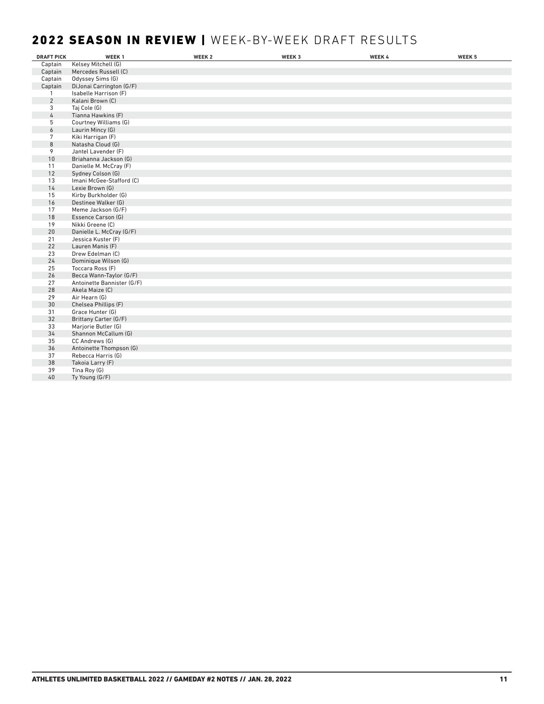## 2022 SEASON IN REVIEW | WEEK-BY-WEEK DRAFT RESULTS

| <b>DRAFT PICK</b> | WEEK <sub>1</sub>          | WEEK <sub>2</sub> | WEEK 3 | WEEK 4 | WEEK 5 |
|-------------------|----------------------------|-------------------|--------|--------|--------|
| Captain           | Kelsey Mitchell (G)        |                   |        |        |        |
| Captain           | Mercedes Russell (C)       |                   |        |        |        |
| Captain           | Odyssey Sims (G)           |                   |        |        |        |
| Captain           | DiJonai Carrington (G/F)   |                   |        |        |        |
| $\mathbf{1}$      | Isabelle Harrison (F)      |                   |        |        |        |
| $\overline{2}$    | Kalani Brown (C)           |                   |        |        |        |
| 3                 | Taj Cole (G)               |                   |        |        |        |
| 4                 | Tianna Hawkins (F)         |                   |        |        |        |
| 5                 | Courtney Williams (G)      |                   |        |        |        |
| 6                 | Laurin Mincy (G)           |                   |        |        |        |
| 7                 | Kiki Harrigan (F)          |                   |        |        |        |
| 8                 | Natasha Cloud (G)          |                   |        |        |        |
| 9                 | Jantel Lavender (F)        |                   |        |        |        |
| 10                | Briahanna Jackson (G)      |                   |        |        |        |
| 11                | Danielle M. McCray (F)     |                   |        |        |        |
| 12                | Sydney Colson (G)          |                   |        |        |        |
| 13                | Imani McGee-Stafford (C)   |                   |        |        |        |
| 14                | Lexie Brown (G)            |                   |        |        |        |
| 15                | Kirby Burkholder (G)       |                   |        |        |        |
| 16                | Destinee Walker (G)        |                   |        |        |        |
| 17                | Meme Jackson (G/F)         |                   |        |        |        |
| 18                | Essence Carson (G)         |                   |        |        |        |
| 19                | Nikki Greene (C)           |                   |        |        |        |
| 20                | Danielle L. McCray (G/F)   |                   |        |        |        |
| 21                | Jessica Kuster (F)         |                   |        |        |        |
| 22                | Lauren Manis (F)           |                   |        |        |        |
| 23                | Drew Edelman (C)           |                   |        |        |        |
| 24                | Dominique Wilson (G)       |                   |        |        |        |
| 25                | Toccara Ross (F)           |                   |        |        |        |
| 26                | Becca Wann-Taylor (G/F)    |                   |        |        |        |
| 27                | Antoinette Bannister (G/F) |                   |        |        |        |
| 28                | Akela Maize (C)            |                   |        |        |        |
| 29                | Air Hearn (G)              |                   |        |        |        |
| 30                | Chelsea Phillips (F)       |                   |        |        |        |
| 31                | Grace Hunter (G)           |                   |        |        |        |
| 32                | Brittany Carter (G/F)      |                   |        |        |        |
| 33                | Marjorie Butler (G)        |                   |        |        |        |
| 34                | Shannon McCallum (G)       |                   |        |        |        |
| 35                | CC Andrews (G)             |                   |        |        |        |
| 36                | Antoinette Thompson (G)    |                   |        |        |        |
| 37                | Rebecca Harris (G)         |                   |        |        |        |
| 38                | Takoia Larry (F)           |                   |        |        |        |
| 39                | Tina Roy (G)               |                   |        |        |        |
| 40                | Ty Young (G/F)             |                   |        |        |        |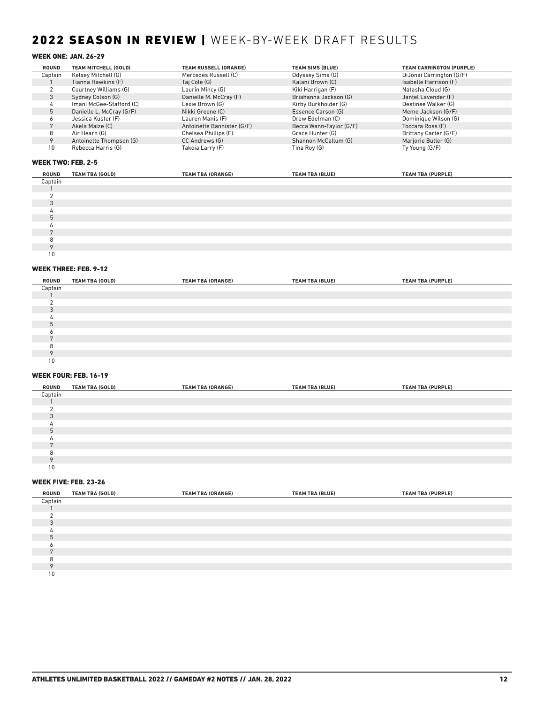## 2022 SEASON IN REVIEW | WEEK-BY-WEEK DRAFT RESULTS

### WEEK ONE: JAN. 26-29

| <b>ROUND</b> | TEAM MITCHELL (GOLD)     | <b>TEAM RUSSELL (ORANGE)</b> | <b>TEAM SIMS (BLUE)</b> | <b>TEAM CARRINGTON (PURPLE)</b> |
|--------------|--------------------------|------------------------------|-------------------------|---------------------------------|
| Captain      | Kelsey Mitchell (G)      | Mercedes Russell (C)         | Odyssey Sims (G)        | DiJonai Carrington (G/F)        |
|              | Tianna Hawkins (F)       | Taj Cole (G)                 | Kalani Brown (C)        | Isabelle Harrison (F)           |
|              | Courtney Williams (G)    | Laurin Mincy (G)             | Kiki Harrigan (F)       | Natasha Cloud (G)               |
|              | Sydney Colson (G)        | Danielle M. McCray (F)       | Briahanna Jackson (G)   | Jantel Lavender (F)             |
|              | Imani McGee-Stafford (C) | Lexie Brown (G)              | Kirby Burkholder (G)    | Destinee Walker (G)             |
|              | Danielle L. McCray (G/F) | Nikki Greene (C)             | Essence Carson (G)      | Meme Jackson (G/F)              |
|              | Jessica Kuster (F)       | Lauren Manis (F)             | Drew Edelman (C)        | Dominique Wilson (G)            |
|              | Akela Maize (C)          | Antoinette Bannister (G/F)   | Becca Wann-Taylor (G/F) | Toccara Ross (F)                |
|              | Air Hearn (G)            | Chelsea Phillips (F)         | Grace Hunter (G)        | Brittany Carter (G/F)           |
|              | Antoinette Thompson (G)  | CC Andrews (G)               | Shannon McCallum (G)    | Marjorie Butler (G)             |
| 10           | Rebecca Harris (G)       | Takoia Larry (F)             | Tina Roy (G)            | Ty Young (G/F)                  |

#### WEEK TWO: FEB. 2-5

| ROUND   | <b>TEAM TBA (GOLD)</b> | <b>TEAM TBA (ORANGE)</b> | <b>TEAM TBA (BLUE)</b> | <b>TEAM TBA (PURPLE)</b> |
|---------|------------------------|--------------------------|------------------------|--------------------------|
| Captain |                        |                          |                        |                          |
|         |                        |                          |                        |                          |
|         |                        |                          |                        |                          |
|         |                        |                          |                        |                          |
|         |                        |                          |                        |                          |
|         |                        |                          |                        |                          |
|         |                        |                          |                        |                          |
|         |                        |                          |                        |                          |
|         |                        |                          |                        |                          |
|         |                        |                          |                        |                          |
| 10      |                        |                          |                        |                          |

#### WEEK THREE: FEB. 9-12

| ROUND          | <b>TEAM TBA (GOLD)</b> | <b>TEAM TBA (ORANGE)</b> | <b>TEAM TBA (BLUE)</b> | <b>TEAM TBA (PURPLE)</b> |
|----------------|------------------------|--------------------------|------------------------|--------------------------|
| Captain        |                        |                          |                        |                          |
|                |                        |                          |                        |                          |
|                |                        |                          |                        |                          |
| $\Omega$       |                        |                          |                        |                          |
|                |                        |                          |                        |                          |
| 5              |                        |                          |                        |                          |
|                |                        |                          |                        |                          |
| $\overline{ }$ |                        |                          |                        |                          |
| я              |                        |                          |                        |                          |
| $\Omega$       |                        |                          |                        |                          |
| 10             |                        |                          |                        |                          |

#### WEEK FOUR: FEB. 16-19

| ROUND    | <b>TEAM TBA (GOLD)</b> | <b>TEAM TBA (ORANGE)</b> | <b>TEAM TBA (BLUE)</b> | <b>TEAM TBA (PURPLE)</b> |  |
|----------|------------------------|--------------------------|------------------------|--------------------------|--|
| Captain  |                        |                          |                        |                          |  |
|          |                        |                          |                        |                          |  |
|          |                        |                          |                        |                          |  |
| $\Omega$ |                        |                          |                        |                          |  |
|          |                        |                          |                        |                          |  |
| h        |                        |                          |                        |                          |  |
|          |                        |                          |                        |                          |  |
|          |                        |                          |                        |                          |  |
|          |                        |                          |                        |                          |  |
|          |                        |                          |                        |                          |  |
| 10       |                        |                          |                        |                          |  |

#### WEEK FIVE: FEB. 23-26

| ROUND   | <b>TEAM TBA (GOLD)</b> | <b>TEAM TBA (ORANGE)</b> | <b>TEAM TBA (BLUE)</b> | <b>TEAM TBA (PURPLE)</b> |  |
|---------|------------------------|--------------------------|------------------------|--------------------------|--|
| Captain |                        |                          |                        |                          |  |
|         |                        |                          |                        |                          |  |
|         |                        |                          |                        |                          |  |
|         |                        |                          |                        |                          |  |
|         |                        |                          |                        |                          |  |
|         |                        |                          |                        |                          |  |
|         |                        |                          |                        |                          |  |
|         |                        |                          |                        |                          |  |
|         |                        |                          |                        |                          |  |
|         |                        |                          |                        |                          |  |
| 10      |                        |                          |                        |                          |  |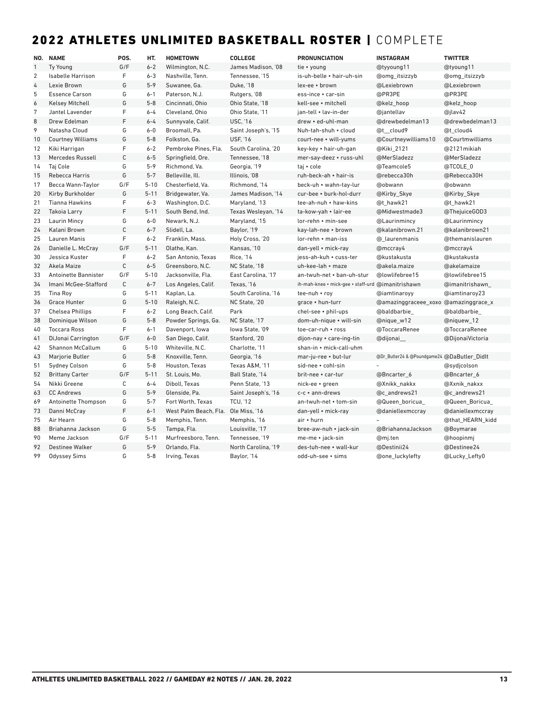## 2022 ATHLETES UNLIMITED BASKETBALL ROSTER | COMPLETE

|                | NO. NAME                 | POS.        | HT.      | <b>HOMETOWN</b>       | <b>COLLEGE</b>      | <b>PRONUNCIATION</b>               | <b>INSTAGRAM</b>                            | <b>TWITTER</b>   |
|----------------|--------------------------|-------------|----------|-----------------------|---------------------|------------------------------------|---------------------------------------------|------------------|
| $\mathbf{1}$   | <b>Ty Young</b>          | G/F         | $6 - 2$  | Wilmington, N.C.      | James Madison. '08  | tie • young                        | @tyyoung11                                  | @tyoung11        |
| $\overline{2}$ | <b>Isabelle Harrison</b> | F           | $6 - 3$  | Nashville, Tenn.      | Tennessee. '15      | is-uh-belle • hair-uh-sin          | @omg_itsizzyb                               | @omg itsizzyb    |
| 4              | Lexie Brown              | G           | $5 - 9$  | Suwanee, Ga.          | Duke, '18           | lex-ee · brown                     | @Lexiebrown                                 | @Lexiebrown      |
| 5              | <b>Essence Carson</b>    | G           | $6 - 1$  | Paterson, N.J.        | Rutgers, '08        | ess-ince • car-sin                 | @PR3PE                                      | @PR3PE           |
| 6              | <b>Kelsey Mitchell</b>   | G           | $5 - 8$  | Cincinnati, Ohio      | Ohio State, '18     | kell-see · mitchell                | @kelz_hoop                                  | @kelz_hoop       |
| 7              | Jantel Lavender          | F           | $6 - 4$  | Cleveland, Ohio       | Ohio State. '11     | ian-tell • lav-in-der              | @jantellav                                  | @jlav42          |
| 8              | Drew Edelman             | F           | $6 - 4$  | Sunnyvale, Calif.     | <b>USC. '16</b>     | drew • ed-uhl-man                  | @drewbedelman13                             | @drewbedelman13  |
| 9              | Natasha Cloud            | G           | $6 - 0$  | Broomall, Pa.         | Saint Joseph's, '15 | Nuh-tah-shuh • cloud               | @t cloud9                                   | @t cloud4        |
| 10             | <b>Courtney Williams</b> | G           | $5 - 8$  | Folkston, Ga.         | <b>USF, '16</b>     | court-nee • will-yums              | @Courtneywilliams10                         | @Courtmwilliams  |
| 12             | Kiki Harrigan            | F           | $6 - 2$  | Pembroke Pines, Fla.  | South Carolina, '20 | key-key • hair-uh-gan              | @Kiki_2121                                  | @2121mikiah      |
| 13             | Mercedes Russell         | $\mathsf C$ | $6 - 5$  | Springfield, Ore.     | Tennessee, '18      | mer-say-deez • russ-uhl            | @MerSladezz                                 | @MerSladezz      |
| 14             | Taj Cole                 | G           | $5 - 9$  | Richmond, Va.         | Georgia, '19        | taj • cole                         | @Teamcole5                                  | @TCOLE 0         |
| 15             | Rebecca Harris           | G           | $5 - 7$  | Belleville, Ill.      | Illinois, '08       | ruh-beck-ah • hair-is              | @rebecca30h                                 | @Rebecca30H      |
| 17             | Becca Wann-Taylor        | G/F         | $5 - 10$ | Chesterfield, Va.     | Richmond, '14       | beck-uh • wahn-tay-lur             | @obwann                                     | @obwann          |
| 20             | Kirby Burkholder         | G           | $5 - 11$ | Bridgewater, Va.      | James Madison, '14  | cur-bee • burk-hol-durr            | @Kirby_Skye                                 | @Kirby_Skye      |
| 21             | <b>Tianna Hawkins</b>    | F           | $6 - 3$  | Washington, D.C.      | Maryland, '13       | tee-ah-nuh • haw-kins              | @t hawk21                                   | @t_hawk21        |
| 22             | <b>Takoia Larry</b>      | F           | $5 - 11$ | South Bend, Ind.      | Texas Wesleyan, '14 | ta-kow-yah • lair-ee               | @Midwestmade3                               | @ThejuiceGOD3    |
| 23             | Laurin Mincy             | G           | $6-0$    | Newark, N.J.          | Maryland, '15       | lor-rehn • min-see                 | @Laurinmincy                                | @Laurinmincy     |
| 24             | Kalani Brown             | $\mathsf C$ | $6 - 7$  | Slidell, La.          | Baylor, '19         | kay-lah-nee • brown                | @kalanibrown.21                             | @kalanibrown21   |
| 25             | Lauren Manis             | F           | $6 - 2$  | Franklin, Mass.       | Holy Cross, '20     | $lor$ -rehn $\cdot$ man-iss        | @ laurenmanis                               | @themanislauren  |
| 26             | Danielle L. McCray       | G/F         | $5 - 11$ | Olathe, Kan.          | Kansas, '10         | dan-yell • mick-ray                | @mccray4                                    | @mccray4         |
| 30             | Jessica Kuster           | F           | $6 - 2$  | San Antonio, Texas    | <b>Rice, '14</b>    | jess-ah-kuh • cuss-ter             | @kustakusta                                 | @kustakusta      |
| 32             | Akela Maize              | $\mathsf C$ | $6 - 5$  | Greensboro, N.C.      | NC State, '18       | uh-kee-lah • maze                  | @akela.maize                                | @akelamaize      |
| 33             | Antoinette Bannister     | G/F         | $5 - 10$ | Jacksonville, Fla.    | East Carolina, '17  | an-twuh-net • ban-uh-stur          | @lowlifebree15                              | @lowlifebree15   |
| 34             | Imani McGee-Stafford     | $\mathsf C$ | $6 - 7$  | Los Angeles, Calif.   | Texas, '16          | ih-mah-knee • mick-gee • staff-urd | @imanitrishawn                              | @imanitrishawn   |
| 35             | Tina Roy                 | G           | $5 - 11$ | Kaplan, La.           | South Carolina, '16 | tee-nuh • roy                      | @iamtinaroyy                                | @iamtinaroy23    |
| 36             | <b>Grace Hunter</b>      | G           | $5 - 10$ | Raleigh, N.C.         | NC State, '20       | grace . hun-turr                   | @amazinggraceee_xoxo @amazinggrace_x        |                  |
| 37             | <b>Chelsea Phillips</b>  | F           | $6 - 2$  | Long Beach, Calif.    | Park                | chel-see . phil-ups                | @baldbarbie_                                | @baldbarbie_     |
| 38             | Dominique Wilson         | G           | $5 - 8$  | Powder Springs, Ga.   | NC State, '17       | dom-uh-nique • will-sin            | @nique_w12                                  | @niquew_12       |
| 40             | <b>Toccara Ross</b>      | F           | $6 - 1$  | Davenport, Iowa       | lowa State. '09     | toe-car-ruh • ross                 | @ToccaraRenee                               | @ToccaraRenee    |
| 41             | DiJonai Carrington       | G/F         | $6-0$    | San Diego, Calif.     | Stanford, '20       | dijon-nay • care-ing-tin           | @dijonai                                    | @DijonaiVictoria |
| 42             | <b>Shannon McCallum</b>  | G           | $5 - 10$ | Whiteville, N.C.      | Charlotte, '11      | shan-in • mick-call-uhm            |                                             |                  |
| 43             | Marjorie Butler          | G           | $5 - 8$  | Knoxville, Tenn.      | Georgia, '16        | mar-ju-ree • but-lur               | @Dr_Butler24 & @Poundgame24 @DaButler_Didlt |                  |
| 51             | <b>Sydney Colson</b>     | G           | $5 - 8$  | Houston, Texas        | Texas A&M, '11      | sid-nee • cohl-sin                 |                                             | @sydjcolson      |
| 52             | <b>Brittany Carter</b>   | G/F         | $5 - 11$ | St. Louis, Mo.        | Ball State, '14     | brit-nee • car-tur                 | @Bncarter_6                                 | @Bncarter_6      |
| 54             | Nikki Greene             | $\mathsf C$ | $6 - 4$  | Diboll, Texas         | Penn State, '13     | nick-ee • green                    | @Xnikk nakkx                                | @Xxnik nakxx     |
| 63             | <b>CC Andrews</b>        | G           | $5 - 9$  | Glenside, Pa.         | Saint Joseph's, '16 | c-c • ann-drews                    | @c andrews21                                | @c_andrews21     |
| 69             | Antoinette Thompson      | G           | $5 - 7$  | Fort Worth, Texas     | <b>TCU, '12</b>     | an-twuh-net • tom-sin              | @Queen_boricua_                             | @Queen_Boricua_  |
| 73             | Danni McCray             | F           | $6 - 1$  | West Palm Beach, Fla. | Ole Miss, '16       | dan-yell • mick-ray                | @daniellexmccray                            | @daniellexmccray |
| 75             | Air Hearn                | G           | $5 - 8$  | Memphis, Tenn.        | Memphis, '16        | air • hurn                         |                                             | @that_HEARN_kidd |
| 88             | Briahanna Jackson        | G           | $5 - 5$  | Tampa, Fla.           | Louisville, '17     | bree-aw-nuh • jack-sin             | @BriahannaJackson                           | @Boymarae        |
| 90             | Meme Jackson             | G/F         | $5 - 11$ | Murfreesboro. Tenn.   | Tennessee. '19      | me-me • jack-sin                   | @mj.ten                                     | @hoopinmi        |
| 92             | <b>Destinee Walker</b>   | G           | $5 - 9$  | Orlando, Fla.         | North Carolina, '19 | des-tuh-nee • wall-kur             | @Destinii24                                 | @Destinee24      |
| 99             | <b>Odyssey Sims</b>      | G           | $5 - 8$  | Irving, Texas         | Baylor, '14         | odd-uh-see • sims                  | @one_luckylefty                             | @Lucky_Lefty0    |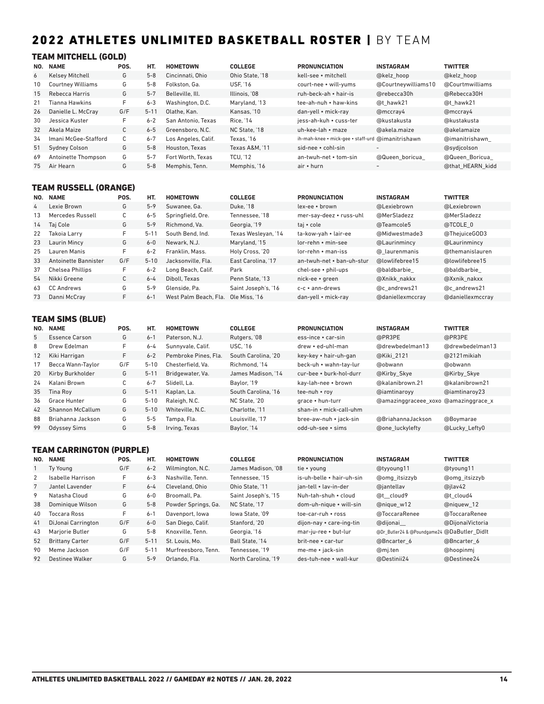## 2022 ATHLETES UNLIMITED BASKETBALL ROSTER | BY TEAM

### TEAM MITCHELL (GOLD)

| NO. | <b>NAME</b>              | POS. | HT.      | <b>HOMETOWN</b>     | <b>COLLEGE</b>  | <b>PRONUNCIATION</b>                              | <b>INSTAGRAM</b>         | <b>TWITTER</b>   |
|-----|--------------------------|------|----------|---------------------|-----------------|---------------------------------------------------|--------------------------|------------------|
| 6   | <b>Kelsey Mitchell</b>   | G    | $5 - 8$  | Cincinnati, Ohio    | Ohio State, '18 | kell-see • mitchell                               | @kelz hoop               | @kelz hoop       |
| 10  | <b>Courtney Williams</b> | G    | $5 - 8$  | Folkston, Ga.       | <b>USF. '16</b> | court-nee • will-yums                             | @Courtneywilliams10      | @Courtmwilliams  |
| 15  | Rebecca Harris           | G    | $5 - 7$  | Belleville, Ill.    | Illinois. '08   | ruh-beck-ah • hair-is                             | @rebecca30h              | @Rebecca30H      |
| 21  | Fianna Hawkins           | F    | $6 - 3$  | Washington, D.C.    | Maryland, '13   | tee-ah-nuh • haw-kins                             | @t hawk21                | @t hawk21        |
| 26  | Danielle L. McCray       | G/F  | $5 - 11$ | Olathe, Kan.        | Kansas, '10     | dan-yell • mick-ray                               | @mccray4                 | @mccray4         |
| 30  | Jessica Kuster           | F    | $6 - 2$  | San Antonio. Texas  | Rice, '14       | iess-ah-kuh • cuss-ter                            | @kustakusta              | @kustakusta      |
| 32  | Akela Maize              | C    | $6 - 5$  | Greensboro, N.C.    | NC State. '18   | uh-kee-lah • maze                                 | @akela.maize             | @akelamaize      |
| 34  | Imani McGee-Stafford     | C    | $6 - 7$  | Los Angeles, Calif. | Texas. '16      | ih-mah-knee • mick-gee • staff-urd @imanitrishawn |                          | @imanitrishawn   |
| 51  | <b>Sydney Colson</b>     | G    | $5 - 8$  | Houston, Texas      | Texas A&M. '11  | sid-nee • cohl-sin                                | $\overline{\phantom{a}}$ | @sydicolson      |
| 69  | Antoinette Thompson      | G    | $5 - 7$  | Fort Worth, Texas   | <b>TCU. '12</b> | an-twuh-net • tom-sin                             | @Queen boricua           | @Queen Boricua   |
| 75  | Air Hearn                | G    | $5 - 8$  | Memphis, Tenn.      | Memphis, '16    | air • hurn                                        | $\overline{\phantom{a}}$ | @that HEARN kidd |

## TEAM RUSSELL (ORANGE)

| NO. | <b>NAME</b>          | POS. | HT.      | <b>HOMETOWN</b>       | <b>COLLEGE</b>      | <b>PRONUNCIATION</b>        | <b>INSTAGRAM</b> | <b>TWITTER</b>   |
|-----|----------------------|------|----------|-----------------------|---------------------|-----------------------------|------------------|------------------|
| 4   | Lexie Brown          | G    | $5 - 9$  | Suwanee, Ga.          | Duke, '18           | lex-ee • brown              | @Lexiebrown      | @Lexiebrown      |
| 13  | Mercedes Russell     | С    | $6 - 5$  | Springfield, Ore.     | Tennessee. '18      | mer-say-deez • russ-uhl     | @MerSladezz      | @MerSladezz      |
| 14  | Taj Cole             | G    | $5 - 9$  | Richmond, Va.         | Georgia, '19        | taj • cole                  | @Teamcole5       | @TCOLE 0         |
| 22  | Takoja Larry         | F.   | $5 - 1$  | South Bend, Ind.      | Texas Wesleyan, '14 | ta-kow-yah • lair-ee        | @Midwestmade3    | @ThejuiceGOD3    |
| 23  | Laurin Mincy         | G    | $6-0$    | Newark, N.J.          | Maryland, '15       | lor-rehn • min-see          | @Laurinmincy     | @Laurinmincy     |
| 25  | Lauren Manis         | F.   | $6 - 2$  | Franklin, Mass.       | Holy Cross, '20     | $lor$ -rehn $\cdot$ man-iss | @ laurenmanis    | @themanislauren  |
| 33  | Antoinette Bannister | G/F  | $5 - 10$ | Jacksonville, Fla.    | East Carolina. '17  | an-twuh-net • ban-uh-stur   | @lowlifebree15   | @lowlifebree15   |
| 37  | Chelsea Phillips     | F    | $6 - 2$  | Long Beach, Calif.    | Park                | chel-see • phil-ups         | @baldbarbie      | @baldbarbie      |
| 54  | Nikki Greene         | С    | $6 - 4$  | Diboll, Texas         | Penn State, '13     | nick-ee • green             | @Xnikk nakkx     | @Xxnik nakxx     |
| 63  | <b>CC Andrews</b>    | G    | $5 - 9$  | Glenside, Pa.         | Saint Joseph's, '16 | $c-c ullet$ ann-drews       | @c andrews21     | @c andrews21     |
| 73  | Danni McCray         | F.   | $6 - 1$  | West Palm Beach, Fla. | Ole Miss. '16       | dan-yell • mick-ray         | @daniellexmccray | @daniellexmccray |

## TEAM SIMS (BLUE)

| NO.               | <b>NAME</b>           | POS. | HT.      | <b>HOMETOWN</b>      | <b>COLLEGE</b>      | <b>PRONUNCIATION</b>    | <b>INSTAGRAM</b>                     | <b>TWITTER</b>  |
|-------------------|-----------------------|------|----------|----------------------|---------------------|-------------------------|--------------------------------------|-----------------|
| 5                 | <b>Essence Carson</b> | G    | $6 - 1$  | Paterson, N.J.       | Rutgers, '08        | ess-ince • car-sin      | @PR3PE                               | @PR3PE          |
| 8                 | Drew Edelman          | F    | $6 - 4$  | Sunnyvale, Calif.    | <b>USC. '16</b>     | drew • ed-uhl-man       | @drewbedelman13                      | @drewbedelman13 |
| $12 \overline{ }$ | Kiki Harrigan         | F.   | $6 - 2$  | Pembroke Pines, Fla. | South Carolina. '20 | key-key • hair-uh-gan   | @Kiki 2121                           | @2121 mikiah    |
| 17                | Becca Wann-Taylor     | G/F  | $5 - 10$ | Chesterfield. Va.    | Richmond. '14       | beck-uh • wahn-tay-lur  | @obwann                              | @obwann         |
| 20                | Kirby Burkholder      | G    | $5 - 11$ | Bridgewater, Va.     | James Madison, '14  | cur-bee • burk-hol-durr | @Kirby Skye                          | @Kirby Skye     |
| 24                | Kalani Brown          | С    | $6 - 7$  | Slidell, La.         | Baylor, '19         | kay-lah-nee • brown     | @kalanibrown.21                      | @kalanibrown21  |
| 35                | Tina Rov              | G    | $5 - 11$ | Kaplan, La.          | South Carolina. '16 | tee-nuh • rov           | @iamtinarovy                         | @iamtinarov23   |
| 36                | Grace Hunter          | G    | $5 - 10$ | Raleigh, N.C.        | NC State, '20       | grace • hun-turr        | @amazinggraceee xoxo @amazinggrace x |                 |
| 42                | Shannon McCallum      | G    | $5 - 10$ | Whiteville, N.C.     | Charlotte. '11      | shan-in • mick-call-uhm |                                      |                 |
| 88                | Briahanna Jackson     | G    | $5 - 5$  | Tampa, Fla.          | Louisville. '17     | bree-aw-nuh • jack-sin  | @BriahannaJackson                    | @Boymarae       |
| 99                | <b>Odyssey Sims</b>   | G    | $5 - 8$  | Irving, Texas        | Baylor, '14         | odd-uh-see • sims       | <b>@one luckylefty</b>               | @Lucky Lefty0   |

### TEAM CARRINGTON (PURPLE)

| NO. | <b>NAME</b>            | POS. | HT.      | <b>HOMETOWN</b>     | <b>COLLEGE</b>      | <b>PRONUNCIATION</b>      | <b>INSTAGRAM</b>                            | <b>TWITTER</b>   |
|-----|------------------------|------|----------|---------------------|---------------------|---------------------------|---------------------------------------------|------------------|
|     | Ty Young               | G/F  | $6 - 2$  | Wilmington, N.C.    | James Madison, '08  | tie • young               | @tyyoung11                                  | @tyoung11        |
| 2   | Isabelle Harrison      | F    | $6 - 3$  | Nashville, Tenn.    | Tennessee. '15      | is-uh-belle • hair-uh-sin | @omg itsizzyb                               | @omg itsizzyb    |
|     | Jantel Lavender        | F    | $6 - 4$  | Cleveland, Ohio     | Ohio State, '11     | ian-tell • lav-in-der     | @jantellav                                  | @jlav42          |
| 9   | Natasha Cloud          | G    | $6-0$    | Broomall, Pa.       | Saint Joseph's, '15 | Nuh-tah-shuh • cloud      | @t cloud9                                   | @t cloud4        |
| 38  | Dominique Wilson       | G    | $5 - 8$  | Powder Springs, Ga. | NC State. '17       | dom-uh-nique • will-sin   | @nique w12                                  | @niquew 12       |
| 40  | Toccara Ross           | F    | $6 - 1$  | Davenport, lowa     | lowa State. '09     | toe-car-ruh • ross        | @ToccaraRenee                               | @ToccaraRenee    |
| 41  | DiJonai Carrington     | G/F  | $6 - 0$  | San Diego, Calif.   | Stanford, '20       | dijon-nay • care-ing-tin  | @dijonai                                    | @DijonaiVictoria |
| 43  | Mariorie Butler        | G    | $5 - 8$  | Knoxville, Tenn.    | Georgia, '16        | mar-ju-ree • but-lur      | @Dr_Butler24 & @Poundgame24 @DaButler Didlt |                  |
| 52  | <b>Brittany Carter</b> | G/F  | $5 - 11$ | St. Louis, Mo.      | Ball State. '14     | brit-nee • car-tur        | @Bncarter 6                                 | @Bncarter 6      |
| 90  | Meme Jackson           | G/F  | $5 - 11$ | Murfreesboro. Tenn. | Tennessee. '19      | me-me • jack-sin          | @mj.ten                                     | @hoopinmi        |
| 92  | Destinee Walker        | G    | $5 - 9$  | Orlando, Fla.       | North Carolina, '19 | des-tuh-nee • wall-kur    | @Destinii24                                 | @Destinee24      |
|     |                        |      |          |                     |                     |                           |                                             |                  |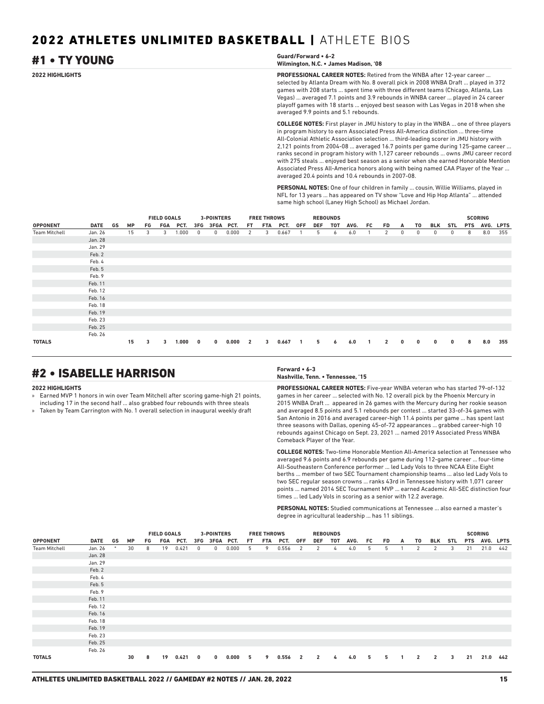#### **2022 HIGHLIGHTS PROFESSIONAL CAREER NOTES:** Retired from the WNBA after 12-year career ... selected by Atlanta Dream with No. 8 overall pick in 2008 WNBA Draft ... played in 372 games with 208 starts ... spent time with three different teams (Chicago, Atlanta, Las Vegas) ... averaged 7.1 points and 3.9 rebounds in WNBA career ... played in 24 career playoff games with 18 starts ... enjoyed best season with Las Vegas in 2018 when she averaged 9.9 points and 5.1 rebounds. #1 • TY YOUNG **Guard/Forward • 6-2 Wilmington, N.C. • James Madison, '08**

**COLLEGE NOTES:** First player in JMU history to play in the WNBA ... one of three players in program history to earn Associated Press All-America distinction ... three-time All-Colonial Athletic Association selection ... third-leading scorer in JMU history with 2,121 points from 2004-08 ... averaged 16.7 points per game during 125-game career ... ranks second in program history with 1,127 career rebounds ... owns JMU career record with 275 steals ... enjoyed best season as a senior when she earned Honorable Mention Associated Press All-America honors along with being named CAA Player of the Year ... averaged 20.4 points and 10.4 rebounds in 2007-08.

**PERSONAL NOTES:** One of four children in family ... cousin, Willie Williams, played in NFL for 13 years ... has appeared on TV show "Love and Hip Hop Atlanta" ... attended same high school (Laney High School) as Michael Jordan.

|                      |         |    |           |    | <b>FIELD GOALS</b> |       |     | 3-POINTERS   |       |                | <b>FREE THROWS</b> |       |     |     | <b>REBOUNDS</b> |      |    |                |              |    |              |            |            | <b>SCORING</b> |     |
|----------------------|---------|----|-----------|----|--------------------|-------|-----|--------------|-------|----------------|--------------------|-------|-----|-----|-----------------|------|----|----------------|--------------|----|--------------|------------|------------|----------------|-----|
| <b>OPPONENT</b>      | DATE    | GS | <b>MP</b> | FG | FGA                | PCT.  | 3FG | 3FGA PCT.    |       | FT.            | FTA                | PCT.  | 0FF | DEF | TOT             | AVG. | FC | <b>FD</b>      | A            | T0 | <b>BLK</b>   | <b>STL</b> | <b>PTS</b> | AVG. LPTS      |     |
| <b>Team Mitchell</b> | Jan. 26 |    | 15        | 3  | 3                  | 1.000 | 0   | 0            | 0.000 | 2              | 3                  | 0.667 |     | 5   | 6               | 6.0  |    | 2              | 0            | 0  | 0            | 0          | 8          | 8.0            | 355 |
|                      | Jan. 28 |    |           |    |                    |       |     |              |       |                |                    |       |     |     |                 |      |    |                |              |    |              |            |            |                |     |
|                      | Jan. 29 |    |           |    |                    |       |     |              |       |                |                    |       |     |     |                 |      |    |                |              |    |              |            |            |                |     |
|                      | Feb. 2  |    |           |    |                    |       |     |              |       |                |                    |       |     |     |                 |      |    |                |              |    |              |            |            |                |     |
|                      | Feb. 4  |    |           |    |                    |       |     |              |       |                |                    |       |     |     |                 |      |    |                |              |    |              |            |            |                |     |
|                      | Feb. 5  |    |           |    |                    |       |     |              |       |                |                    |       |     |     |                 |      |    |                |              |    |              |            |            |                |     |
|                      | Feb. 9  |    |           |    |                    |       |     |              |       |                |                    |       |     |     |                 |      |    |                |              |    |              |            |            |                |     |
|                      | Feb. 11 |    |           |    |                    |       |     |              |       |                |                    |       |     |     |                 |      |    |                |              |    |              |            |            |                |     |
|                      | Feb. 12 |    |           |    |                    |       |     |              |       |                |                    |       |     |     |                 |      |    |                |              |    |              |            |            |                |     |
|                      | Feb. 16 |    |           |    |                    |       |     |              |       |                |                    |       |     |     |                 |      |    |                |              |    |              |            |            |                |     |
|                      | Feb. 18 |    |           |    |                    |       |     |              |       |                |                    |       |     |     |                 |      |    |                |              |    |              |            |            |                |     |
|                      | Feb. 19 |    |           |    |                    |       |     |              |       |                |                    |       |     |     |                 |      |    |                |              |    |              |            |            |                |     |
|                      | Feb. 23 |    |           |    |                    |       |     |              |       |                |                    |       |     |     |                 |      |    |                |              |    |              |            |            |                |     |
|                      | Feb. 25 |    |           |    |                    |       |     |              |       |                |                    |       |     |     |                 |      |    |                |              |    |              |            |            |                |     |
|                      | Feb. 26 |    |           |    |                    |       |     |              |       |                |                    |       |     |     |                 |      |    |                |              |    |              |            |            |                |     |
| <b>TOTALS</b>        |         |    | 15        | 3  | 3                  | 1.000 | 0   | $\mathbf{0}$ | 0.000 | $\overline{2}$ | 3                  | 0.667 |     | 5   | 6               | 6.0  |    | $\overline{2}$ | $\mathbf{0}$ | 0  | $\mathbf{0}$ | 0          | 8          | 8.0            | 355 |

## #2 • ISABELLE HARRISON **Forward • 6-3**

#### **2022 HIGHLIGHTS**

» Earned MVP 1 honors in win over Team Mitchell after scoring game-high 21 points, including 17 in the second half ... also grabbed four rebounds with three steals

» Taken by Team Carrington with No. 1 overall selection in inaugural weekly draft

**Nashville, Tenn. • Tennessee, '15**

**PROFESSIONAL CAREER NOTES:** Five-year WNBA veteran who has started 79-of-132 games in her career ... selected with No. 12 overall pick by the Phoenix Mercury in 2015 WNBA Draft ... appeared in 26 games with the Mercury during her rookie season and averaged 8.5 points and 5.1 rebounds per contest ... started 33-of-34 games with San Antonio in 2016 and averaged career-high 11.4 points per game ... has spent last three seasons with Dallas, opening 45-of-72 appearances ... grabbed career-high 10 rebounds against Chicago on Sept. 23, 2021 ... named 2019 Associated Press WNBA Comeback Player of the Year.

**COLLEGE NOTES:** Two-time Honorable Mention All-America selection at Tennessee who averaged 9.6 points and 6.9 rebounds per game during 112-game career ... four-time All-Southeastern Conference performer ... led Lady Vols to three NCAA Elite Eight berths ... member of two SEC Tournament championship teams ... also led Lady Vols to two SEC regular season crowns ... ranks 43rd in Tennessee history with 1,071 career points ... named 2014 SEC Tournament MVP ... earned Academic All-SEC distinction four times ... led Lady Vols in scoring as a senior with 12.2 average.

**PERSONAL NOTES:** Studied communications at Tennessee ... also earned a master's degree in agricultural leadership ... has 11 siblings.

|                      |         |    |           |    | <b>FIELD GOALS</b> |          |                          | 3-POINTERS |       |     | <b>FREE THROWS</b> |           |     |                | <b>REBOUNDS</b> |      |    |     |    |                |                |     |    | <b>SCORING</b> |     |
|----------------------|---------|----|-----------|----|--------------------|----------|--------------------------|------------|-------|-----|--------------------|-----------|-----|----------------|-----------------|------|----|-----|----|----------------|----------------|-----|----|----------------|-----|
| <b>OPPONENT</b>      | DATE    | GS | <b>MP</b> | FG |                    | FGA PCT. | 3FG                      | 3FGA PCT.  |       | FT. | FTA                | PCT.      | 0FF | DEF            | тот             | AVG. | FC | FD. | A  | T0             | BLK            | STL |    | PTS AVG. LPTS  |     |
| <b>Team Mitchell</b> | Jan. 26 |    | 30        | 8  | 19                 | 0.421    | $\mathbf{0}$             | 0          | 0.000 | 5   | 9                  | 0.556     | 2   | 2              | 4               | 4.0  | 5  | 5   |    | 2              | 2              | 3   | 21 | 21.0           | 442 |
|                      | Jan. 28 |    |           |    |                    |          |                          |            |       |     |                    |           |     |                |                 |      |    |     |    |                |                |     |    |                |     |
|                      | Jan. 29 |    |           |    |                    |          |                          |            |       |     |                    |           |     |                |                 |      |    |     |    |                |                |     |    |                |     |
|                      | Feb. 2  |    |           |    |                    |          |                          |            |       |     |                    |           |     |                |                 |      |    |     |    |                |                |     |    |                |     |
|                      | Feb. 4  |    |           |    |                    |          |                          |            |       |     |                    |           |     |                |                 |      |    |     |    |                |                |     |    |                |     |
|                      | Feb. 5  |    |           |    |                    |          |                          |            |       |     |                    |           |     |                |                 |      |    |     |    |                |                |     |    |                |     |
|                      | Feb. 9  |    |           |    |                    |          |                          |            |       |     |                    |           |     |                |                 |      |    |     |    |                |                |     |    |                |     |
|                      | Feb. 11 |    |           |    |                    |          |                          |            |       |     |                    |           |     |                |                 |      |    |     |    |                |                |     |    |                |     |
|                      | Feb. 12 |    |           |    |                    |          |                          |            |       |     |                    |           |     |                |                 |      |    |     |    |                |                |     |    |                |     |
|                      | Feb. 16 |    |           |    |                    |          |                          |            |       |     |                    |           |     |                |                 |      |    |     |    |                |                |     |    |                |     |
|                      | Feb. 18 |    |           |    |                    |          |                          |            |       |     |                    |           |     |                |                 |      |    |     |    |                |                |     |    |                |     |
|                      | Feb. 19 |    |           |    |                    |          |                          |            |       |     |                    |           |     |                |                 |      |    |     |    |                |                |     |    |                |     |
|                      | Feb. 23 |    |           |    |                    |          |                          |            |       |     |                    |           |     |                |                 |      |    |     |    |                |                |     |    |                |     |
|                      | Feb. 25 |    |           |    |                    |          |                          |            |       |     |                    |           |     |                |                 |      |    |     |    |                |                |     |    |                |     |
|                      | Feb. 26 |    |           |    |                    |          |                          |            |       |     |                    |           |     |                |                 |      |    |     |    |                |                |     |    |                |     |
| <b>TOTALS</b>        |         |    | 30        | 8  | 19                 | 0.421    | $\overline{\phantom{a}}$ | $\bf{0}$   | 0.000 | 5   | 9                  | $0.556$ 2 |     | $\overline{2}$ | 4               | 4.0  | 5  | 5.  | 1. | $\overline{2}$ | $\overline{2}$ | 3   | 21 | 21.0           | 442 |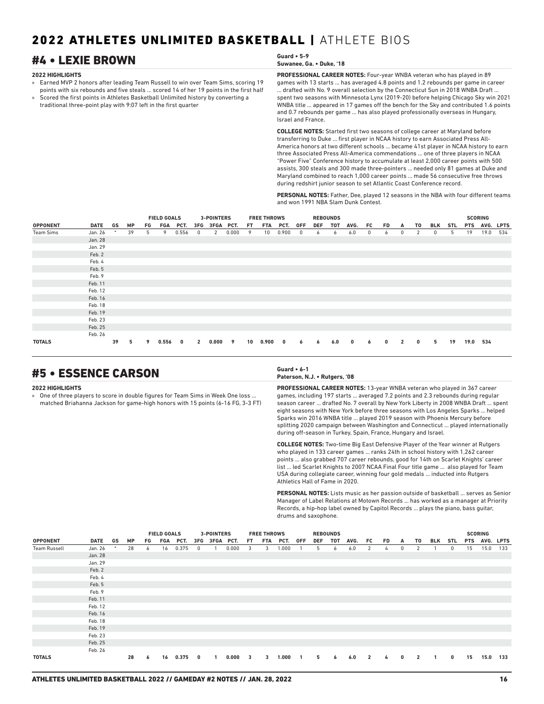## #4 • LEXIE BROWN **Guard • 5-9**

#### **2022 HIGHLIGHTS**

- » Earned MVP 2 honors after leading Team Russell to win over Team Sims, scoring 19 points with six rebounds and five steals ... scored 14 of her 19 points in the first half » Scored the first points in Athletes Basketball Unlimited history by converting a
- traditional three-point play with 9:07 left in the first quarter

**Suwanee, Ga. • Duke, '18**

**PROFESSIONAL CAREER NOTES:** Four-year WNBA veteran who has played in 89 games with 13 starts ... has averaged 4.8 points and 1.2 rebounds per game in career ... drafted with No. 9 overall selection by the Connecticut Sun in 2018 WNBA Draft ... spent two seasons with Minnesota Lynx (2019-20) before helping Chicago Sky win 2021 WNBA title ... appeared in 17 games off the bench for the Sky and contributed 1.6 points and 0.7 rebounds per game ... has also played professionally overseas in Hungary, Israel and France.

**COLLEGE NOTES:** Started first two seasons of college career at Maryland before transferring to Duke ... first player in NCAA history to earn Associated Press All-America honors at two different schools ... became 41st player in NCAA history to earn three Associated Press All-America commendations ... one of three players in NCAA "Power Five" Conference history to accumulate at least 2,000 career points with 500 assists, 300 steals and 300 made three-pointers ... needed only 81 games at Duke and Maryland combined to reach 1,000 career points ... made 56 consecutive free throws during redshirt junior season to set Atlantic Coast Conference record.

**PERSONAL NOTES:** Father, Dee, played 12 seasons in the NBA with four different teams and won 1991 NBA Slam Dunk Contest.

|                  |             |    |           |    | <b>FIELD GOALS</b> |              |              | <b>3-POINTERS</b> |       |     | <b>FREE THROWS</b> |       |            |            | <b>REBOUNDS</b> |      |     |              |              |             |     |     |            | <b>SCORING</b> |           |
|------------------|-------------|----|-----------|----|--------------------|--------------|--------------|-------------------|-------|-----|--------------------|-------|------------|------------|-----------------|------|-----|--------------|--------------|-------------|-----|-----|------------|----------------|-----------|
| <b>OPPONENT</b>  | <b>DATE</b> | GS | <b>MP</b> | FG | FGA                | PCT.         | 3FG          | 3FGA PCT.         |       | FT. | FTA                | PCT.  | <b>OFF</b> | <b>DEF</b> | TOT             | AVG. | FC. | FD.          | A            | T0          | BLK | STL | <b>PTS</b> |                | AVG. LPTS |
| <b>Team Sims</b> | Jan. 26     | *  | 39        | 5  | 9                  | 0.556        | 0            | 2                 | 0.000 | 9   | 10                 | 0.900 | 0          | 6          | 6               | 6.0  | 0   | 6            | 0            | 2           | 0   | 5   | 19         | 19.0           | 534       |
|                  | Jan. 28     |    |           |    |                    |              |              |                   |       |     |                    |       |            |            |                 |      |     |              |              |             |     |     |            |                |           |
|                  | Jan. 29     |    |           |    |                    |              |              |                   |       |     |                    |       |            |            |                 |      |     |              |              |             |     |     |            |                |           |
|                  | Feb. 2      |    |           |    |                    |              |              |                   |       |     |                    |       |            |            |                 |      |     |              |              |             |     |     |            |                |           |
|                  | Feb. 4      |    |           |    |                    |              |              |                   |       |     |                    |       |            |            |                 |      |     |              |              |             |     |     |            |                |           |
|                  | Feb. 5      |    |           |    |                    |              |              |                   |       |     |                    |       |            |            |                 |      |     |              |              |             |     |     |            |                |           |
|                  | Feb. 9      |    |           |    |                    |              |              |                   |       |     |                    |       |            |            |                 |      |     |              |              |             |     |     |            |                |           |
|                  | Feb. 11     |    |           |    |                    |              |              |                   |       |     |                    |       |            |            |                 |      |     |              |              |             |     |     |            |                |           |
|                  | Feb. 12     |    |           |    |                    |              |              |                   |       |     |                    |       |            |            |                 |      |     |              |              |             |     |     |            |                |           |
|                  | Feb. 16     |    |           |    |                    |              |              |                   |       |     |                    |       |            |            |                 |      |     |              |              |             |     |     |            |                |           |
|                  | Feb. 18     |    |           |    |                    |              |              |                   |       |     |                    |       |            |            |                 |      |     |              |              |             |     |     |            |                |           |
|                  | Feb. 19     |    |           |    |                    |              |              |                   |       |     |                    |       |            |            |                 |      |     |              |              |             |     |     |            |                |           |
|                  | Feb. 23     |    |           |    |                    |              |              |                   |       |     |                    |       |            |            |                 |      |     |              |              |             |     |     |            |                |           |
|                  | Feb. 25     |    |           |    |                    |              |              |                   |       |     |                    |       |            |            |                 |      |     |              |              |             |     |     |            |                |           |
|                  | Feb. 26     |    |           |    |                    |              |              |                   |       |     |                    |       |            |            |                 |      |     |              |              |             |     |     |            |                |           |
| <b>TOTALS</b>    |             | 39 | 5         | 9  | 0.556              | $\mathbf{0}$ | $\mathbf{2}$ | 0.000             | 9     | 10  | 0.900              | 0     | 6          | 6          | 6.0             | 0    | 6   | $\mathbf{0}$ | $\mathbf{2}$ | $\mathbf 0$ | 5   | 19  | 19.0       | 534            |           |

## #5 • ESSENCE CARSON **Guard • 6-1**

#### **2022 HIGHLIGHTS**

» One of three players to score in double figures for Team Sims in Week One loss ... matched Briahanna Jackson for game-high honors with 15 points (6-16 FG, 3-3 FT)

**Paterson, N.J. • Rutgers, '08**

**PROFESSIONAL CAREER NOTES:** 13-year WNBA veteran who played in 367 career games, including 197 starts ... averaged 7.2 points and 2.3 rebounds during regular season career ... drafted No. 7 overall by New York Liberty in 2008 WNBA Draft ... spent eight seasons with New York before three seasons with Los Angeles Sparks ... helped Sparks win 2016 WNBA title ... played 2019 season with Phoenix Mercury before splitting 2020 campaign between Washington and Connecticut ... played internationally during off-season in Turkey, Spain, France, Hungary and Israel.

**COLLEGE NOTES:** Two-time Big East Defensive Player of the Year winner at Rutgers who played in 133 career games ... ranks 24th in school history with 1,262 career points ... also grabbed 707 career rebounds, good for 14th on Scarlet Knights' career list ... led Scarlet Knights to 2007 NCAA Final Four title game ... also played for Team USA during collegiate career, winning four gold medals ... inducted into Rutgers Athletics Hall of Fame in 2020.

**PERSONAL NOTES:** Lists music as her passion outside of basketball ... serves as Senior Manager of Label Relations at Motown Records ... has worked as a manager at Priority Records, a hip-hop label owned by Capitol Records ... plays the piano, bass guitar, drums and saxophone.

|                     |         |        |           | <b>FIELD GOALS</b> |     |       | 3-POINTERS |               |       | <b>FREE THROWS</b>      |     |       |                | <b>REBOUNDS</b> |     |      |                |     |              |                |              |          | <b>SCORING</b> |           |     |
|---------------------|---------|--------|-----------|--------------------|-----|-------|------------|---------------|-------|-------------------------|-----|-------|----------------|-----------------|-----|------|----------------|-----|--------------|----------------|--------------|----------|----------------|-----------|-----|
| <b>OPPONENT</b>     | DATE    | GS     | <b>MP</b> | FG                 | FGA | PCT.  |            | 3FG 3FGA PCT. |       | FT.                     | FTA | PCT.  | 0FF            | DEF             | тот | AVG. | FC             | FD. | A            | T0             | BLK          | STL      | <b>PTS</b>     | AVG. LPTS |     |
| <b>Team Russell</b> | Jan. 26 | $\ast$ | 28        | 6                  | 16  | 0.375 | $^{\circ}$ |               | 0.000 | 3                       | 3   | 1.000 |                | 5               | 6   | 6.0  | 2              | 4   | $\mathbf 0$  | 2              |              | 0        | 15             | 15.0      | 133 |
|                     | Jan. 28 |        |           |                    |     |       |            |               |       |                         |     |       |                |                 |     |      |                |     |              |                |              |          |                |           |     |
|                     | Jan. 29 |        |           |                    |     |       |            |               |       |                         |     |       |                |                 |     |      |                |     |              |                |              |          |                |           |     |
|                     | Feb. 2  |        |           |                    |     |       |            |               |       |                         |     |       |                |                 |     |      |                |     |              |                |              |          |                |           |     |
|                     | Feb. 4  |        |           |                    |     |       |            |               |       |                         |     |       |                |                 |     |      |                |     |              |                |              |          |                |           |     |
|                     | Feb. 5  |        |           |                    |     |       |            |               |       |                         |     |       |                |                 |     |      |                |     |              |                |              |          |                |           |     |
|                     | Feb. 9  |        |           |                    |     |       |            |               |       |                         |     |       |                |                 |     |      |                |     |              |                |              |          |                |           |     |
|                     | Feb. 11 |        |           |                    |     |       |            |               |       |                         |     |       |                |                 |     |      |                |     |              |                |              |          |                |           |     |
|                     | Feb. 12 |        |           |                    |     |       |            |               |       |                         |     |       |                |                 |     |      |                |     |              |                |              |          |                |           |     |
|                     | Feb. 16 |        |           |                    |     |       |            |               |       |                         |     |       |                |                 |     |      |                |     |              |                |              |          |                |           |     |
|                     | Feb. 18 |        |           |                    |     |       |            |               |       |                         |     |       |                |                 |     |      |                |     |              |                |              |          |                |           |     |
|                     | Feb. 19 |        |           |                    |     |       |            |               |       |                         |     |       |                |                 |     |      |                |     |              |                |              |          |                |           |     |
|                     | Feb. 23 |        |           |                    |     |       |            |               |       |                         |     |       |                |                 |     |      |                |     |              |                |              |          |                |           |     |
|                     | Feb. 25 |        |           |                    |     |       |            |               |       |                         |     |       |                |                 |     |      |                |     |              |                |              |          |                |           |     |
|                     | Feb. 26 |        |           |                    |     |       |            |               |       |                         |     |       |                |                 |     |      |                |     |              |                |              |          |                |           |     |
| <b>TOTALS</b>       |         |        | 28        | 6                  | 16  | 0.375 | 0          | -1            | 0.000 | $\overline{\mathbf{3}}$ | 3   | 1.000 | $\blacksquare$ | 5               | 6   | 6.0  | $\overline{2}$ | 4   | $\mathbf{0}$ | $\overline{2}$ | $\mathbf{1}$ | $\bf{0}$ | 15             | 15.0      | 133 |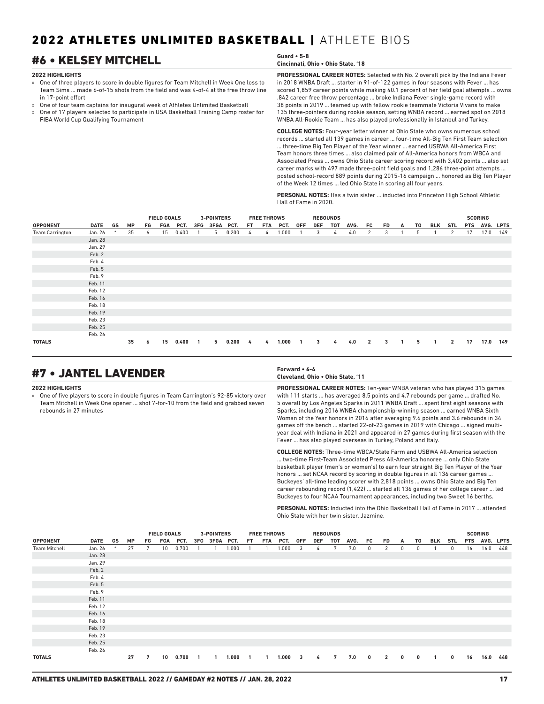## #6 • KELSEY MITCHELL **Guard • 5-8**

#### **2022 HIGHLIGHTS**

- » One of three players to score in double figures for Team Mitchell in Week One loss to Team Sims ... made 6-of-15 shots from the field and was 4-of-4 at the free throw line in 17-point effort
- » One of four team captains for inaugural week of Athletes Unlimited Basketball
- » One of 17 players selected to participate in USA Basketball Training Camp roster for FIBA World Cup Qualifying Tournament

## **Cincinnati, Ohio • Ohio State, '18**

**PROFESSIONAL CAREER NOTES:** Selected with No. 2 overall pick by the Indiana Fever in 2018 WNBA Draft ... starter in 91-of-122 games in four seasons with Fever ... has scored 1,859 career points while making 40.1 percent of her field goal attempts ... owns .842 career free throw percentage ... broke Indiana Fever single-game record with 38 points in 2019 ... teamed up with fellow rookie teammate Victoria Vivans to make 135 three-pointers during rookie season, setting WNBA record ... earned spot on 2018 WNBA All-Rookie Team ... has also played professionally in Istanbul and Turkey.

**COLLEGE NOTES:** Four-year letter winner at Ohio State who owns numerous school records ... started all 139 games in career ... four-time All-Big Ten First Team selection ... three-time Big Ten Player of the Year winner ... earned USBWA All-America First Team honors three times ... also claimed pair of All-America honors from WBCA and Associated Press ... owns Ohio State career scoring record with 3,402 points ... also set career marks with 497 made three-point field goals and 1,286 three-point attempts ... posted school-record 889 points during 2015-16 campaign ... honored as Big Ten Player of the Week 12 times ... led Ohio State in scoring all four years.

**PERSONAL NOTES:** Has a twin sister ... inducted into Princeton High School Athletic Hall of Fame in 2020.

|                        |             |        |           |    | <b>FIELD GOALS</b> |       |     | 3-POINTERS |       |     | <b>FREE THROWS</b> |       |            |            | <b>REBOUNDS</b> |      |                |    |   |    |            |                |            | <b>SCORING</b> |     |
|------------------------|-------------|--------|-----------|----|--------------------|-------|-----|------------|-------|-----|--------------------|-------|------------|------------|-----------------|------|----------------|----|---|----|------------|----------------|------------|----------------|-----|
| <b>OPPONENT</b>        | <b>DATE</b> | GS     | <b>MP</b> | FG | FGA                | PCT.  | 3FG | 3FGA PCT.  |       | FT. | FTA                | PCT.  | <b>OFF</b> | <b>DEF</b> | TOT             | AVG. | FC             | FD | A | T0 | <b>BLK</b> | STL            | <b>PTS</b> | AVG. LPTS      |     |
| <b>Team Carrington</b> | Jan. 26     | $\ast$ | 35        | 6  | 15                 | 0.400 |     | 5          | 0.200 | 4   | 4                  | 1.000 |            | 3          | 4               | 4.0  | 2              | 3  |   | 5  |            | 2              | 17         | 17.0           | 149 |
|                        | Jan. 28     |        |           |    |                    |       |     |            |       |     |                    |       |            |            |                 |      |                |    |   |    |            |                |            |                |     |
|                        | Jan. 29     |        |           |    |                    |       |     |            |       |     |                    |       |            |            |                 |      |                |    |   |    |            |                |            |                |     |
|                        | Feb. 2      |        |           |    |                    |       |     |            |       |     |                    |       |            |            |                 |      |                |    |   |    |            |                |            |                |     |
|                        | Feb. 4      |        |           |    |                    |       |     |            |       |     |                    |       |            |            |                 |      |                |    |   |    |            |                |            |                |     |
|                        | Feb. 5      |        |           |    |                    |       |     |            |       |     |                    |       |            |            |                 |      |                |    |   |    |            |                |            |                |     |
|                        | Feb. 9      |        |           |    |                    |       |     |            |       |     |                    |       |            |            |                 |      |                |    |   |    |            |                |            |                |     |
|                        | Feb. 11     |        |           |    |                    |       |     |            |       |     |                    |       |            |            |                 |      |                |    |   |    |            |                |            |                |     |
|                        | Feb. 12     |        |           |    |                    |       |     |            |       |     |                    |       |            |            |                 |      |                |    |   |    |            |                |            |                |     |
|                        | Feb. 16     |        |           |    |                    |       |     |            |       |     |                    |       |            |            |                 |      |                |    |   |    |            |                |            |                |     |
|                        | Feb. 18     |        |           |    |                    |       |     |            |       |     |                    |       |            |            |                 |      |                |    |   |    |            |                |            |                |     |
|                        | Feb. 19     |        |           |    |                    |       |     |            |       |     |                    |       |            |            |                 |      |                |    |   |    |            |                |            |                |     |
|                        | Feb. 23     |        |           |    |                    |       |     |            |       |     |                    |       |            |            |                 |      |                |    |   |    |            |                |            |                |     |
|                        | Feb. 25     |        |           |    |                    |       |     |            |       |     |                    |       |            |            |                 |      |                |    |   |    |            |                |            |                |     |
|                        | Feb. 26     |        |           |    |                    |       |     |            |       |     |                    |       |            |            |                 |      |                |    |   |    |            |                |            |                |     |
| <b>TOTALS</b>          |             |        | 35        | 6  | 15                 | 0.400 |     | 5          | 0.200 | 4   | 4                  | 1.000 |            | 3          | 4               | 4.0  | $\overline{2}$ | 3  |   | 5  | 1          | $\overline{2}$ | 17         | 17.0           | 149 |

## #7 • JANTEL LAVENDER **Forward • 6-4**

#### **2022 HIGHLIGHTS**

» One of five players to score in double figures in Team Carrington's 92-85 victory over Team Mitchell in Week One opener ... shot 7-for-10 from the field and grabbed seven rebounds in 27 minutes

## **Cleveland, Ohio • Ohio State, '11**

**PROFESSIONAL CAREER NOTES:** Ten-year WNBA veteran who has played 315 games with 111 starts ... has averaged 8.5 points and 4.7 rebounds per game ... drafted No. 5 overall by Los Angeles Sparks in 2011 WNBA Draft ... spent first eight seasons with Sparks, including 2016 WNBA championship-winning season ... earned WNBA Sixth Woman of the Year honors in 2016 after averaging 9.6 points and 3.6 rebounds in 34 games off the bench ... started 22-of-23 games in 2019 with Chicago ... signed multiyear deal with Indiana in 2021 and appeared in 27 games during first season with the Fever ... has also played overseas in Turkey, Poland and Italy.

**COLLEGE NOTES:** Three-time WBCA/State Farm and USBWA All-America selection ... two-time First-Team Associated Press All-America honoree ... only Ohio State basketball player (men's or women's) to earn four straight Big Ten Player of the Year honors ... set NCAA record by scoring in double figures in all 136 career games ... Buckeyes' all-time leading scorer with 2,818 points ... owns Ohio State and Big Ten career rebounding record (1,422) ... started all 136 games of her college career ... led Buckeyes to four NCAA Tournament appearances, including two Sweet 16 berths.

**PERSONAL NOTES:** Inducted into the Ohio Basketball Hall of Fame in 2017 attended Ohio State with her twin sister, Jazmine.

|                      |             |        |           |    | <b>FIELD GOALS</b> |          | 3-POINTERS    |       |     | <b>FREE THROWS</b> |         |            |     | <b>REBOUNDS</b> |      |          |                |              |              |     |     |    | <b>SCORING</b> |     |
|----------------------|-------------|--------|-----------|----|--------------------|----------|---------------|-------|-----|--------------------|---------|------------|-----|-----------------|------|----------|----------------|--------------|--------------|-----|-----|----|----------------|-----|
| <b>OPPONENT</b>      | <b>DATE</b> | GS     | <b>MP</b> | FG |                    | FGA PCT. | 3FG 3FGA PCT. |       | FT. | FTA                | PCT.    | <b>OFF</b> | DEF | тот             | AVG. | FC       | <b>FD</b>      | A            | T0           | BLK | STL |    | PTS AVG. LPTS  |     |
| <b>Team Mitchell</b> | Jan. 26     | $\ast$ | 27        | 7  | 10 <sup>°</sup>    | 0.700    |               | 1.000 |     |                    | 1.000   | 3          | 4   | 7               | 7.0  | 0        | 2              | 0            | 0            |     | 0   | 16 | 16.0           | 448 |
|                      | Jan. 28     |        |           |    |                    |          |               |       |     |                    |         |            |     |                 |      |          |                |              |              |     |     |    |                |     |
|                      | Jan. 29     |        |           |    |                    |          |               |       |     |                    |         |            |     |                 |      |          |                |              |              |     |     |    |                |     |
|                      | Feb. 2      |        |           |    |                    |          |               |       |     |                    |         |            |     |                 |      |          |                |              |              |     |     |    |                |     |
|                      | Feb. 4      |        |           |    |                    |          |               |       |     |                    |         |            |     |                 |      |          |                |              |              |     |     |    |                |     |
|                      | Feb. 5      |        |           |    |                    |          |               |       |     |                    |         |            |     |                 |      |          |                |              |              |     |     |    |                |     |
|                      | Feb. 9      |        |           |    |                    |          |               |       |     |                    |         |            |     |                 |      |          |                |              |              |     |     |    |                |     |
|                      | Feb. 11     |        |           |    |                    |          |               |       |     |                    |         |            |     |                 |      |          |                |              |              |     |     |    |                |     |
|                      | Feb. 12     |        |           |    |                    |          |               |       |     |                    |         |            |     |                 |      |          |                |              |              |     |     |    |                |     |
|                      | Feb. 16     |        |           |    |                    |          |               |       |     |                    |         |            |     |                 |      |          |                |              |              |     |     |    |                |     |
|                      | Feb. 18     |        |           |    |                    |          |               |       |     |                    |         |            |     |                 |      |          |                |              |              |     |     |    |                |     |
|                      | Feb. 19     |        |           |    |                    |          |               |       |     |                    |         |            |     |                 |      |          |                |              |              |     |     |    |                |     |
|                      | Feb. 23     |        |           |    |                    |          |               |       |     |                    |         |            |     |                 |      |          |                |              |              |     |     |    |                |     |
|                      | Feb. 25     |        |           |    |                    |          |               |       |     |                    |         |            |     |                 |      |          |                |              |              |     |     |    |                |     |
|                      | Feb. 26     |        |           |    |                    |          |               |       |     |                    |         |            |     |                 |      |          |                |              |              |     |     |    |                |     |
| <b>TOTALS</b>        |             |        | 27        | 7  | 10                 | 0.700    |               | 1.000 |     | $\mathbf{1}$       | 1.000 3 |            | 4   | 7               | 7.0  | $\bf{0}$ | $\overline{2}$ | $\mathbf{0}$ | $\mathbf{0}$ |     | 0   | 16 | 16.0           | 448 |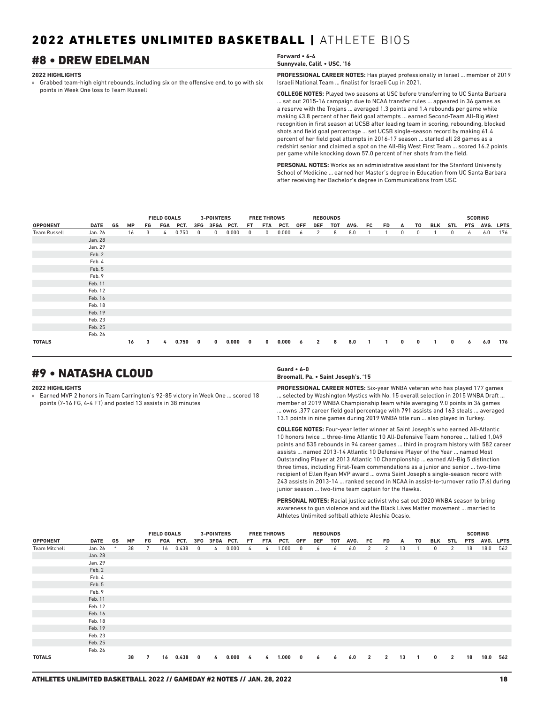## #8 • DREW EDELMAN **Forward • 6-4**

#### **2022 HIGHLIGHTS**

» Grabbed team-high eight rebounds, including six on the offensive end, to go with six points in Week One loss to Team Russell

| Sunnyvale, Calif. • USC, '16 |  |  |  |  |
|------------------------------|--|--|--|--|
|                              |  |  |  |  |

**PROFESSIONAL CAREER NOTES:** Has played professionally in Israel ... member of 2019 Israeli National Team ... finalist for Israeli Cup in 2021.

**COLLEGE NOTES:** Played two seasons at USC before transferring to UC Santa Barbara ... sat out 2015-16 campaign due to NCAA transfer rules ... appeared in 36 games as a reserve with the Trojans ... averaged 1.3 points and 1.4 rebounds per game while making 43.8 percent of her field goal attempts ... earned Second-Team All-Big West recognition in first season at UCSB after leading team in scoring, rebounding, blocked shots and field goal percentage ... set UCSB single-season record by making 61.4 percent of her field goal attempts in 2016-17 season ... started all 28 games as a redshirt senior and claimed a spot on the All-Big West First Team ... scored 16.2 points per game while knocking down 57.0 percent of her shots from the field.

**PERSONAL NOTES:** Works as an administrative assistant for the Stanford University School of Medicine ... earned her Master's degree in Education from UC Santa Barbara after receiving her Bachelor's degree in Communications from USC.

|                     |             |    |           |    | <b>FIELD GOALS</b> |       |          |               | <b>3-POINTERS</b> |     | <b>FREE THROWS</b> |         |            | <b>REBOUNDS</b> |     |      |                         |     |              |    |     |            |            | <b>SCORING</b> |     |
|---------------------|-------------|----|-----------|----|--------------------|-------|----------|---------------|-------------------|-----|--------------------|---------|------------|-----------------|-----|------|-------------------------|-----|--------------|----|-----|------------|------------|----------------|-----|
| <b>OPPONENT</b>     | <b>DATE</b> | GS | <b>MP</b> | FG | FGA                | PCT.  |          | 3FG 3FGA PCT. |                   | FT. | FTA                | PCT.    | <b>OFF</b> | <b>DEF</b>      | тот | AVG. | FC                      | FD. | A            | T0 | BLK | <b>STL</b> | <b>PTS</b> | AVG. LPTS      |     |
| <b>Team Russell</b> | Jan. 26     |    | 16        | 3  | 4                  | 0.750 | 0        | $^{\circ}$    | 0.000             | 0   | $^{\circ}$         | 0.000   | 6          | 2               | 8   | 8.0  |                         |     | 0            | 0  |     | 0          | 6          | 6.0            | 176 |
|                     | Jan. 28     |    |           |    |                    |       |          |               |                   |     |                    |         |            |                 |     |      |                         |     |              |    |     |            |            |                |     |
|                     | Jan. 29     |    |           |    |                    |       |          |               |                   |     |                    |         |            |                 |     |      |                         |     |              |    |     |            |            |                |     |
|                     | Feb. 2      |    |           |    |                    |       |          |               |                   |     |                    |         |            |                 |     |      |                         |     |              |    |     |            |            |                |     |
|                     | Feb. 4      |    |           |    |                    |       |          |               |                   |     |                    |         |            |                 |     |      |                         |     |              |    |     |            |            |                |     |
|                     | Feb. 5      |    |           |    |                    |       |          |               |                   |     |                    |         |            |                 |     |      |                         |     |              |    |     |            |            |                |     |
|                     | Feb. 9      |    |           |    |                    |       |          |               |                   |     |                    |         |            |                 |     |      |                         |     |              |    |     |            |            |                |     |
|                     | Feb. 11     |    |           |    |                    |       |          |               |                   |     |                    |         |            |                 |     |      |                         |     |              |    |     |            |            |                |     |
|                     | Feb. 12     |    |           |    |                    |       |          |               |                   |     |                    |         |            |                 |     |      |                         |     |              |    |     |            |            |                |     |
|                     | Feb. 16     |    |           |    |                    |       |          |               |                   |     |                    |         |            |                 |     |      |                         |     |              |    |     |            |            |                |     |
|                     | Feb. 18     |    |           |    |                    |       |          |               |                   |     |                    |         |            |                 |     |      |                         |     |              |    |     |            |            |                |     |
|                     | Feb. 19     |    |           |    |                    |       |          |               |                   |     |                    |         |            |                 |     |      |                         |     |              |    |     |            |            |                |     |
|                     | Feb. 23     |    |           |    |                    |       |          |               |                   |     |                    |         |            |                 |     |      |                         |     |              |    |     |            |            |                |     |
|                     | Feb. 25     |    |           |    |                    |       |          |               |                   |     |                    |         |            |                 |     |      |                         |     |              |    |     |            |            |                |     |
|                     | Feb. 26     |    |           |    |                    |       |          |               |                   |     |                    |         |            |                 |     |      |                         |     |              |    |     |            |            |                |     |
| <b>TOTALS</b>       |             |    | 16        | 3  | 4                  | 0.750 | $\bf{0}$ | $\mathbf{0}$  | 0.000             | 0   | $\mathbf{0}$       | 0.000 6 |            | $\overline{2}$  | 8   | 8.0  | $\overline{\mathbf{1}}$ | 1.  | $\mathbf{0}$ | 0  |     | 0          | 6          | 6.0            | 176 |

## #9 • NATASHA CLOUD **Guard • 6-0**

#### **2022 HIGHLIGHTS**

» Earned MVP 2 honors in Team Carrington's 92-85 victory in Week One ... scored 18 points (7-16 FG, 4-4 FT) and posted 13 assists in 38 minutes

#### **Broomall, Pa. • Saint Joseph's, '15**

**PROFESSIONAL CAREER NOTES:** Six-year WNBA veteran who has played 177 games ... selected by Washington Mystics with No. 15 overall selection in 2015 WNBA Draft ... member of 2019 WNBA Championship team while averaging 9.0 points in 34 games ... owns .377 career field goal percentage with 791 assists and 163 steals ... averaged 13.1 points in nine games during 2019 WNBA title run ... also played in Turkey.

**COLLEGE NOTES:** Four-year letter winner at Saint Joseph's who earned All-Atlantic 10 honors twice ... three-time Atlantic 10 All-Defensive Team honoree ... tallied 1,049 points and 535 rebounds in 94 career games ... third in program history with 582 career assists ... named 2013-14 Atlantic 10 Defensive Player of the Year ... named Most Outstanding Player at 2013 Atlantic 10 Championship ... earned All-Big 5 distinction three times, including First-Team commendations as a junior and senior ... two-time recipient of Ellen Ryan MVP award ... owns Saint Joseph's single-season record with 243 assists in 2013-14 ... ranked second in NCAA in assist-to-turnover ratio (7.6) during junior season ... two-time team captain for the Hawks.

**PERSONAL NOTES:** Racial justice activist who sat out 2020 WNBA season to bring awareness to gun violence and aid the Black Lives Matter movement ... married to Athletes Unlimited softball athlete Aleshia Ocasio.

|                      |             |        |           |    | <b>FIELD GOALS</b> |          |              | <b>3-POINTERS</b> |       |               | <b>FREE THROWS</b> |          |                         |     | <b>REBOUNDS</b> |      |                |                |    |                |              |                |            | <b>SCORING</b> |     |
|----------------------|-------------|--------|-----------|----|--------------------|----------|--------------|-------------------|-------|---------------|--------------------|----------|-------------------------|-----|-----------------|------|----------------|----------------|----|----------------|--------------|----------------|------------|----------------|-----|
| <b>OPPONENT</b>      | <b>DATE</b> | GS     | <b>MP</b> | FG |                    | FGA PCT. |              | 3FG 3FGA PCT.     |       | FT.           |                    | FTA PCT. | <b>OFF</b>              | DEF | тот             | AVG. | FC             | FD.            | A  | T0             | BLK          | STL            | <b>PTS</b> | AVG. LPTS      |     |
| <b>Team Mitchell</b> | Jan. 26     | $\ast$ | 38        | 7  | 16                 | 0.438    | $^{\circ}$   | $\frac{1}{4}$     | 0.000 | 4             | 4                  | 1.000    | 0                       | 6   | 6               | 6.0  | 2              | 2              | 13 |                | $\mathbf{0}$ | 2              | 18         | 18.0           | 562 |
|                      | Jan. 28     |        |           |    |                    |          |              |                   |       |               |                    |          |                         |     |                 |      |                |                |    |                |              |                |            |                |     |
|                      | Jan. 29     |        |           |    |                    |          |              |                   |       |               |                    |          |                         |     |                 |      |                |                |    |                |              |                |            |                |     |
|                      | Feb. 2      |        |           |    |                    |          |              |                   |       |               |                    |          |                         |     |                 |      |                |                |    |                |              |                |            |                |     |
|                      | Feb. 4      |        |           |    |                    |          |              |                   |       |               |                    |          |                         |     |                 |      |                |                |    |                |              |                |            |                |     |
|                      | Feb. 5      |        |           |    |                    |          |              |                   |       |               |                    |          |                         |     |                 |      |                |                |    |                |              |                |            |                |     |
|                      | Feb. 9      |        |           |    |                    |          |              |                   |       |               |                    |          |                         |     |                 |      |                |                |    |                |              |                |            |                |     |
|                      | Feb. 11     |        |           |    |                    |          |              |                   |       |               |                    |          |                         |     |                 |      |                |                |    |                |              |                |            |                |     |
|                      | Feb. 12     |        |           |    |                    |          |              |                   |       |               |                    |          |                         |     |                 |      |                |                |    |                |              |                |            |                |     |
|                      | Feb. 16     |        |           |    |                    |          |              |                   |       |               |                    |          |                         |     |                 |      |                |                |    |                |              |                |            |                |     |
|                      | Feb. 18     |        |           |    |                    |          |              |                   |       |               |                    |          |                         |     |                 |      |                |                |    |                |              |                |            |                |     |
|                      | Feb. 19     |        |           |    |                    |          |              |                   |       |               |                    |          |                         |     |                 |      |                |                |    |                |              |                |            |                |     |
|                      | Feb. 23     |        |           |    |                    |          |              |                   |       |               |                    |          |                         |     |                 |      |                |                |    |                |              |                |            |                |     |
|                      | Feb. 25     |        |           |    |                    |          |              |                   |       |               |                    |          |                         |     |                 |      |                |                |    |                |              |                |            |                |     |
|                      | Feb. 26     |        |           |    |                    |          |              |                   |       |               |                    |          |                         |     |                 |      |                |                |    |                |              |                |            |                |     |
| <b>TOTALS</b>        |             |        | 38        | 7  | 16                 | 0.438    | $\mathbf{0}$ | 4                 | 0.000 | $\frac{1}{4}$ | 4                  | 1.000    | $\overline{\mathbf{0}}$ | 6   | 6               | 6.0  | $\overline{2}$ | $\overline{2}$ | 13 | $\overline{1}$ | $\mathbf{0}$ | $\overline{2}$ | 18         | 18.0           | 562 |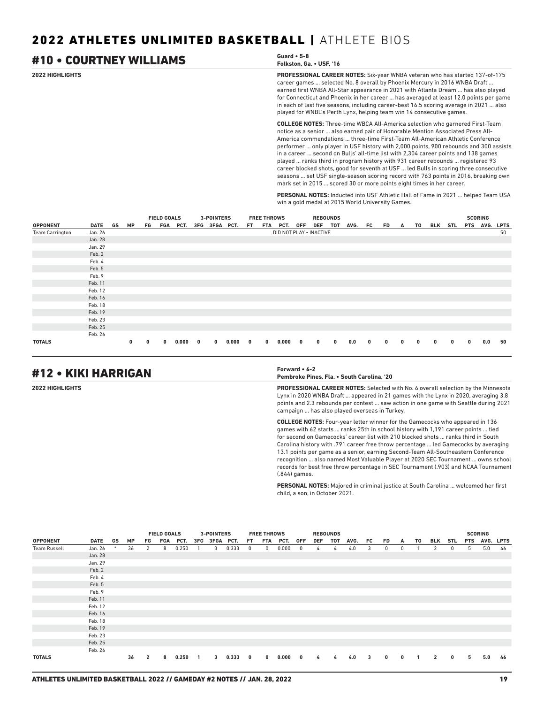#### **2022 HIGHLIGHTS PROFESSIONAL CAREER NOTES:** Six-year WNBA veteran who has started 137-of-175 career games ... selected No. 8 overall by Phoenix Mercury in 2016 WNBA Draft ... earned first WNBA All-Star appearance in 2021 with Atlanta Dream ... has also played for Connecticut and Phoenix in her career ... has averaged at least 12.0 points per game in each of last five seasons, including career-best 16.5 scoring average in 2021 ... also played for WNBL's Perth Lynx, helping team win 14 consecutive games. **COLLEGE NOTES:** Three-time WBCA All-America selection who garnered First-Team #10 • COURTNEY WILLIAMS **Guard • 5-8 Folkston, Ga. • USF, '16**

notice as a senior ... also earned pair of Honorable Mention Associated Press All-America commendations ... three-time First-Team All-American Athletic Conference performer ... only player in USF history with 2,000 points, 900 rebounds and 300 assists in a career ... second on Bulls' all-time list with 2,304 career points and 138 games played ... ranks third in program history with 931 career rebounds ... registered 93 career blocked shots, good for seventh at USF ... led Bulls in scoring three consecutive seasons ... set USF single-season scoring record with 763 points in 2016, breaking own mark set in 2015 ... scored 30 or more points eight times in her career.

**PERSONAL NOTES:** Inducted into USF Athletic Hall of Fame in 2021 ... helped Team USA win a gold medal at 2015 World University Games.

|                        |             |    |           |    | <b>FIELD GOALS</b> |          |             | 3-POINTERS    |       |     | <b>FREE THROWS</b> |                         |     | <b>REBOUNDS</b> |          |      |    |    |   |    |   |                |   | <b>SCORING</b> |             |
|------------------------|-------------|----|-----------|----|--------------------|----------|-------------|---------------|-------|-----|--------------------|-------------------------|-----|-----------------|----------|------|----|----|---|----|---|----------------|---|----------------|-------------|
| <b>OPPONENT</b>        | <b>DATE</b> | GS | <b>MP</b> | FG |                    | FGA PCT. |             | 3FG 3FGA PCT. |       | FT. | FTA                | PCT.                    | 0FF | DEF             | тот      | AVG. | FC | FD | A | T0 |   | <b>BLK STL</b> |   | PTS AVG.       | <b>LPTS</b> |
| <b>Team Carrington</b> | Jan. 26     |    |           |    |                    |          |             |               |       |     |                    | DID NOT PLAY . INACTIVE |     |                 |          |      |    |    |   |    |   |                |   |                | 50          |
|                        | Jan. 28     |    |           |    |                    |          |             |               |       |     |                    |                         |     |                 |          |      |    |    |   |    |   |                |   |                |             |
|                        | Jan. 29     |    |           |    |                    |          |             |               |       |     |                    |                         |     |                 |          |      |    |    |   |    |   |                |   |                |             |
|                        | Feb. 2      |    |           |    |                    |          |             |               |       |     |                    |                         |     |                 |          |      |    |    |   |    |   |                |   |                |             |
|                        | Feb. 4      |    |           |    |                    |          |             |               |       |     |                    |                         |     |                 |          |      |    |    |   |    |   |                |   |                |             |
|                        | Feb. 5      |    |           |    |                    |          |             |               |       |     |                    |                         |     |                 |          |      |    |    |   |    |   |                |   |                |             |
|                        | Feb. 9      |    |           |    |                    |          |             |               |       |     |                    |                         |     |                 |          |      |    |    |   |    |   |                |   |                |             |
|                        | Feb. 11     |    |           |    |                    |          |             |               |       |     |                    |                         |     |                 |          |      |    |    |   |    |   |                |   |                |             |
|                        | Feb. 12     |    |           |    |                    |          |             |               |       |     |                    |                         |     |                 |          |      |    |    |   |    |   |                |   |                |             |
|                        | Feb. 16     |    |           |    |                    |          |             |               |       |     |                    |                         |     |                 |          |      |    |    |   |    |   |                |   |                |             |
|                        | Feb. 18     |    |           |    |                    |          |             |               |       |     |                    |                         |     |                 |          |      |    |    |   |    |   |                |   |                |             |
|                        | Feb. 19     |    |           |    |                    |          |             |               |       |     |                    |                         |     |                 |          |      |    |    |   |    |   |                |   |                |             |
|                        | Feb. 23     |    |           |    |                    |          |             |               |       |     |                    |                         |     |                 |          |      |    |    |   |    |   |                |   |                |             |
|                        | Feb. 25     |    |           |    |                    |          |             |               |       |     |                    |                         |     |                 |          |      |    |    |   |    |   |                |   |                |             |
|                        | Feb. 26     |    |           |    |                    |          |             |               |       |     |                    |                         |     |                 |          |      |    |    |   |    |   |                |   |                |             |
| <b>TOTALS</b>          |             |    | 0         | 0  | $\mathbf{0}$       | 0.000    | $\mathbf 0$ | 0             | 0.000 | 0   | $\bf{0}$           | 0.000                   | 0   | $\mathbf{0}$    | $\bf{0}$ | 0.0  | 0  | 0  | 0 | 0  | 0 | 0              | 0 | 0.0            | 50          |

## #12 • KIKI HARRIGAN **Forward • 6-2**

**Pembroke Pines, Fla. • South Carolina, '20**

**2022 HIGHLIGHTS PROFESSIONAL CAREER NOTES:** Selected with No. 6 overall selection by the Minnesota Lynx in 2020 WNBA Draft ... appeared in 21 games with the Lynx in 2020, averaging 3.8 points and 2.3 rebounds per contest ... saw action in one game with Seattle during 2021 campaign ... has also played overseas in Turkey.

> **COLLEGE NOTES:** Four-year letter winner for the Gamecocks who appeared in 136 games with 62 starts ... ranks 25th in school history with 1,191 career points ... tied for second on Gamecocks' career list with 210 blocked shots ... ranks third in South Carolina history with .791 career free throw percentage ... led Gamecocks by averaging 13.1 points per game as a senior, earning Second-Team All-Southeastern Conference recognition ... also named Most Valuable Player at 2020 SEC Tournament ... owns school records for best free throw percentage in SEC Tournament (.903) and NCAA Tournament (.844) games.

**PERSONAL NOTES:** Majored in criminal justice at South Carolina ... welcomed her first child, a son, in October 2021.

|                     |         | <b>3-POINTERS</b><br><b>FREE THROWS</b><br><b>FIELD GOALS</b><br><b>REBOUNDS</b> |           |                |     |       |              |               |       |          |             |       |              |     |     |      | <b>SCORING</b> |              |              |              |                |     |   |               |    |
|---------------------|---------|----------------------------------------------------------------------------------|-----------|----------------|-----|-------|--------------|---------------|-------|----------|-------------|-------|--------------|-----|-----|------|----------------|--------------|--------------|--------------|----------------|-----|---|---------------|----|
| <b>OPPONENT</b>     | DATE    | GS                                                                               | <b>MP</b> | FG             | FGA | PCT.  |              | 3FG 3FGA PCT. |       | FT.      | FTA         | PCT.  | 0FF          | DEF | тот | AVG. | FC             | FD.          | A            | T0           | BLK            | STL |   | PTS AVG. LPTS |    |
| <b>Team Russell</b> | Jan. 26 | $\ast$                                                                           | 36        | 2              | 8   | 0.250 |              | 3             | 0.333 | 0        | $^{\circ}$  | 0.000 | $^{\circ}$   | 4   | 4   | 4.0  | 3              | $^{\circ}$   | 0            |              | 2              | 0   | 5 | 5.0           | 46 |
|                     | Jan. 28 |                                                                                  |           |                |     |       |              |               |       |          |             |       |              |     |     |      |                |              |              |              |                |     |   |               |    |
|                     | Jan. 29 |                                                                                  |           |                |     |       |              |               |       |          |             |       |              |     |     |      |                |              |              |              |                |     |   |               |    |
|                     | Feb. 2  |                                                                                  |           |                |     |       |              |               |       |          |             |       |              |     |     |      |                |              |              |              |                |     |   |               |    |
|                     | Feb. 4  |                                                                                  |           |                |     |       |              |               |       |          |             |       |              |     |     |      |                |              |              |              |                |     |   |               |    |
|                     | Feb. 5  |                                                                                  |           |                |     |       |              |               |       |          |             |       |              |     |     |      |                |              |              |              |                |     |   |               |    |
|                     | Feb. 9  |                                                                                  |           |                |     |       |              |               |       |          |             |       |              |     |     |      |                |              |              |              |                |     |   |               |    |
|                     | Feb. 11 |                                                                                  |           |                |     |       |              |               |       |          |             |       |              |     |     |      |                |              |              |              |                |     |   |               |    |
|                     | Feb. 12 |                                                                                  |           |                |     |       |              |               |       |          |             |       |              |     |     |      |                |              |              |              |                |     |   |               |    |
|                     | Feb. 16 |                                                                                  |           |                |     |       |              |               |       |          |             |       |              |     |     |      |                |              |              |              |                |     |   |               |    |
|                     | Feb. 18 |                                                                                  |           |                |     |       |              |               |       |          |             |       |              |     |     |      |                |              |              |              |                |     |   |               |    |
|                     | Feb. 19 |                                                                                  |           |                |     |       |              |               |       |          |             |       |              |     |     |      |                |              |              |              |                |     |   |               |    |
|                     | Feb. 23 |                                                                                  |           |                |     |       |              |               |       |          |             |       |              |     |     |      |                |              |              |              |                |     |   |               |    |
|                     | Feb. 25 |                                                                                  |           |                |     |       |              |               |       |          |             |       |              |     |     |      |                |              |              |              |                |     |   |               |    |
|                     | Feb. 26 |                                                                                  |           |                |     |       |              |               |       |          |             |       |              |     |     |      |                |              |              |              |                |     |   |               |    |
| <b>TOTALS</b>       |         |                                                                                  | 36        | $\overline{2}$ | 8   | 0.250 | $\mathbf{1}$ | $\mathbf{3}$  | 0.333 | $\bf{0}$ | $\mathbf 0$ | 0.000 | $\mathbf{0}$ | 4   | 4   | 4.0  | 3              | $\mathbf{0}$ | $\mathbf{0}$ | $\mathbf{1}$ | $\overline{2}$ | 0   | 5 | 5.0           | 46 |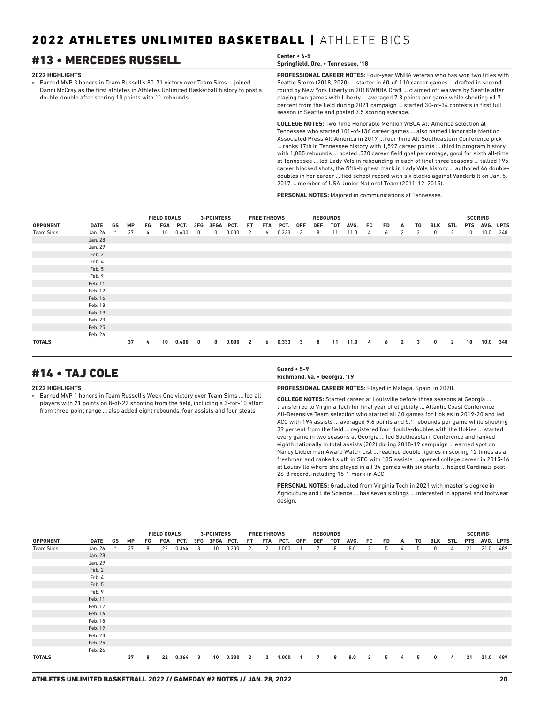## **#13 • MERCEDES RUSSELL**

#### **2022 HIGHLIGHTS**

» Earned MVP 3 honors in Team Russell's 80-71 victory over Team Sims ... joined Danni McCray as the first athletes in Athletes Unlimited Basketball history to post a double-double after scoring 10 points with 11 rebounds

| Center • 6-5                       |
|------------------------------------|
| Springfield, Ore. • Tennessee, '18 |

**PROFESSIONAL CAREER NOTES:** Four-year WNBA veteran who has won two titles with Seattle Storm (2018, 2020) ... starter in 60-of-110 career games ... drafted in second round by New York Liberty in 2018 WNBA Draft ... claimed off waivers by Seattle after playing two games with Liberty ... averaged 7.3 points per game while shooting 61.7 percent from the field during 2021 campaign ... started 30-of-34 contests in first full season in Seattle and posted 7.5 scoring average.

**COLLEGE NOTES:** Two-time Honorable Mention WBCA All-America selection at Tennessee who started 101-of-136 career games ... also named Honorable Mention Associated Press All-America in 2017 ... four-time All-Southeastern Conference pick ... ranks 17th in Tennessee history with 1,597 career points ... third in program history with 1,085 rebounds ... posted .570 career field goal percentage, good for sixth all-time at Tennessee ... led Lady Vols in rebounding in each of final three seasons ... tallied 195 career blocked shots, the fifth-highest mark in Lady Vols history ... authored 46 doubledoubles in her career ... tied school record with six blocks against Vanderbilt on Jan. 5, 2017 ... member of USA Junior National Team (2011-12, 2015).

**PERSONAL NOTES:** Majored in communications at Tennessee.

|                 |         |        |           |    | <b>FIELD GOALS</b><br>FGA<br>PCT.<br>10<br>0 |       |     | 3-POINTERS |       |                | <b>FREE THROWS</b> |       |            |     | <b>REBOUNDS</b> |      |     |           |                |    |          |                |            | <b>SCORING</b> |     |
|-----------------|---------|--------|-----------|----|----------------------------------------------|-------|-----|------------|-------|----------------|--------------------|-------|------------|-----|-----------------|------|-----|-----------|----------------|----|----------|----------------|------------|----------------|-----|
| <b>OPPONENT</b> | DATE    | GS     | <b>MP</b> | FG |                                              |       | 3FG | 3FGA PCT.  |       | FT.            | FTA                | PCT.  | <b>OFF</b> | DEF | тот             | AVG. | FC. | <b>FD</b> | A              | T0 | BLK      | <b>STL</b>     | <b>PTS</b> | AVG. LPTS      |     |
| Team Sims       | Jan. 26 | $\ast$ | 37        | 4  |                                              | 0.400 |     | 0          | 0.000 | $\overline{2}$ | 6                  | 0.333 | 3          | 8   | 11              | 11.0 | 4   | 6         | 2              | 3  | 0        | 2              | 10         | 10.0           | 348 |
|                 | Jan. 28 |        |           |    |                                              |       |     |            |       |                |                    |       |            |     |                 |      |     |           |                |    |          |                |            |                |     |
|                 | Jan. 29 |        |           |    |                                              |       |     |            |       |                |                    |       |            |     |                 |      |     |           |                |    |          |                |            |                |     |
|                 | Feb. 2  |        |           |    |                                              |       |     |            |       |                |                    |       |            |     |                 |      |     |           |                |    |          |                |            |                |     |
|                 | Feb. 4  |        |           |    |                                              |       |     |            |       |                |                    |       |            |     |                 |      |     |           |                |    |          |                |            |                |     |
|                 | Feb. 5  |        |           |    |                                              |       |     |            |       |                |                    |       |            |     |                 |      |     |           |                |    |          |                |            |                |     |
|                 | Feb. 9  |        |           |    |                                              |       |     |            |       |                |                    |       |            |     |                 |      |     |           |                |    |          |                |            |                |     |
|                 | Feb. 11 |        |           |    |                                              |       |     |            |       |                |                    |       |            |     |                 |      |     |           |                |    |          |                |            |                |     |
|                 | Feb. 12 |        |           |    |                                              |       |     |            |       |                |                    |       |            |     |                 |      |     |           |                |    |          |                |            |                |     |
|                 | Feb. 16 |        |           |    |                                              |       |     |            |       |                |                    |       |            |     |                 |      |     |           |                |    |          |                |            |                |     |
|                 | Feb. 18 |        |           |    |                                              |       |     |            |       |                |                    |       |            |     |                 |      |     |           |                |    |          |                |            |                |     |
|                 | Feb. 19 |        |           |    |                                              |       |     |            |       |                |                    |       |            |     |                 |      |     |           |                |    |          |                |            |                |     |
|                 | Feb. 23 |        |           |    |                                              |       |     |            |       |                |                    |       |            |     |                 |      |     |           |                |    |          |                |            |                |     |
|                 | Feb. 25 |        |           |    |                                              |       |     |            |       |                |                    |       |            |     |                 |      |     |           |                |    |          |                |            |                |     |
|                 | Feb. 26 |        |           |    |                                              |       |     |            |       |                |                    |       |            |     |                 |      |     |           |                |    |          |                |            |                |     |
| <b>TOTALS</b>   |         |        | 37        | 4  | 10                                           | 0.400 | 0   | 0          | 0.000 | $\overline{2}$ | 6                  | 0.333 | 3          | 8   | 11              | 11.0 | 4   | 6         | $\overline{2}$ | 3  | $\bf{0}$ | $\overline{2}$ | 10         | 10.0           | 348 |

## #14 • TAJ COLE **Guard • 5-9**

#### **2022 HIGHLIGHTS**

» Earned MVP 1 honors in Team Russell's Week One victory over Team Sims ... led all players with 21 points on 8-of-22 shooting from the field, including a 3-for-10 effort from three-point range ... also added eight rebounds, four assists and four steals

**Richmond, Va. • Georgia, '19**

**PROFESSIONAL CAREER NOTES:** Played in Malaga, Spain, in 2020.

**COLLEGE NOTES:** Started career at Louisville before three seasons at Georgia ... transferred to Virginia Tech for final year of eligibility ... Atlantic Coast Conference All-Defensive Team selection who started all 30 games for Hokies in 2019-20 and led ACC with 194 assists ... averaged 9.6 points and 5.1 rebounds per game while shooting 39 percent from the field ... registered four double-doubles with the Hokies ... started every game in two seasons at Georgia ... led Southeastern Conference and ranked eighth nationally in total assists (202) during 2018-19 campaign ... earned spot on Nancy Lieberman Award Watch List ... reached double figures in scoring 12 times as a freshman and ranked sixth in SEC with 135 assists ... opened college career in 2015-16 at Louisville where she played in all 34 games with six starts ... helped Cardinals post 26-8 record, including 15-1 mark in ACC.

**PERSONAL NOTES:** Graduated from Virginia Tech in 2021 with master's degree in Agriculture and Life Science ... has seven siblings ... interested in apparel and footwear design.

|                 |         |    |           |    | <b>FIELD GOALS</b> |          |                | <b>3-POINTERS</b> |       |                         | <b>FREE THROWS</b> |       |              |     | <b>REBOUNDS</b> |      |                |     |   |    |              |     |            | <b>SCORING</b> |     |
|-----------------|---------|----|-----------|----|--------------------|----------|----------------|-------------------|-------|-------------------------|--------------------|-------|--------------|-----|-----------------|------|----------------|-----|---|----|--------------|-----|------------|----------------|-----|
| <b>OPPONENT</b> | DATE    | GS | <b>MP</b> | FG |                    | FGA PCT. |                | 3FG 3FGA PCT.     |       | FT.                     | FTA                | PCT.  | 0FF          | DEF | TOT             | AVG. | FC             | FD. | A | T0 | BLK          | STL | <b>PTS</b> | AVG. LPTS      |     |
| Team Sims       | Jan. 26 |    | 37        | 8  | 22                 | 0.364    | $\overline{3}$ | 10 <sub>1</sub>   | 0.300 | 2                       | 2                  | 1.000 |              | 7   | 8               | 8.0  | $\overline{2}$ | 5   | 4 | 5  | $\mathbf{0}$ | 4   | 21         | 21.0           | 489 |
|                 | Jan. 28 |    |           |    |                    |          |                |                   |       |                         |                    |       |              |     |                 |      |                |     |   |    |              |     |            |                |     |
|                 | Jan. 29 |    |           |    |                    |          |                |                   |       |                         |                    |       |              |     |                 |      |                |     |   |    |              |     |            |                |     |
|                 | Feb. 2  |    |           |    |                    |          |                |                   |       |                         |                    |       |              |     |                 |      |                |     |   |    |              |     |            |                |     |
|                 | Feb. 4  |    |           |    |                    |          |                |                   |       |                         |                    |       |              |     |                 |      |                |     |   |    |              |     |            |                |     |
|                 | Feb. 5  |    |           |    |                    |          |                |                   |       |                         |                    |       |              |     |                 |      |                |     |   |    |              |     |            |                |     |
|                 | Feb. 9  |    |           |    |                    |          |                |                   |       |                         |                    |       |              |     |                 |      |                |     |   |    |              |     |            |                |     |
|                 | Feb. 11 |    |           |    |                    |          |                |                   |       |                         |                    |       |              |     |                 |      |                |     |   |    |              |     |            |                |     |
|                 | Feb. 12 |    |           |    |                    |          |                |                   |       |                         |                    |       |              |     |                 |      |                |     |   |    |              |     |            |                |     |
|                 | Feb. 16 |    |           |    |                    |          |                |                   |       |                         |                    |       |              |     |                 |      |                |     |   |    |              |     |            |                |     |
|                 | Feb. 18 |    |           |    |                    |          |                |                   |       |                         |                    |       |              |     |                 |      |                |     |   |    |              |     |            |                |     |
|                 | Feb. 19 |    |           |    |                    |          |                |                   |       |                         |                    |       |              |     |                 |      |                |     |   |    |              |     |            |                |     |
|                 | Feb. 23 |    |           |    |                    |          |                |                   |       |                         |                    |       |              |     |                 |      |                |     |   |    |              |     |            |                |     |
|                 | Feb. 25 |    |           |    |                    |          |                |                   |       |                         |                    |       |              |     |                 |      |                |     |   |    |              |     |            |                |     |
|                 | Feb. 26 |    |           |    |                    |          |                |                   |       |                         |                    |       |              |     |                 |      |                |     |   |    |              |     |            |                |     |
| <b>TOTALS</b>   |         |    | 37        | 8  | 22                 | 0.364    | $_{3}$         | 10 <sub>1</sub>   | 0.300 | $\overline{\mathbf{2}}$ | $\overline{2}$     | 1.000 | $\mathbf{1}$ | 7   | 8               | 8.0  | $\overline{2}$ | 5   | 4 | 5  | $\bf{0}$     | 4   | 21         | 21.0           | 489 |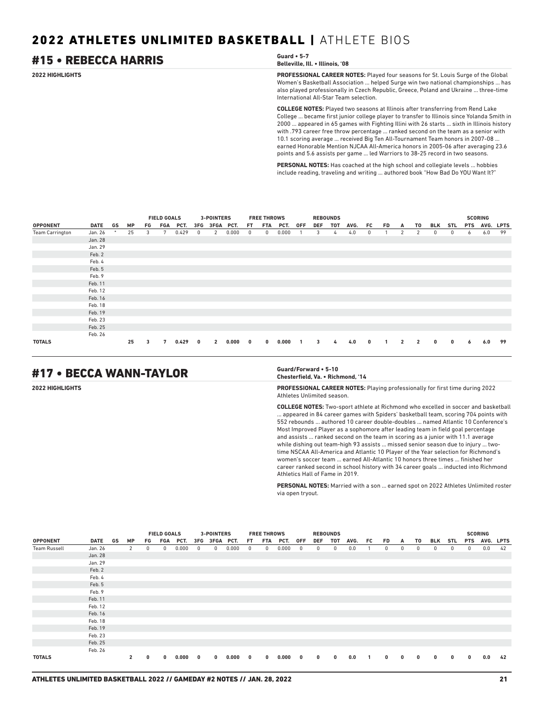## #15 • REBECCA HARRIS **Guard • 5-7**

## **Belleville, Ill. • Illinois, '08**

**2022 HIGHLIGHTS PROFESSIONAL CAREER NOTES:** Played four seasons for St. Louis Surge of the Global Women's Basketball Association ... helped Surge win two national championships ... has also played professionally in Czech Republic, Greece, Poland and Ukraine ... three-time International All-Star Team selection.

> **COLLEGE NOTES:** Played two seasons at Illinois after transferring from Rend Lake College ... became first junior college player to transfer to Illinois since Yolanda Smith in 2000 ... appeared in 65 games with Fighting Illini with 26 starts ... sixth in Illinois history with .793 career free throw percentage ... ranked second on the team as a senior with 10.1 scoring average ... received Big Ten All-Tournament Team honors in 2007-08 ... earned Honorable Mention NJCAA All-America honors in 2005-06 after averaging 23.6 points and 5.6 assists per game ... led Warriors to 38-25 record in two seasons.

**PERSONAL NOTES:** Has coached at the high school and collegiate levels ... hobbies include reading, traveling and writing ... authored book "How Bad Do YOU Want It?"

|                        |             |        |    |    | <b>FIELD GOALS</b> |       |     | 3-POINTERS     |       |           | <b>FREE THROWS</b> |       |            |            | <b>REBOUNDS</b> |      |             |    |                |                |     |            |            | <b>SCORING</b> |             |
|------------------------|-------------|--------|----|----|--------------------|-------|-----|----------------|-------|-----------|--------------------|-------|------------|------------|-----------------|------|-------------|----|----------------|----------------|-----|------------|------------|----------------|-------------|
| <b>OPPONENT</b>        | <b>DATE</b> | GS     | MP | FG | FGA                | PCT.  | 3FG | 3FGA PCT.      |       | <b>FT</b> | <b>FTA</b>         | PCT.  | <b>OFF</b> | <b>DEF</b> | <b>TOT</b>      | AVG. | FC          | FD | A              | T0             | BLK | <b>STL</b> | <b>PTS</b> | AVG.           | <b>LPTS</b> |
| <b>Team Carrington</b> | Jan. 26     | $\ast$ | 25 | 3  | 7                  | 0.429 | 0   | 2              | 0.000 | 0         | 0                  | 0.000 |            | 3          | 4               | 4.0  | 0           |    | $\mathbf{2}$   | 2              | 0   | 0          | 6          | 6.0            | 99          |
|                        | Jan. 28     |        |    |    |                    |       |     |                |       |           |                    |       |            |            |                 |      |             |    |                |                |     |            |            |                |             |
|                        | Jan. 29     |        |    |    |                    |       |     |                |       |           |                    |       |            |            |                 |      |             |    |                |                |     |            |            |                |             |
|                        | Feb. 2      |        |    |    |                    |       |     |                |       |           |                    |       |            |            |                 |      |             |    |                |                |     |            |            |                |             |
|                        | Feb. 4      |        |    |    |                    |       |     |                |       |           |                    |       |            |            |                 |      |             |    |                |                |     |            |            |                |             |
|                        | Feb. 5      |        |    |    |                    |       |     |                |       |           |                    |       |            |            |                 |      |             |    |                |                |     |            |            |                |             |
|                        | Feb. 9      |        |    |    |                    |       |     |                |       |           |                    |       |            |            |                 |      |             |    |                |                |     |            |            |                |             |
|                        | Feb. 11     |        |    |    |                    |       |     |                |       |           |                    |       |            |            |                 |      |             |    |                |                |     |            |            |                |             |
|                        | Feb. 12     |        |    |    |                    |       |     |                |       |           |                    |       |            |            |                 |      |             |    |                |                |     |            |            |                |             |
|                        | Feb. 16     |        |    |    |                    |       |     |                |       |           |                    |       |            |            |                 |      |             |    |                |                |     |            |            |                |             |
|                        | Feb. 18     |        |    |    |                    |       |     |                |       |           |                    |       |            |            |                 |      |             |    |                |                |     |            |            |                |             |
|                        | Feb. 19     |        |    |    |                    |       |     |                |       |           |                    |       |            |            |                 |      |             |    |                |                |     |            |            |                |             |
|                        | Feb. 23     |        |    |    |                    |       |     |                |       |           |                    |       |            |            |                 |      |             |    |                |                |     |            |            |                |             |
|                        | Feb. 25     |        |    |    |                    |       |     |                |       |           |                    |       |            |            |                 |      |             |    |                |                |     |            |            |                |             |
|                        | Feb. 26     |        |    |    |                    |       |     |                |       |           |                    |       |            |            |                 |      |             |    |                |                |     |            |            |                |             |
| <b>TOTALS</b>          |             |        | 25 | 3  | 7                  | 0.429 | 0   | $\overline{2}$ | 0.000 | 0         | $\mathbf{0}$       | 0.000 | 1          | 3          | 4               | 4.0  | $\mathbf 0$ |    | $\overline{2}$ | $\overline{2}$ | 0   | 0          | 6          | 6.0            | 99          |

## #17 • BECCA WANN-TAYLOR **Guard/Forward • 5-10**

## **Chesterfield, Va. • Richmond, '14**

**2022 HIGHLIGHTS PROFESSIONAL CAREER NOTES:** Playing professionally for first time during 2022 Athletes Unlimited season.

> **COLLEGE NOTES:** Two-sport athlete at Richmond who excelled in soccer and basketball ... appeared in 84 career games with Spiders' basketball team, scoring 704 points with 552 rebounds ... authored 10 career double-doubles ... named Atlantic 10 Conference's Most Improved Player as a sophomore after leading team in field goal percentage and assists ... ranked second on the team in scoring as a junior with 11.1 average while dishing out team-high 93 assists ... missed senior season due to injury ... twotime NSCAA All-America and Atlantic 10 Player of the Year selection for Richmond's women's soccer team ... earned All-Atlantic 10 honors three times ... finished her career ranked second in school history with 34 career goals ... inducted into Richmond Athletics Hall of Fame in 2019.

> **PERSONAL NOTES:** Married with a son ... earned spot on 2022 Athletes Unlimited roster via open tryout.

|                     |             |    |              |            | <b>FIELD GOALS</b> |       |              | <b>3-POINTERS</b> |       |              | <b>FREE THROWS</b> |       |                          |              | <b>REBOUNDS</b> |      |     |            |              |              |            |            |              | <b>SCORING</b> |    |
|---------------------|-------------|----|--------------|------------|--------------------|-------|--------------|-------------------|-------|--------------|--------------------|-------|--------------------------|--------------|-----------------|------|-----|------------|--------------|--------------|------------|------------|--------------|----------------|----|
| <b>OPPONENT</b>     | <b>DATE</b> | GS | <b>MP</b>    | FG         | FGA                | PCT.  |              | 3FG 3FGA PCT.     |       | FT.          | FTA                | PCT.  | 0FF                      | DEF          | тот             | AVG. | FC  | FD         | A            | T0           | BLK        | STL        | <b>PTS</b>   | AVG. LPTS      |    |
| <b>Team Russell</b> | Jan. 26     |    | 2            | $^{\circ}$ | 0                  | 0.000 | $^{\circ}$   | 0                 | 0.000 | $\mathbf{0}$ | $^{\circ}$         | 0.000 | $\mathbf{0}$             | $^{\circ}$   | $^{\circ}$      | 0.0  |     | $^{\circ}$ | $\mathbf{0}$ | $\mathbf{0}$ | $^{\circ}$ | $^{\circ}$ | $\bf{0}$     | 0.0            | 42 |
|                     | Jan. 28     |    |              |            |                    |       |              |                   |       |              |                    |       |                          |              |                 |      |     |            |              |              |            |            |              |                |    |
|                     | Jan. 29     |    |              |            |                    |       |              |                   |       |              |                    |       |                          |              |                 |      |     |            |              |              |            |            |              |                |    |
|                     | Feb. 2      |    |              |            |                    |       |              |                   |       |              |                    |       |                          |              |                 |      |     |            |              |              |            |            |              |                |    |
|                     | Feb. 4      |    |              |            |                    |       |              |                   |       |              |                    |       |                          |              |                 |      |     |            |              |              |            |            |              |                |    |
|                     | Feb. 5      |    |              |            |                    |       |              |                   |       |              |                    |       |                          |              |                 |      |     |            |              |              |            |            |              |                |    |
|                     | Feb. 9      |    |              |            |                    |       |              |                   |       |              |                    |       |                          |              |                 |      |     |            |              |              |            |            |              |                |    |
|                     | Feb. 11     |    |              |            |                    |       |              |                   |       |              |                    |       |                          |              |                 |      |     |            |              |              |            |            |              |                |    |
|                     | Feb. 12     |    |              |            |                    |       |              |                   |       |              |                    |       |                          |              |                 |      |     |            |              |              |            |            |              |                |    |
|                     | Feb. 16     |    |              |            |                    |       |              |                   |       |              |                    |       |                          |              |                 |      |     |            |              |              |            |            |              |                |    |
|                     | Feb. 18     |    |              |            |                    |       |              |                   |       |              |                    |       |                          |              |                 |      |     |            |              |              |            |            |              |                |    |
|                     | Feb. 19     |    |              |            |                    |       |              |                   |       |              |                    |       |                          |              |                 |      |     |            |              |              |            |            |              |                |    |
|                     | Feb. 23     |    |              |            |                    |       |              |                   |       |              |                    |       |                          |              |                 |      |     |            |              |              |            |            |              |                |    |
|                     | Feb. 25     |    |              |            |                    |       |              |                   |       |              |                    |       |                          |              |                 |      |     |            |              |              |            |            |              |                |    |
|                     | Feb. 26     |    |              |            |                    |       |              |                   |       |              |                    |       |                          |              |                 |      |     |            |              |              |            |            |              |                |    |
| <b>TOTALS</b>       |             |    | $\mathbf{2}$ | 0          | $\mathbf{0}$       | 0.000 | $\mathbf{0}$ | $\mathbf{0}$      | 0.000 | $\mathbf{0}$ | $\mathbf{0}$       | 0.000 | $\overline{\phantom{a}}$ | $\mathbf{0}$ | 0               | 0.0  | -1. | 0          | 0            | 0            | 0          | 0          | $\mathbf{0}$ | 0.0            | 42 |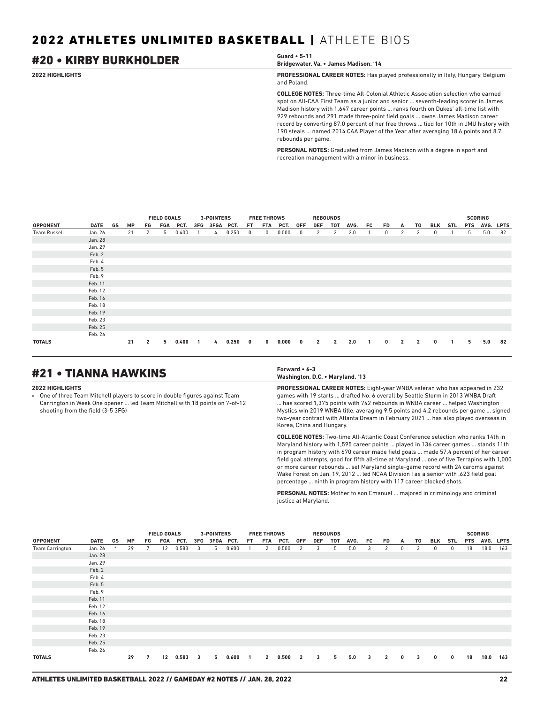## #20 • KIRBY BURKHOLDER **Guard • 5-11**

**Bridgewater, Va. • James Madison, '14**

**2022 HIGHLIGHTS PROFESSIONAL CAREER NOTES:** Has played professionally in Italy, Hungary, Belgium and Poland.

> **COLLEGE NOTES:** Three-time All-Colonial Athletic Association selection who earned spot on All-CAA First Team as a junior and senior ... seventh-leading scorer in James Madison history with 1,647 career points ... ranks fourth on Dukes' all-time list with 929 rebounds and 291 made three-point field goals ... owns James Madison career record by converting 87.0 percent of her free throws ... tied for 10th in JMU history with 190 steals ... named 2014 CAA Player of the Year after averaging 18.6 points and 8.7 rebounds per game.

**PERSONAL NOTES:** Graduated from James Madison with a degree in sport and recreation management with a minor in business.

|                     |             |    |           |                | <b>FIELD GOALS</b> |          |                | <b>3-POINTERS</b> |       |             | <b>FREE THROWS</b> |       |                         | <b>REBOUNDS</b> |                |      |                |             |                |                |          |     |            | <b>SCORING</b> |             |
|---------------------|-------------|----|-----------|----------------|--------------------|----------|----------------|-------------------|-------|-------------|--------------------|-------|-------------------------|-----------------|----------------|------|----------------|-------------|----------------|----------------|----------|-----|------------|----------------|-------------|
| <b>OPPONENT</b>     | <b>DATE</b> | GS | <b>MP</b> | FG             |                    | FGA PCT. |                | 3FG 3FGA PCT.     |       | FT.         | FTA                | PCT.  | 0FF                     | DEF             | TOT            | AVG. | FC             | FD.         | A              | T0             | BLK      | STL | <b>PTS</b> | AVG.           | <b>LPTS</b> |
| <b>Team Russell</b> | Jan. 26     |    | 21        | 2              | 5                  | 0.400    |                | 4                 | 0.250 | $^{\circ}$  | $^{\circ}$         | 0.000 | $\mathbf 0$             | 2               | 2              | 2.0  |                | 0           | 2              | 2              | 0        |     | 5          | 5.0            | 82          |
|                     | Jan. 28     |    |           |                |                    |          |                |                   |       |             |                    |       |                         |                 |                |      |                |             |                |                |          |     |            |                |             |
|                     | Jan. 29     |    |           |                |                    |          |                |                   |       |             |                    |       |                         |                 |                |      |                |             |                |                |          |     |            |                |             |
|                     | Feb. 2      |    |           |                |                    |          |                |                   |       |             |                    |       |                         |                 |                |      |                |             |                |                |          |     |            |                |             |
|                     | Feb. 4      |    |           |                |                    |          |                |                   |       |             |                    |       |                         |                 |                |      |                |             |                |                |          |     |            |                |             |
|                     | Feb. 5      |    |           |                |                    |          |                |                   |       |             |                    |       |                         |                 |                |      |                |             |                |                |          |     |            |                |             |
|                     | Feb. 9      |    |           |                |                    |          |                |                   |       |             |                    |       |                         |                 |                |      |                |             |                |                |          |     |            |                |             |
|                     | Feb. 11     |    |           |                |                    |          |                |                   |       |             |                    |       |                         |                 |                |      |                |             |                |                |          |     |            |                |             |
|                     | Feb. 12     |    |           |                |                    |          |                |                   |       |             |                    |       |                         |                 |                |      |                |             |                |                |          |     |            |                |             |
|                     | Feb. 16     |    |           |                |                    |          |                |                   |       |             |                    |       |                         |                 |                |      |                |             |                |                |          |     |            |                |             |
|                     | Feb. 18     |    |           |                |                    |          |                |                   |       |             |                    |       |                         |                 |                |      |                |             |                |                |          |     |            |                |             |
|                     | Feb. 19     |    |           |                |                    |          |                |                   |       |             |                    |       |                         |                 |                |      |                |             |                |                |          |     |            |                |             |
|                     | Feb. 23     |    |           |                |                    |          |                |                   |       |             |                    |       |                         |                 |                |      |                |             |                |                |          |     |            |                |             |
|                     | Feb. 25     |    |           |                |                    |          |                |                   |       |             |                    |       |                         |                 |                |      |                |             |                |                |          |     |            |                |             |
|                     | Feb. 26     |    |           |                |                    |          |                |                   |       |             |                    |       |                         |                 |                |      |                |             |                |                |          |     |            |                |             |
| <b>TOTALS</b>       |             |    | 21        | $\overline{2}$ | 5                  | 0.400    | $\overline{1}$ | 4                 | 0.250 | $\mathbf 0$ | $\mathbf{0}$       | 0.000 | $\overline{\mathbf{0}}$ | $\overline{2}$  | $\overline{2}$ | 2.0  | $\overline{1}$ | $\mathbf 0$ | $\overline{2}$ | $\overline{2}$ | $\bf{0}$ | -1  | 5          | 5.0            | 82          |

## #21 • TIANNA HAWKINS **Forward • 6-3**

#### **2022 HIGHLIGHTS**

» One of three Team Mitchell players to score in double figures against Team Carrington in Week One opener ... led Team Mitchell with 18 points on 7-of-12 shooting from the field (3-5 3FG)

## **Washington, D.C. • Maryland, '13**

**PROFESSIONAL CAREER NOTES:** Eight-year WNBA veteran who has appeared in 232 games with 19 starts ... drafted No. 6 overall by Seattle Storm in 2013 WNBA Draft ... has scored 1,375 points with 742 rebounds in WNBA career ... helped Washington Mystics win 2019 WNBA title, averaging 9.5 points and 4.2 rebounds per game ... signed two-year contract with Atlanta Dream in February 2021 ... has also played overseas in Korea, China and Hungary.

**COLLEGE NOTES:** Two-time All-Atlantic Coast Conference selection who ranks 14th in Maryland history with 1,595 career points ... played in 136 career games ... stands 11th in program history with 670 career made field goals ... made 57.4 percent of her career field goal attempts, good for fifth all-time at Maryland ... one of five Terrapins with 1,000 or more career rebounds ... set Maryland single-game record with 24 caroms against Wake Forest on Jan. 19, 2012 ... led NCAA Division I as a senior with .623 field goal percentage ... ninth in program history with 117 career blocked shots.

**PERSONAL NOTES:** Mother to son Emanuel ... majored in criminology and criminal justice at Maryland.

|                        |             |        |           |    | <b>FIELD GOALS</b> |       |     | <b>3-POINTERS</b> |       |     | <b>FREE THROWS</b> |       |                         |     | <b>REBOUNDS</b> |      |    |                |             |    |              |     |    | <b>SCORING</b> |     |
|------------------------|-------------|--------|-----------|----|--------------------|-------|-----|-------------------|-------|-----|--------------------|-------|-------------------------|-----|-----------------|------|----|----------------|-------------|----|--------------|-----|----|----------------|-----|
| <b>OPPONENT</b>        | <b>DATE</b> | GS     | <b>MP</b> | FG | FGA                | PCT.  | 3FG | 3FGA PCT.         |       | FT. | FTA                | PCT.  | 0FF                     | DEF | TOT             | AVG. | FC | FD             | A           | T0 | BLK          | STL |    | PTS AVG. LPTS  |     |
| <b>Team Carrington</b> | Jan. 26     | $\ast$ | 29        | 7  | 12                 | 0.583 | 3   | 5                 | 0.600 |     | 2                  | 0.500 | 2                       | 3   | 5               | 5.0  | 3  | 2              | 0           | 3  | $\mathbf{0}$ | 0   | 18 | 18.0           | 163 |
|                        | Jan. 28     |        |           |    |                    |       |     |                   |       |     |                    |       |                         |     |                 |      |    |                |             |    |              |     |    |                |     |
|                        | Jan. 29     |        |           |    |                    |       |     |                   |       |     |                    |       |                         |     |                 |      |    |                |             |    |              |     |    |                |     |
|                        | Feb. 2      |        |           |    |                    |       |     |                   |       |     |                    |       |                         |     |                 |      |    |                |             |    |              |     |    |                |     |
|                        | Feb. 4      |        |           |    |                    |       |     |                   |       |     |                    |       |                         |     |                 |      |    |                |             |    |              |     |    |                |     |
|                        | Feb. 5      |        |           |    |                    |       |     |                   |       |     |                    |       |                         |     |                 |      |    |                |             |    |              |     |    |                |     |
|                        | Feb. 9      |        |           |    |                    |       |     |                   |       |     |                    |       |                         |     |                 |      |    |                |             |    |              |     |    |                |     |
|                        | Feb. 11     |        |           |    |                    |       |     |                   |       |     |                    |       |                         |     |                 |      |    |                |             |    |              |     |    |                |     |
|                        | Feb. 12     |        |           |    |                    |       |     |                   |       |     |                    |       |                         |     |                 |      |    |                |             |    |              |     |    |                |     |
|                        | Feb. 16     |        |           |    |                    |       |     |                   |       |     |                    |       |                         |     |                 |      |    |                |             |    |              |     |    |                |     |
|                        | Feb. 18     |        |           |    |                    |       |     |                   |       |     |                    |       |                         |     |                 |      |    |                |             |    |              |     |    |                |     |
|                        | Feb. 19     |        |           |    |                    |       |     |                   |       |     |                    |       |                         |     |                 |      |    |                |             |    |              |     |    |                |     |
|                        | Feb. 23     |        |           |    |                    |       |     |                   |       |     |                    |       |                         |     |                 |      |    |                |             |    |              |     |    |                |     |
|                        | Feb. 25     |        |           |    |                    |       |     |                   |       |     |                    |       |                         |     |                 |      |    |                |             |    |              |     |    |                |     |
|                        | Feb. 26     |        |           |    |                    |       |     |                   |       |     |                    |       |                         |     |                 |      |    |                |             |    |              |     |    |                |     |
| <b>TOTALS</b>          |             |        | 29        | 7  | 12                 | 0.583 | 3   | 5                 | 0.600 | -1  | $\mathbf{2}$       | 0.500 | $\overline{\mathbf{2}}$ | 3   | 5               | 5.0  | 3  | $\overline{2}$ | $\mathbf 0$ | 3  | $\mathbf{0}$ | 0   | 18 | 18.0           | 163 |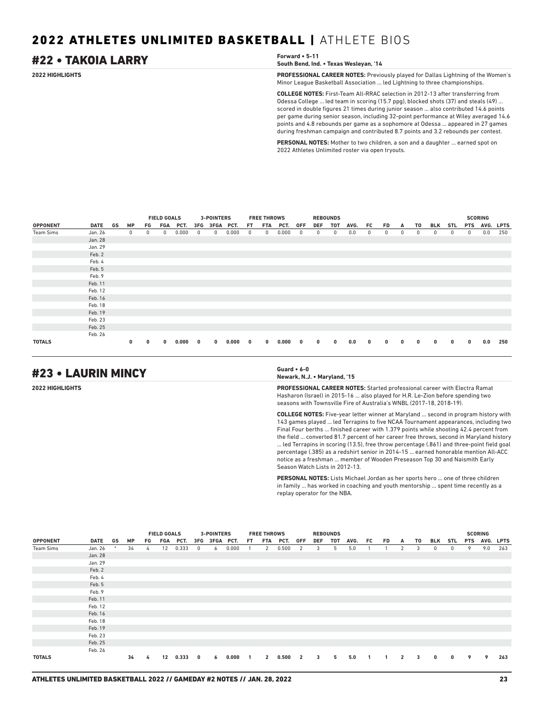## #22 • TAKOIA LARRY **Forward • 5-11**

**South Bend, Ind. • Texas Wesleyan, '14**

**2022 HIGHLIGHTS PROFESSIONAL CAREER NOTES:** Previously played for Dallas Lightning of the Women's Minor League Basketball Association ... led Lightning to three championships.

> **COLLEGE NOTES:** First-Team All-RRAC selection in 2012-13 after transferring from Odessa College ... led team in scoring (15.7 ppg), blocked shots (37) and steals (49) ... scored in double figures 21 times during junior season ... also contributed 14.6 points per game during senior season, including 32-point performance at Wiley averaged 14.6 points and 4.8 rebounds per game as a sophomore at Odessa ... appeared in 27 games during freshman campaign and contributed 8.7 points and 3.2 rebounds per contest.

**PERSONAL NOTES:** Mother to two children, a son and a daughter ... earned spot on 2022 Athletes Unlimited roster via open tryouts.

|                 |             |    |             |    | FGA<br>PCT.<br>0.000<br>0               |       |                         | <b>3-POINTERS</b> |       |              | <b>FREE THROWS</b> |         |     | <b>REBOUNDS</b> |     |      |    |    |   |    |     |            |              | <b>SCORING</b> |     |
|-----------------|-------------|----|-------------|----|-----------------------------------------|-------|-------------------------|-------------------|-------|--------------|--------------------|---------|-----|-----------------|-----|------|----|----|---|----|-----|------------|--------------|----------------|-----|
| <b>OPPONENT</b> | <b>DATE</b> | GS | <b>MP</b>   | FG |                                         |       |                         | 3FGA PCT.         |       | FT.          | FTA                | PCT.    | 0FF | DEF             | тот | AVG. | FC | FD | A | T0 | BLK | <b>STL</b> | <b>PTS</b>   | AVG. LPTS      |     |
| Team Sims       | Jan. 26     |    | $\mathbf 0$ | 0  | <b>FIELD GOALS</b><br>3FG<br>$^{\circ}$ |       |                         | 0                 | 0.000 | 0            | 0                  | 0.000   | 0   | 0               | 0   | 0.0  | 0  | 0  | 0 | 0  | 0   | 0          | $\mathbf 0$  | 0.0            | 250 |
|                 | Jan. 28     |    |             |    |                                         |       |                         |                   |       |              |                    |         |     |                 |     |      |    |    |   |    |     |            |              |                |     |
|                 | Jan. 29     |    |             |    |                                         |       |                         |                   |       |              |                    |         |     |                 |     |      |    |    |   |    |     |            |              |                |     |
|                 | Feb. 2      |    |             |    |                                         |       |                         |                   |       |              |                    |         |     |                 |     |      |    |    |   |    |     |            |              |                |     |
|                 | Feb. 4      |    |             |    |                                         |       |                         |                   |       |              |                    |         |     |                 |     |      |    |    |   |    |     |            |              |                |     |
|                 | Feb. 5      |    |             |    |                                         |       |                         |                   |       |              |                    |         |     |                 |     |      |    |    |   |    |     |            |              |                |     |
|                 | Feb. 9      |    |             |    |                                         |       |                         |                   |       |              |                    |         |     |                 |     |      |    |    |   |    |     |            |              |                |     |
|                 | Feb. 11     |    |             |    |                                         |       |                         |                   |       |              |                    |         |     |                 |     |      |    |    |   |    |     |            |              |                |     |
|                 | Feb. 12     |    |             |    |                                         |       |                         |                   |       |              |                    |         |     |                 |     |      |    |    |   |    |     |            |              |                |     |
|                 | Feb. 16     |    |             |    |                                         |       |                         |                   |       |              |                    |         |     |                 |     |      |    |    |   |    |     |            |              |                |     |
|                 | Feb. 18     |    |             |    |                                         |       |                         |                   |       |              |                    |         |     |                 |     |      |    |    |   |    |     |            |              |                |     |
|                 | Feb. 19     |    |             |    |                                         |       |                         |                   |       |              |                    |         |     |                 |     |      |    |    |   |    |     |            |              |                |     |
|                 | Feb. 23     |    |             |    |                                         |       |                         |                   |       |              |                    |         |     |                 |     |      |    |    |   |    |     |            |              |                |     |
|                 | Feb. 25     |    |             |    |                                         |       |                         |                   |       |              |                    |         |     |                 |     |      |    |    |   |    |     |            |              |                |     |
|                 | Feb. 26     |    |             |    |                                         |       |                         |                   |       |              |                    |         |     |                 |     |      |    |    |   |    |     |            |              |                |     |
| <b>TOTALS</b>   |             |    | 0           | 0  | $\bf{0}$                                | 0.000 | $\overline{\mathbf{0}}$ | $\mathbf{0}$      | 0.000 | $\mathbf{0}$ | $\mathbf{0}$       | 0.000 0 |     | 0               | 0   | 0.0  | 0  | 0  | 0 | 0  | 0   | 0          | $\mathbf{0}$ | 0.0            | 250 |

## #23 • LAURIN MINCY **Guard • 6-0**

**Newark, N.J. • Maryland, '15**

**2022 HIGHLIGHTS PROFESSIONAL CAREER NOTES:** Started professional career with Electra Ramat Hasharon (Israel) in 2015-16 ... also played for H.R. Le-Zion before spending two seasons with Townsville Fire of Australia's WNBL (2017-18, 2018-19).

> **COLLEGE NOTES:** Five-year letter winner at Maryland ... second in program history with 143 games played ... led Terrapins to five NCAA Tournament appearances, including two Final Four berths ... finished career with 1.379 points while shooting 42.4 percent from the field ... converted 81.7 percent of her career free throws, second in Maryland history ... led Terrapins in scoring (13.5), free throw percentage (.861) and three-point field goal percentage (.385) as a redshirt senior in 2014-15 ... earned honorable mention All-ACC notice as a freshman ... member of Wooden Preseason Top 30 and Naismith Early Season Watch Lists in 2012-13.

**PERSONAL NOTES:** Lists Michael Jordan as her sports hero ... one of three children in family ... has worked in coaching and youth mentorship ... spent time recently as a replay operator for the NBA.

|                 |             |    |           |    | FGA PCT.<br>0.333<br>12 |       |              | <b>3-POINTERS</b> |       |                | <b>FREE THROWS</b> |         |     | <b>REBOUNDS</b> |     |      |    |    |              |                         |          |     |            | <b>SCORING</b> |     |
|-----------------|-------------|----|-----------|----|-------------------------|-------|--------------|-------------------|-------|----------------|--------------------|---------|-----|-----------------|-----|------|----|----|--------------|-------------------------|----------|-----|------------|----------------|-----|
| <b>OPPONENT</b> | <b>DATE</b> | GS | <b>MP</b> | FG | <b>FIELD GOALS</b>      |       |              | 3FG 3FGA PCT.     |       | FT.            | FTA                | PCT.    | 0FF | DEF             | тот | AVG. | FC | FD | A            | T0                      | BLK      | STL | <b>PTS</b> | AVG. LPTS      |     |
| Team Sims       | Jan. 26     |    | 34        | 4  |                         |       | 0            | 6                 | 0.000 |                | 2                  | 0.500   | 2   | 3               | 5   | 5.0  |    |    | 2            | 3                       | 0        | 0   | 9          | 9.0            | 263 |
|                 | Jan. 28     |    |           |    |                         |       |              |                   |       |                |                    |         |     |                 |     |      |    |    |              |                         |          |     |            |                |     |
|                 | Jan. 29     |    |           |    |                         |       |              |                   |       |                |                    |         |     |                 |     |      |    |    |              |                         |          |     |            |                |     |
|                 | Feb. 2      |    |           |    |                         |       |              |                   |       |                |                    |         |     |                 |     |      |    |    |              |                         |          |     |            |                |     |
|                 | Feb. 4      |    |           |    |                         |       |              |                   |       |                |                    |         |     |                 |     |      |    |    |              |                         |          |     |            |                |     |
|                 | Feb. 5      |    |           |    |                         |       |              |                   |       |                |                    |         |     |                 |     |      |    |    |              |                         |          |     |            |                |     |
|                 | Feb. 9      |    |           |    |                         |       |              |                   |       |                |                    |         |     |                 |     |      |    |    |              |                         |          |     |            |                |     |
|                 | Feb. 11     |    |           |    |                         |       |              |                   |       |                |                    |         |     |                 |     |      |    |    |              |                         |          |     |            |                |     |
|                 | Feb. 12     |    |           |    |                         |       |              |                   |       |                |                    |         |     |                 |     |      |    |    |              |                         |          |     |            |                |     |
|                 | Feb. 16     |    |           |    |                         |       |              |                   |       |                |                    |         |     |                 |     |      |    |    |              |                         |          |     |            |                |     |
|                 | Feb. 18     |    |           |    |                         |       |              |                   |       |                |                    |         |     |                 |     |      |    |    |              |                         |          |     |            |                |     |
|                 | Feb. 19     |    |           |    |                         |       |              |                   |       |                |                    |         |     |                 |     |      |    |    |              |                         |          |     |            |                |     |
|                 | Feb. 23     |    |           |    |                         |       |              |                   |       |                |                    |         |     |                 |     |      |    |    |              |                         |          |     |            |                |     |
|                 | Feb. 25     |    |           |    |                         |       |              |                   |       |                |                    |         |     |                 |     |      |    |    |              |                         |          |     |            |                |     |
|                 | Feb. 26     |    |           |    |                         |       |              |                   |       |                |                    |         |     |                 |     |      |    |    |              |                         |          |     |            |                |     |
| <b>TOTALS</b>   |             |    | 34        | 4  | 12                      | 0.333 | $\mathbf{0}$ | 6                 | 0.000 | $\overline{1}$ | $\mathbf{2}$       | 0.500 2 |     | 3               | 5   | 5.0  |    |    | $\mathbf{2}$ | $\overline{\mathbf{3}}$ | $\bf{0}$ | 0   | 9          | 9              | 263 |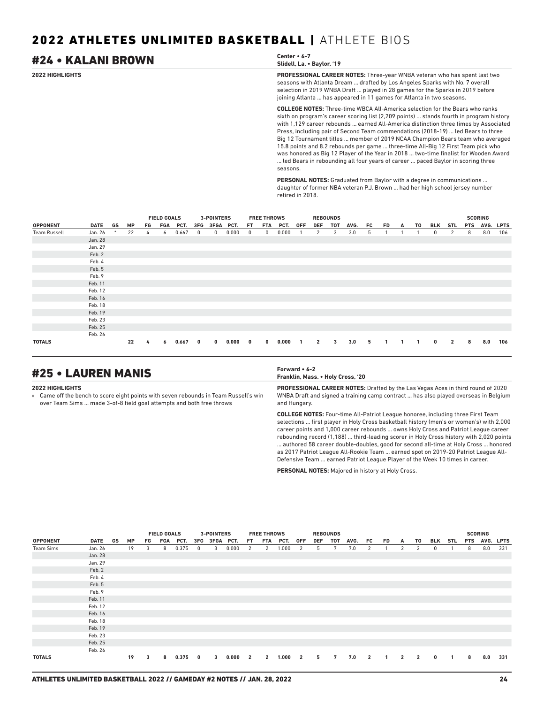## #24 • KALANI BROWN **Center • 6-7**

## **Slidell, La. • Baylor, '19**

**2022 HIGHLIGHTS PROFESSIONAL CAREER NOTES:** Three-year WNBA veteran who has spent last two seasons with Atlanta Dream ... drafted by Los Angeles Sparks with No. 7 overall selection in 2019 WNBA Draft ... played in 28 games for the Sparks in 2019 before joining Atlanta ... has appeared in 11 games for Atlanta in two seasons.

> **COLLEGE NOTES:** Three-time WBCA All-America selection for the Bears who ranks sixth on program's career scoring list (2,209 points) ... stands fourth in program history with 1,129 career rebounds ... earned All-America distinction three times by Associated Press, including pair of Second Team commendations (2018-19) ... led Bears to three Big 12 Tournament titles ... member of 2019 NCAA Champion Bears team who averaged 15.8 points and 8.2 rebounds per game ... three-time All-Big 12 First Team pick who was honored as Big 12 Player of the Year in 2018 ... two-time finalist for Wooden Award ... led Bears in rebounding all four years of career ... paced Baylor in scoring three seasons.

**PERSONAL NOTES:** Graduated from Baylor with a degree in communications ... daughter of former NBA veteran P.J. Brown ... had her high school jersey number retired in 2018.

|                     |             |        |           |    | <b>FIELD GOALS</b> |          |     | <b>3-POINTERS</b> |       |     | <b>FREE THROWS</b> |       |            |                | <b>REBOUNDS</b> |      |     |     |   |    |     |                |            | <b>SCORING</b> |             |
|---------------------|-------------|--------|-----------|----|--------------------|----------|-----|-------------------|-------|-----|--------------------|-------|------------|----------------|-----------------|------|-----|-----|---|----|-----|----------------|------------|----------------|-------------|
| <b>OPPONENT</b>     | <b>DATE</b> | GS     | <b>MP</b> | FG |                    | FGA PCT. | 3FG | 3FGA PCT.         |       | FT. | FTA                | PCT.  | <b>OFF</b> | <b>DEF</b>     | TOT             | AVG. | FC. | FD. | A | T0 | BLK | STL            | <b>PTS</b> | AVG.           | <b>LPTS</b> |
| <b>Team Russell</b> | Jan. 26     | $\ast$ | 22        | 4  | 6                  | 0.667    | 0   | $\mathbf 0$       | 0.000 | 0   | $^{\circ}$         | 0.000 |            | 2              | 3               | 3.0  | 5   |     |   |    | 0   | 2              | 8          | 8.0            | 106         |
|                     | Jan. 28     |        |           |    |                    |          |     |                   |       |     |                    |       |            |                |                 |      |     |     |   |    |     |                |            |                |             |
|                     | Jan. 29     |        |           |    |                    |          |     |                   |       |     |                    |       |            |                |                 |      |     |     |   |    |     |                |            |                |             |
|                     | Feb. 2      |        |           |    |                    |          |     |                   |       |     |                    |       |            |                |                 |      |     |     |   |    |     |                |            |                |             |
|                     | Feb. 4      |        |           |    |                    |          |     |                   |       |     |                    |       |            |                |                 |      |     |     |   |    |     |                |            |                |             |
|                     | Feb. 5      |        |           |    |                    |          |     |                   |       |     |                    |       |            |                |                 |      |     |     |   |    |     |                |            |                |             |
|                     | Feb. 9      |        |           |    |                    |          |     |                   |       |     |                    |       |            |                |                 |      |     |     |   |    |     |                |            |                |             |
|                     | Feb. 11     |        |           |    |                    |          |     |                   |       |     |                    |       |            |                |                 |      |     |     |   |    |     |                |            |                |             |
|                     | Feb. 12     |        |           |    |                    |          |     |                   |       |     |                    |       |            |                |                 |      |     |     |   |    |     |                |            |                |             |
|                     | Feb. 16     |        |           |    |                    |          |     |                   |       |     |                    |       |            |                |                 |      |     |     |   |    |     |                |            |                |             |
|                     | Feb. 18     |        |           |    |                    |          |     |                   |       |     |                    |       |            |                |                 |      |     |     |   |    |     |                |            |                |             |
|                     | Feb. 19     |        |           |    |                    |          |     |                   |       |     |                    |       |            |                |                 |      |     |     |   |    |     |                |            |                |             |
|                     | Feb. 23     |        |           |    |                    |          |     |                   |       |     |                    |       |            |                |                 |      |     |     |   |    |     |                |            |                |             |
|                     | Feb. 25     |        |           |    |                    |          |     |                   |       |     |                    |       |            |                |                 |      |     |     |   |    |     |                |            |                |             |
|                     | Feb. 26     |        |           |    |                    |          |     |                   |       |     |                    |       |            |                |                 |      |     |     |   |    |     |                |            |                |             |
| <b>TOTALS</b>       |             |        | 22        | 4  | 6                  | 0.667    | 0   | $\mathbf{0}$      | 0.000 | 0   | $\mathbf{0}$       | 0.000 |            | $\overline{2}$ | 3               | 3.0  | -5  |     |   |    | 0   | $\overline{2}$ | 8          | 8.0            | 106         |

## #25 • LAUREN MANIS **Forward • 6-2**

#### **2022 HIGHLIGHTS**

» Came off the bench to score eight points with seven rebounds in Team Russell's win over Team Sims ... made 3-of-8 field goal attempts and both free throws

## **Franklin, Mass. • Holy Cross, '20**

**PROFESSIONAL CAREER NOTES:** Drafted by the Las Vegas Aces in third round of 2020 WNBA Draft and signed a training camp contract ... has also played overseas in Belgium and Hungary.

**COLLEGE NOTES:** Four-time All-Patriot League honoree, including three First Team selections ... first player in Holy Cross basketball history (men's or women's) with 2,000 career points and 1,000 career rebounds ... owns Holy Cross and Patriot League career rebounding record (1,188) ... third-leading scorer in Holy Cross history with 2,020 points ... authored 58 career double-doubles, good for second all-time at Holy Cross ... honored as 2017 Patriot League All-Rookie Team ... earned spot on 2019-20 Patriot League All-Defensive Team ... earned Patriot League Player of the Week 10 times in career.

**PERSONAL NOTES:** Majored in history at Holy Cross.

|                 |         |    |    |    | <b>FIELD GOALS</b> |       |              | <b>3-POINTERS</b> |       |                | <b>FREE THROWS</b> |         |     |     | <b>REBOUNDS</b> |      |                |     |                |                |          |     |   | <b>SCORING</b> |     |
|-----------------|---------|----|----|----|--------------------|-------|--------------|-------------------|-------|----------------|--------------------|---------|-----|-----|-----------------|------|----------------|-----|----------------|----------------|----------|-----|---|----------------|-----|
| <b>OPPONENT</b> | DATE    | GS | MP | FG | FGA                | PCT.  |              | 3FG 3FGA PCT.     |       | FT.            | FTA                | PCT.    | 0FF | DEF | TOT             | AVG. | FC.            | FD. | A              | T0             | BLK      | STL |   | PTS AVG. LPTS  |     |
| Team Sims       | Jan. 26 |    | 19 | 3  | 8                  | 0.375 | 0            | 3                 | 0.000 | 2              | 2                  | 1.000   | 2   | 5   | 7               | 7.0  | 2              |     | 2              | 2              | 0        |     | 8 | 8.0            | 331 |
|                 | Jan. 28 |    |    |    |                    |       |              |                   |       |                |                    |         |     |     |                 |      |                |     |                |                |          |     |   |                |     |
|                 | Jan. 29 |    |    |    |                    |       |              |                   |       |                |                    |         |     |     |                 |      |                |     |                |                |          |     |   |                |     |
|                 | Feb. 2  |    |    |    |                    |       |              |                   |       |                |                    |         |     |     |                 |      |                |     |                |                |          |     |   |                |     |
|                 | Feb. 4  |    |    |    |                    |       |              |                   |       |                |                    |         |     |     |                 |      |                |     |                |                |          |     |   |                |     |
|                 | Feb. 5  |    |    |    |                    |       |              |                   |       |                |                    |         |     |     |                 |      |                |     |                |                |          |     |   |                |     |
|                 | Feb. 9  |    |    |    |                    |       |              |                   |       |                |                    |         |     |     |                 |      |                |     |                |                |          |     |   |                |     |
|                 | Feb. 11 |    |    |    |                    |       |              |                   |       |                |                    |         |     |     |                 |      |                |     |                |                |          |     |   |                |     |
|                 | Feb. 12 |    |    |    |                    |       |              |                   |       |                |                    |         |     |     |                 |      |                |     |                |                |          |     |   |                |     |
|                 | Feb. 16 |    |    |    |                    |       |              |                   |       |                |                    |         |     |     |                 |      |                |     |                |                |          |     |   |                |     |
|                 | Feb. 18 |    |    |    |                    |       |              |                   |       |                |                    |         |     |     |                 |      |                |     |                |                |          |     |   |                |     |
|                 | Feb. 19 |    |    |    |                    |       |              |                   |       |                |                    |         |     |     |                 |      |                |     |                |                |          |     |   |                |     |
|                 | Feb. 23 |    |    |    |                    |       |              |                   |       |                |                    |         |     |     |                 |      |                |     |                |                |          |     |   |                |     |
|                 | Feb. 25 |    |    |    |                    |       |              |                   |       |                |                    |         |     |     |                 |      |                |     |                |                |          |     |   |                |     |
|                 | Feb. 26 |    |    |    |                    |       |              |                   |       |                |                    |         |     |     |                 |      |                |     |                |                |          |     |   |                |     |
| <b>TOTALS</b>   |         |    | 19 | 3  | 8                  | 0.375 | $\mathbf{0}$ | 3                 | 0.000 | $\overline{2}$ | $\overline{2}$     | 1.000 2 |     | 5   | 7               | 7.0  | $\overline{2}$ | 1   | $\overline{2}$ | $\overline{2}$ | $\bf{0}$ | -1  | 8 | 8.0            | 331 |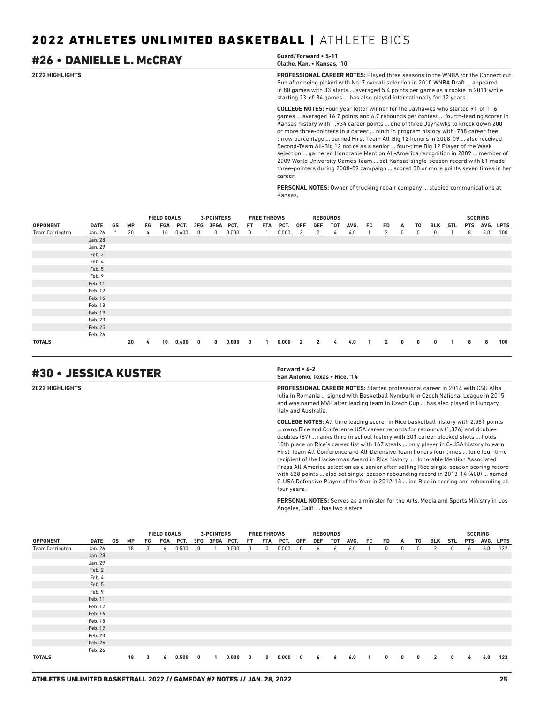## #26 • DANIELLE L. McCRAY **Guard/Forward • 5-11**

## **Olathe, Kan. • Kansas, '10**

**2022 HIGHLIGHTS PROFESSIONAL CAREER NOTES:** Played three seasons in the WNBA for the Connecticut Sun after being picked with No. 7 overall selection in 2010 WNBA Draft ... appeared in 80 games with 33 starts ... averaged 5.4 points per game as a rookie in 2011 while starting 23-of-34 games ... has also played internationally for 12 years.

> **COLLEGE NOTES:** Four-year letter winner for the Jayhawks who started 91-of-116 games ... averaged 16.7 points and 6.7 rebounds per contest ... fourth-leading scorer in Kansas history with 1,934 career points ... one of three Jayhawks to knock down 200 or more three-pointers in a career ... ninth in program history with .788 career free throw percentage ... earned First-Team All-Big 12 honors in 2008-09 ... also received Second-Team All-Big 12 notice as a senior ... four-time Big 12 Player of the Week selection ... garnered Honorable Mention All-America recognition in 2009 ... member of 2009 World University Games Team ... set Kansas single-season record with 81 made three-pointers during 2008-09 campaign ... scored 30 or more points seven times in her career.

**PERSONAL NOTES:** Owner of trucking repair company ... studied communications at Kansas.

|                        |             |    |           |    | <b>FIELD GOALS</b> |       |     | 3-POINTERS |       |     | <b>FREE THROWS</b> |       |                |                | <b>REBOUNDS</b> |      |     |              |              |    |              |            |            | <b>SCORING</b> |             |
|------------------------|-------------|----|-----------|----|--------------------|-------|-----|------------|-------|-----|--------------------|-------|----------------|----------------|-----------------|------|-----|--------------|--------------|----|--------------|------------|------------|----------------|-------------|
| <b>OPPONENT</b>        | <b>DATE</b> | GS | <b>MP</b> | FG | FGA                | PCT.  | 3FG | 3FGA PCT.  |       | FT. | <b>FTA</b>         | PCT.  | <b>OFF</b>     | <b>DEF</b>     | TOT             | AVG. | FC. | <b>FD</b>    | A            | T0 | BLK          | <b>STL</b> | <b>PTS</b> | AVG.           | <b>LPTS</b> |
| <b>Team Carrington</b> | Jan. 26     | *  | 20        | 4  | 10 <sup>°</sup>    | 0.400 | 0   | 0          | 0.000 | 0   |                    | 0.000 | 2              | 2              | 4               | 4.0  |     | 2            | $\mathbf{0}$ | 0  | 0            |            | 8          | 8.0            | 100         |
|                        | Jan. 28     |    |           |    |                    |       |     |            |       |     |                    |       |                |                |                 |      |     |              |              |    |              |            |            |                |             |
|                        | Jan. 29     |    |           |    |                    |       |     |            |       |     |                    |       |                |                |                 |      |     |              |              |    |              |            |            |                |             |
|                        | Feb. 2      |    |           |    |                    |       |     |            |       |     |                    |       |                |                |                 |      |     |              |              |    |              |            |            |                |             |
|                        | Feb. 4      |    |           |    |                    |       |     |            |       |     |                    |       |                |                |                 |      |     |              |              |    |              |            |            |                |             |
|                        | Feb. 5      |    |           |    |                    |       |     |            |       |     |                    |       |                |                |                 |      |     |              |              |    |              |            |            |                |             |
|                        | Feb. 9      |    |           |    |                    |       |     |            |       |     |                    |       |                |                |                 |      |     |              |              |    |              |            |            |                |             |
|                        | Feb. 11     |    |           |    |                    |       |     |            |       |     |                    |       |                |                |                 |      |     |              |              |    |              |            |            |                |             |
|                        | Feb. 12     |    |           |    |                    |       |     |            |       |     |                    |       |                |                |                 |      |     |              |              |    |              |            |            |                |             |
|                        | Feb. 16     |    |           |    |                    |       |     |            |       |     |                    |       |                |                |                 |      |     |              |              |    |              |            |            |                |             |
|                        | Feb. 18     |    |           |    |                    |       |     |            |       |     |                    |       |                |                |                 |      |     |              |              |    |              |            |            |                |             |
|                        | Feb. 19     |    |           |    |                    |       |     |            |       |     |                    |       |                |                |                 |      |     |              |              |    |              |            |            |                |             |
|                        | Feb. 23     |    |           |    |                    |       |     |            |       |     |                    |       |                |                |                 |      |     |              |              |    |              |            |            |                |             |
|                        | Feb. 25     |    |           |    |                    |       |     |            |       |     |                    |       |                |                |                 |      |     |              |              |    |              |            |            |                |             |
|                        | Feb. 26     |    |           |    |                    |       |     |            |       |     |                    |       |                |                |                 |      |     |              |              |    |              |            |            |                |             |
| <b>TOTALS</b>          |             |    | 20        | 4  | 10                 | 0.400 | 0   | $\bf{0}$   | 0.000 | 0   | $\mathbf{1}$       | 0.000 | $\overline{2}$ | $\overline{2}$ | 4               | 4.0  |     | $\mathbf{2}$ | 0            | 0  | $\mathbf{0}$ |            | 8          | 8              | 100         |

## #30 • JESSICA KUSTER **Forward • 6-2**

**San Antonio, Texas • Rice, '14**

**2022 HIGHLIGHTS PROFESSIONAL CAREER NOTES:** Started professional career in 2014 with CSU Alba Iulia in Romania ... signed with Basketball Nymburk in Czech National League in 2015 and was named MVP after leading team to Czech Cup ... has also played in Hungary, Italy and Australia.

> **COLLEGE NOTES:** All-time leading scorer in Rice basketball history with 2,081 points ... owns Rice and Conference USA career records for rebounds (1,376) and doubledoubles (67) ... ranks third in school history with 201 career blocked shots ... holds 10th place on Rice's career list with 167 steals ... only player in C-USA history to earn First-Team All-Conference and All-Defensive Team honors four times ... lone four-time recipient of the Hackerman Award in Rice history ... Honorable Mention Associated Press All-America selection as a senior after setting Rice single-season scoring record with 628 points ... also set single-season rebounding record in 2013-14 (400) ... named C-USA Defensive Player of the Year in 2012-13 ... led Rice in scoring and rebounding all four years.

> **PERSONAL NOTES:** Serves as a minister for the Arts, Media and Sports Ministry in Los Angeles, Calif. ... has two sisters.

|                        |             |    |           |     | <b>FIELD GOALS</b> |       |              | 3-POINTERS    |       |              | <b>FREE THROWS</b> |       |                         |     | <b>REBOUNDS</b> |      |    |             |              |              |                |     |            | <b>SCORING</b> |     |
|------------------------|-------------|----|-----------|-----|--------------------|-------|--------------|---------------|-------|--------------|--------------------|-------|-------------------------|-----|-----------------|------|----|-------------|--------------|--------------|----------------|-----|------------|----------------|-----|
| <b>OPPONENT</b>        | <b>DATE</b> | GS | <b>MP</b> | FG. | FGA                | PCT.  |              | 3FG 3FGA PCT. |       | FT.          | FTA                | PCT.  | 0FF                     | DEF | TOT             | AVG. | FC | FD.         | A            | T0           | BLK            | STL | <b>PTS</b> | AVG. LPTS      |     |
| <b>Team Carrington</b> | Jan. 26     |    | 18        | 3   | 6                  | 0.500 | $^{\circ}$   |               | 0.000 | $^{\circ}$   | 0                  | 0.000 | $\overline{0}$          | 6   | 6               | 6.0  |    | 0           | 0            | 0            | 2              | 0   | 6          | 6.0            | 122 |
|                        | Jan. 28     |    |           |     |                    |       |              |               |       |              |                    |       |                         |     |                 |      |    |             |              |              |                |     |            |                |     |
|                        | Jan. 29     |    |           |     |                    |       |              |               |       |              |                    |       |                         |     |                 |      |    |             |              |              |                |     |            |                |     |
|                        | Feb. 2      |    |           |     |                    |       |              |               |       |              |                    |       |                         |     |                 |      |    |             |              |              |                |     |            |                |     |
|                        | Feb. 4      |    |           |     |                    |       |              |               |       |              |                    |       |                         |     |                 |      |    |             |              |              |                |     |            |                |     |
|                        | Feb. 5      |    |           |     |                    |       |              |               |       |              |                    |       |                         |     |                 |      |    |             |              |              |                |     |            |                |     |
|                        | Feb. 9      |    |           |     |                    |       |              |               |       |              |                    |       |                         |     |                 |      |    |             |              |              |                |     |            |                |     |
|                        | Feb. 11     |    |           |     |                    |       |              |               |       |              |                    |       |                         |     |                 |      |    |             |              |              |                |     |            |                |     |
|                        | Feb. 12     |    |           |     |                    |       |              |               |       |              |                    |       |                         |     |                 |      |    |             |              |              |                |     |            |                |     |
|                        | Feb. 16     |    |           |     |                    |       |              |               |       |              |                    |       |                         |     |                 |      |    |             |              |              |                |     |            |                |     |
|                        | Feb. 18     |    |           |     |                    |       |              |               |       |              |                    |       |                         |     |                 |      |    |             |              |              |                |     |            |                |     |
|                        | Feb. 19     |    |           |     |                    |       |              |               |       |              |                    |       |                         |     |                 |      |    |             |              |              |                |     |            |                |     |
|                        | Feb. 23     |    |           |     |                    |       |              |               |       |              |                    |       |                         |     |                 |      |    |             |              |              |                |     |            |                |     |
|                        | Feb. 25     |    |           |     |                    |       |              |               |       |              |                    |       |                         |     |                 |      |    |             |              |              |                |     |            |                |     |
|                        | Feb. 26     |    |           |     |                    |       |              |               |       |              |                    |       |                         |     |                 |      |    |             |              |              |                |     |            |                |     |
| <b>TOTALS</b>          |             |    | 18        | 3   | 6                  | 0.500 | $\mathbf{0}$ | 1             | 0.000 | $\mathbf{0}$ | $\mathbf{0}$       | 0.000 | $\overline{\mathbf{0}}$ | 6   | 6               | 6.0  | -1 | $\mathbf 0$ | $\mathbf{0}$ | $\mathbf{0}$ | $\overline{2}$ | 0   | 6          | 6.0            | 122 |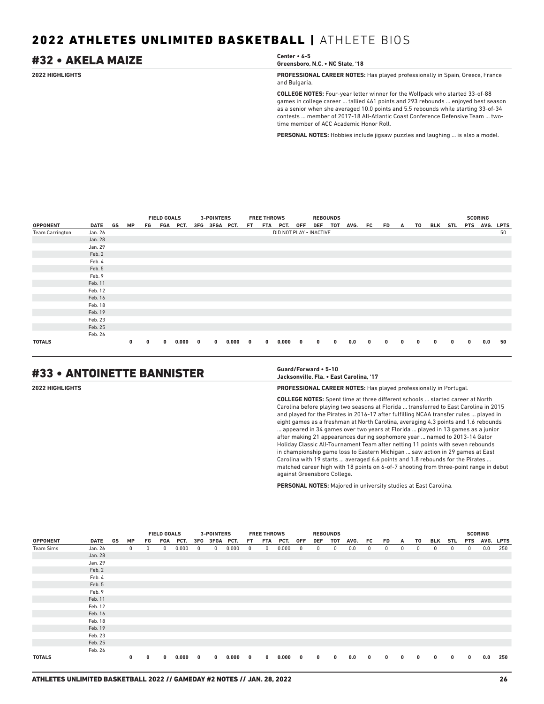## #32 • AKELA MAIZE **Center • 6-5**

**Greensboro, N.C. • NC State, '18**

**2022 HIGHLIGHTS PROFESSIONAL CAREER NOTES:** Has played professionally in Spain, Greece, France and Bulgaria.

> **COLLEGE NOTES:** Four-year letter winner for the Wolfpack who started 33-of-88 games in college career ... tallied 461 points and 293 rebounds ... enjoyed best season as a senior when she averaged 10.0 points and 5.5 rebounds while starting 33-of-34 contests ... member of 2017-18 All-Atlantic Coast Conference Defensive Team ... twotime member of ACC Academic Honor Roll.

**PERSONAL NOTES:** Hobbies include jigsaw puzzles and laughing ... is also a model.

|                        |             |    |          |             | <b>FIELD GOALS</b> |          |              | 3-POINTERS    |         |     | <b>FREE THROWS</b> |                         |     | <b>REBOUNDS</b> |          |      |             |    |   |    |          |              | <b>SCORING</b> |               |    |
|------------------------|-------------|----|----------|-------------|--------------------|----------|--------------|---------------|---------|-----|--------------------|-------------------------|-----|-----------------|----------|------|-------------|----|---|----|----------|--------------|----------------|---------------|----|
| <b>OPPONENT</b>        | <b>DATE</b> | GS | МP       | FG          |                    | FGA PCT. |              | 3FG 3FGA PCT. |         | FT. | FTA                | PCT.                    | OFF | DEF TOT         |          | AVG. | FC          | FD | A | TO | BLK      | STL          |                | PTS AVG. LPTS |    |
| <b>Team Carrington</b> | Jan. 26     |    |          |             |                    |          |              |               |         |     |                    | DID NOT PLAY . INACTIVE |     |                 |          |      |             |    |   |    |          |              |                |               | 50 |
|                        | Jan. 28     |    |          |             |                    |          |              |               |         |     |                    |                         |     |                 |          |      |             |    |   |    |          |              |                |               |    |
|                        | Jan. 29     |    |          |             |                    |          |              |               |         |     |                    |                         |     |                 |          |      |             |    |   |    |          |              |                |               |    |
|                        | Feb. 2      |    |          |             |                    |          |              |               |         |     |                    |                         |     |                 |          |      |             |    |   |    |          |              |                |               |    |
|                        | Feb. 4      |    |          |             |                    |          |              |               |         |     |                    |                         |     |                 |          |      |             |    |   |    |          |              |                |               |    |
|                        | Feb. 5      |    |          |             |                    |          |              |               |         |     |                    |                         |     |                 |          |      |             |    |   |    |          |              |                |               |    |
|                        | Feb. 9      |    |          |             |                    |          |              |               |         |     |                    |                         |     |                 |          |      |             |    |   |    |          |              |                |               |    |
|                        | Feb. 11     |    |          |             |                    |          |              |               |         |     |                    |                         |     |                 |          |      |             |    |   |    |          |              |                |               |    |
|                        | Feb. 12     |    |          |             |                    |          |              |               |         |     |                    |                         |     |                 |          |      |             |    |   |    |          |              |                |               |    |
|                        | Feb. 16     |    |          |             |                    |          |              |               |         |     |                    |                         |     |                 |          |      |             |    |   |    |          |              |                |               |    |
|                        | Feb. 18     |    |          |             |                    |          |              |               |         |     |                    |                         |     |                 |          |      |             |    |   |    |          |              |                |               |    |
|                        | Feb. 19     |    |          |             |                    |          |              |               |         |     |                    |                         |     |                 |          |      |             |    |   |    |          |              |                |               |    |
|                        | Feb. 23     |    |          |             |                    |          |              |               |         |     |                    |                         |     |                 |          |      |             |    |   |    |          |              |                |               |    |
|                        | Feb. 25     |    |          |             |                    |          |              |               |         |     |                    |                         |     |                 |          |      |             |    |   |    |          |              |                |               |    |
|                        | Feb. 26     |    |          |             |                    |          |              |               |         |     |                    |                         |     |                 |          |      |             |    |   |    |          |              |                |               |    |
| <b>TOTALS</b>          |             |    | $\bf{0}$ | $\mathbf 0$ | $\mathbf{0}$       | 0.000    | $\mathbf{0}$ | $\mathbf 0$   | 0.00000 |     | $\mathbf{0}$       | 0.00000                 |     | $\mathbf{0}$    | $\bf{0}$ | 0.0  | $\mathbf 0$ | 0  | 0 | 0  | $\bf{0}$ | $\mathbf{0}$ | $\mathbf{0}$   | 0.0           | 50 |

## #33 • ANTOINETTE BANNISTER **Guard/Forward • 5-10**

## **Jacksonville, Fla. • East Carolina, '17**

**2022 HIGHLIGHTS PROFESSIONAL CAREER NOTES:** Has played professionally in Portugal.

**COLLEGE NOTES:** Spent time at three different schools ... started career at North Carolina before playing two seasons at Florida ... transferred to East Carolina in 2015 and played for the Pirates in 2016-17 after fulfilling NCAA transfer rules ... played in eight games as a freshman at North Carolina, averaging 4.3 points and 1.6 rebounds ... appeared in 34 games over two years at Florida ... played in 13 games as a junior after making 21 appearances during sophomore year ... named to 2013-14 Gator Holiday Classic All-Tournament Team after netting 11 points with seven rebounds in championship game loss to Eastern Michigan ... saw action in 29 games at East Carolina with 19 starts ... averaged 6.6 points and 1.8 rebounds for the Pirates . matched career high with 18 points on 6-of-7 shooting from three-point range in debut against Greensboro College.

**PERSONAL NOTES:** Majored in university studies at East Carolina.

|                 |         |    |              |              |                                                                |       |                         | <b>3-POINTERS</b> |       |                         | <b>FREE THROWS</b> |       |     | <b>REBOUNDS</b> |              |      |    |              |   |            |            |     |              | <b>SCORING</b> |     |
|-----------------|---------|----|--------------|--------------|----------------------------------------------------------------|-------|-------------------------|-------------------|-------|-------------------------|--------------------|-------|-----|-----------------|--------------|------|----|--------------|---|------------|------------|-----|--------------|----------------|-----|
| <b>OPPONENT</b> | DATE    | GS | <b>MP</b>    | FG           | <b>FIELD GOALS</b><br>FGA<br>PCT.<br>0.000<br>$\mathbf 0$<br>0 |       |                         | 3FG 3FGA PCT.     |       | FT.                     | FTA                | PCT.  | 0FF | DEF             | тот          | AVG. | FC | FD           | A | T0         | <b>BLK</b> | STL | <b>PTS</b>   | AVG. LPTS      |     |
| Team Sims       | Jan. 26 |    | $\mathbf{0}$ | 0            |                                                                |       |                         | $^{\circ}$        | 0.000 | 0                       | $^{\circ}$         | 0.000 | 0   | $^{\circ}$      | $\mathbf 0$  | 0.0  | 0  | 0            | 0 | $^{\circ}$ | 0          | 0   | $\mathbf{0}$ | 0.0            | 250 |
|                 | Jan. 28 |    |              |              |                                                                |       |                         |                   |       |                         |                    |       |     |                 |              |      |    |              |   |            |            |     |              |                |     |
|                 | Jan. 29 |    |              |              |                                                                |       |                         |                   |       |                         |                    |       |     |                 |              |      |    |              |   |            |            |     |              |                |     |
|                 | Feb. 2  |    |              |              |                                                                |       |                         |                   |       |                         |                    |       |     |                 |              |      |    |              |   |            |            |     |              |                |     |
|                 | Feb. 4  |    |              |              |                                                                |       |                         |                   |       |                         |                    |       |     |                 |              |      |    |              |   |            |            |     |              |                |     |
|                 | Feb. 5  |    |              |              |                                                                |       |                         |                   |       |                         |                    |       |     |                 |              |      |    |              |   |            |            |     |              |                |     |
|                 | Feb. 9  |    |              |              |                                                                |       |                         |                   |       |                         |                    |       |     |                 |              |      |    |              |   |            |            |     |              |                |     |
|                 | Feb. 11 |    |              |              |                                                                |       |                         |                   |       |                         |                    |       |     |                 |              |      |    |              |   |            |            |     |              |                |     |
|                 | Feb. 12 |    |              |              |                                                                |       |                         |                   |       |                         |                    |       |     |                 |              |      |    |              |   |            |            |     |              |                |     |
|                 | Feb. 16 |    |              |              |                                                                |       |                         |                   |       |                         |                    |       |     |                 |              |      |    |              |   |            |            |     |              |                |     |
|                 | Feb. 18 |    |              |              |                                                                |       |                         |                   |       |                         |                    |       |     |                 |              |      |    |              |   |            |            |     |              |                |     |
|                 | Feb. 19 |    |              |              |                                                                |       |                         |                   |       |                         |                    |       |     |                 |              |      |    |              |   |            |            |     |              |                |     |
|                 | Feb. 23 |    |              |              |                                                                |       |                         |                   |       |                         |                    |       |     |                 |              |      |    |              |   |            |            |     |              |                |     |
|                 | Feb. 25 |    |              |              |                                                                |       |                         |                   |       |                         |                    |       |     |                 |              |      |    |              |   |            |            |     |              |                |     |
|                 | Feb. 26 |    |              |              |                                                                |       |                         |                   |       |                         |                    |       |     |                 |              |      |    |              |   |            |            |     |              |                |     |
| <b>TOTALS</b>   |         |    | 0            | $\mathbf{0}$ | 0                                                              | 0.000 | $\overline{\mathbf{0}}$ | $\mathbf{0}$      | 0.000 | $\overline{\mathbf{0}}$ | $\mathbf{0}$       | 0.000 | 0   | $\mathbf{0}$    | $\mathbf{0}$ | 0.0  | 0  | $\mathbf{0}$ | 0 | 0          | $\bf{0}$   | 0   | $\mathbf{0}$ | 0.0            | 250 |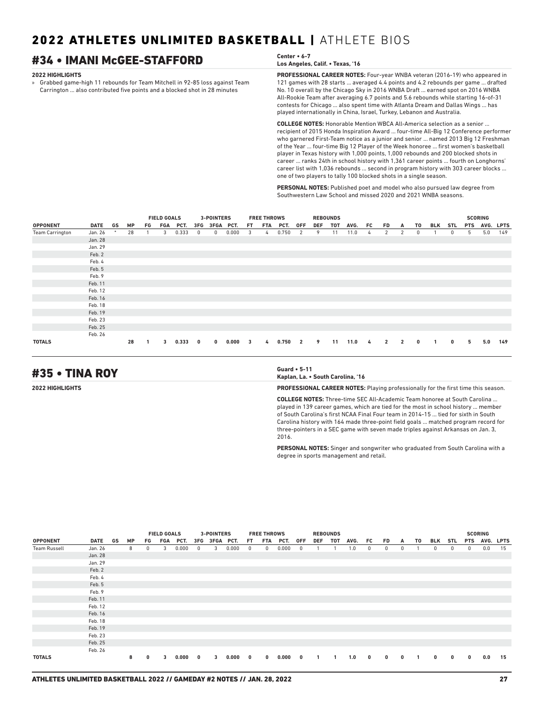## #34 • IMANI McGEE-STAFFORD **Center • 6-7**

#### **2022 HIGHLIGHTS**

» Grabbed game-high 11 rebounds for Team Mitchell in 92-85 loss against Team Carrington ... also contributed five points and a blocked shot in 28 minutes

**PROFESSIONAL CAREER NOTES:** Four-year WNBA veteran (2016-19) who appeared in **Los Angeles, Calif. • Texas, '16**

121 games with 28 starts ... averaged 4.4 points and 4.2 rebounds per game ... drafted No. 10 overall by the Chicago Sky in 2016 WNBA Draft ... earned spot on 2016 WNBA All-Rookie Team after averaging 6.7 points and 5.6 rebounds while starting 16-of-31 contests for Chicago ... also spent time with Atlanta Dream and Dallas Wings ... has played internationally in China, Israel, Turkey, Lebanon and Australia.

**COLLEGE NOTES:** Honorable Mention WBCA All-America selection as a senior ... recipient of 2015 Honda Inspiration Award ... four-time All-Big 12 Conference performer who garnered First-Team notice as a junior and senior ... named 2013 Big 12 Freshman of the Year ... four-time Big 12 Player of the Week honoree ... first women's basketball player in Texas history with 1,000 points, 1,000 rebounds and 200 blocked shots in career ... ranks 24th in school history with 1,361 career points ... fourth on Longhorns' career list with 1,036 rebounds ... second in program history with 303 career blocks ... one of two players to tally 100 blocked shots in a single season.

**PERSONAL NOTES:** Published poet and model who also pursued law degree from Southwestern Law School and missed 2020 and 2021 WNBA seasons.

|                        |             |        |           |    | <b>FIELD GOALS</b> |       |     | 3-POINTERS  |       |     | <b>FREE THROWS</b> |       |                |     | <b>REBOUNDS</b> |      |     |              |                |              |            |            |            | <b>SCORING</b> |             |
|------------------------|-------------|--------|-----------|----|--------------------|-------|-----|-------------|-------|-----|--------------------|-------|----------------|-----|-----------------|------|-----|--------------|----------------|--------------|------------|------------|------------|----------------|-------------|
| <b>OPPONENT</b>        | <b>DATE</b> | GS     | <b>MP</b> | FG | FGA                | PCT.  | 3FG | <b>3FGA</b> | PCT.  | FT. | <b>FTA</b>         | PCT.  | <b>OFF</b>     | DEF | TOT             | AVG. | FC. | <b>FD</b>    | A              | T0           | <b>BLK</b> | <b>STL</b> | <b>PTS</b> | AVG.           | <b>LPTS</b> |
| <b>Team Carrington</b> | Jan. 26     | $\ast$ | 28        |    | 3                  | 0.333 | 0   | 0           | 0.000 | 3   | 4                  | 0.750 | 2              | 9   | 11              | 11.0 | 4   | 2            | 2              | 0            |            | 0          | 5          | 5.0            | 149         |
|                        | Jan. 28     |        |           |    |                    |       |     |             |       |     |                    |       |                |     |                 |      |     |              |                |              |            |            |            |                |             |
|                        | Jan. 29     |        |           |    |                    |       |     |             |       |     |                    |       |                |     |                 |      |     |              |                |              |            |            |            |                |             |
|                        | Feb. 2      |        |           |    |                    |       |     |             |       |     |                    |       |                |     |                 |      |     |              |                |              |            |            |            |                |             |
|                        | Feb. 4      |        |           |    |                    |       |     |             |       |     |                    |       |                |     |                 |      |     |              |                |              |            |            |            |                |             |
|                        | Feb. 5      |        |           |    |                    |       |     |             |       |     |                    |       |                |     |                 |      |     |              |                |              |            |            |            |                |             |
|                        | Feb. 9      |        |           |    |                    |       |     |             |       |     |                    |       |                |     |                 |      |     |              |                |              |            |            |            |                |             |
|                        | Feb. 11     |        |           |    |                    |       |     |             |       |     |                    |       |                |     |                 |      |     |              |                |              |            |            |            |                |             |
|                        | Feb. 12     |        |           |    |                    |       |     |             |       |     |                    |       |                |     |                 |      |     |              |                |              |            |            |            |                |             |
|                        | Feb. 16     |        |           |    |                    |       |     |             |       |     |                    |       |                |     |                 |      |     |              |                |              |            |            |            |                |             |
|                        | Feb. 18     |        |           |    |                    |       |     |             |       |     |                    |       |                |     |                 |      |     |              |                |              |            |            |            |                |             |
|                        | Feb. 19     |        |           |    |                    |       |     |             |       |     |                    |       |                |     |                 |      |     |              |                |              |            |            |            |                |             |
|                        | Feb. 23     |        |           |    |                    |       |     |             |       |     |                    |       |                |     |                 |      |     |              |                |              |            |            |            |                |             |
|                        | Feb. 25     |        |           |    |                    |       |     |             |       |     |                    |       |                |     |                 |      |     |              |                |              |            |            |            |                |             |
|                        | Feb. 26     |        |           |    |                    |       |     |             |       |     |                    |       |                |     |                 |      |     |              |                |              |            |            |            |                |             |
| <b>TOTALS</b>          |             |        | 28        |    | 3                  | 0.333 | 0   | $\bf{0}$    | 0.000 | 3   | 4                  | 0.750 | $\overline{2}$ | 9   | 11              | 11.0 | 4   | $\mathbf{2}$ | $\overline{2}$ | $\mathbf{0}$ |            | 0          | 5          | 5.0            | 149         |

## #35 • TINA ROY **Guard • 5-11**

**Kaplan, La. • South Carolina, '16**

**2022 HIGHLIGHTS PROFESSIONAL CAREER NOTES:** Playing professionally for the first time this season.

**COLLEGE NOTES:** Three-time SEC All-Academic Team honoree at South Carolina ... played in 139 career games, which are tied for the most in school history ... member of South Carolina's first NCAA Final Four team in 2014-15 ... tied for sixth in South Carolina history with 164 made three-point field goals ... matched program record for three-pointers in a SEC game with seven made triples against Arkansas on Jan. 3, 2016.

**PERSONAL NOTES:** Singer and songwriter who graduated from South Carolina with a degree in sports management and retail.

|                     |             |    |           |              | <b>FIELD GOALS</b> |       |              | 3-POINTERS    |       |     | <b>FREE THROWS</b> |       |              | <b>REBOUNDS</b> |     |      |          |              |              |    |              |     | <b>SCORING</b> |               |      |
|---------------------|-------------|----|-----------|--------------|--------------------|-------|--------------|---------------|-------|-----|--------------------|-------|--------------|-----------------|-----|------|----------|--------------|--------------|----|--------------|-----|----------------|---------------|------|
| <b>OPPONENT</b>     | <b>DATE</b> | GS | <b>MP</b> | FG           | FGA                | PCT.  |              | 3FG 3FGA PCT. |       | FT. | FTA                | PCT.  | <b>OFF</b>   | DEF             | тот | AVG. | FC       | FD.          | A            | T0 | BLK          | STL |                | PTS AVG. LPTS |      |
| <b>Team Russell</b> | Jan. 26     |    | 8         | $\mathbf{0}$ | 3                  | 0.000 | 0            | 3             | 0.000 | 0   | 0                  | 0.000 | 0            |                 |     | 1.0  | 0        | $^{\circ}$   | 0            |    | $\mathbf{0}$ | 0   | 0              | 0.0           | - 15 |
|                     | Jan. 28     |    |           |              |                    |       |              |               |       |     |                    |       |              |                 |     |      |          |              |              |    |              |     |                |               |      |
|                     | Jan. 29     |    |           |              |                    |       |              |               |       |     |                    |       |              |                 |     |      |          |              |              |    |              |     |                |               |      |
|                     | Feb. 2      |    |           |              |                    |       |              |               |       |     |                    |       |              |                 |     |      |          |              |              |    |              |     |                |               |      |
|                     | Feb. 4      |    |           |              |                    |       |              |               |       |     |                    |       |              |                 |     |      |          |              |              |    |              |     |                |               |      |
|                     | Feb. 5      |    |           |              |                    |       |              |               |       |     |                    |       |              |                 |     |      |          |              |              |    |              |     |                |               |      |
|                     | Feb. 9      |    |           |              |                    |       |              |               |       |     |                    |       |              |                 |     |      |          |              |              |    |              |     |                |               |      |
|                     | Feb. 11     |    |           |              |                    |       |              |               |       |     |                    |       |              |                 |     |      |          |              |              |    |              |     |                |               |      |
|                     | Feb. 12     |    |           |              |                    |       |              |               |       |     |                    |       |              |                 |     |      |          |              |              |    |              |     |                |               |      |
|                     | Feb. 16     |    |           |              |                    |       |              |               |       |     |                    |       |              |                 |     |      |          |              |              |    |              |     |                |               |      |
|                     | Feb. 18     |    |           |              |                    |       |              |               |       |     |                    |       |              |                 |     |      |          |              |              |    |              |     |                |               |      |
|                     | Feb. 19     |    |           |              |                    |       |              |               |       |     |                    |       |              |                 |     |      |          |              |              |    |              |     |                |               |      |
|                     | Feb. 23     |    |           |              |                    |       |              |               |       |     |                    |       |              |                 |     |      |          |              |              |    |              |     |                |               |      |
|                     | Feb. 25     |    |           |              |                    |       |              |               |       |     |                    |       |              |                 |     |      |          |              |              |    |              |     |                |               |      |
|                     | Feb. 26     |    |           |              |                    |       |              |               |       |     |                    |       |              |                 |     |      |          |              |              |    |              |     |                |               |      |
| <b>TOTALS</b>       |             |    | 8         | 0            | 3                  | 0.000 | $\mathbf{0}$ | 3             | 0.000 | 0   | $\mathbf{0}$       | 0.000 | $\mathbf{0}$ | $\mathbf{1}$    |     | 1.0  | $\bf{0}$ | $\mathbf{0}$ | $\mathbf{0}$ |    | 0            | 0   | 0              | 0.0           | 15   |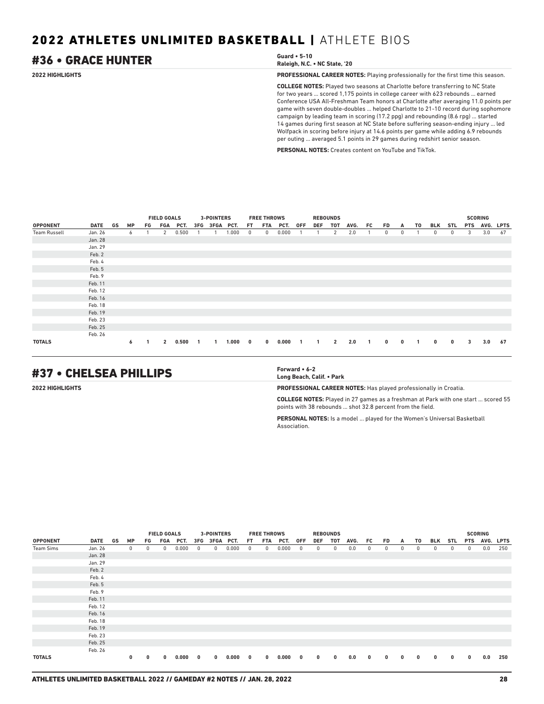## #36 • GRACE HUNTER **Guard • 5-10**

**Raleigh, N.C. • NC State, '20**

**2022 HIGHLIGHTS PROFESSIONAL CAREER NOTES:** Playing professionally for the first time this season.

**COLLEGE NOTES:** Played two seasons at Charlotte before transferring to NC State for two years ... scored 1,175 points in college career with 623 rebounds ... earned Conference USA All-Freshman Team honors at Charlotte after averaging 11.0 points per game with seven double-doubles ... helped Charlotte to 21-10 record during sophomore campaign by leading team in scoring (17.2 ppg) and rebounding (8.6 rpg) ... started 14 games during first season at NC State before suffering season-ending injury ... led Wolfpack in scoring before injury at 14.6 points per game while adding 6.9 rebounds per outing ... averaged 5.1 points in 29 games during redshirt senior season.

**PERSONAL NOTES:** Creates content on YouTube and TikTok.

|                     |             |    |           |    | <b>FIELD GOALS</b><br>FGA<br>PCT.<br>0.500<br>2 |       |     | <b>3-POINTERS</b> |       |              | <b>FREE THROWS</b> |       |     | <b>REBOUNDS</b> |                |      |     |            |          |                |              |            |            | <b>SCORING</b> |    |
|---------------------|-------------|----|-----------|----|-------------------------------------------------|-------|-----|-------------------|-------|--------------|--------------------|-------|-----|-----------------|----------------|------|-----|------------|----------|----------------|--------------|------------|------------|----------------|----|
| <b>OPPONENT</b>     | <b>DATE</b> | GS | <b>MP</b> | FG |                                                 |       | 3FG | 3FGA PCT.         |       | FT.          | FTA                | PCT.  | 0FF | DEF             | тот            | AVG. | FC. | FD.        | A        | T0             | BLK          | STL        | <b>PTS</b> | AVG. LPTS      |    |
| <b>Team Russell</b> | Jan. 26     |    | 6         |    |                                                 |       |     |                   | 1.000 | $\mathbf{0}$ | 0                  | 0.000 |     |                 | 2              | 2.0  |     | $^{\circ}$ | 0        |                | $\mathbf{0}$ | $^{\circ}$ | 3          | 3.0            | 67 |
|                     | Jan. 28     |    |           |    |                                                 |       |     |                   |       |              |                    |       |     |                 |                |      |     |            |          |                |              |            |            |                |    |
|                     | Jan. 29     |    |           |    |                                                 |       |     |                   |       |              |                    |       |     |                 |                |      |     |            |          |                |              |            |            |                |    |
|                     | Feb. 2      |    |           |    |                                                 |       |     |                   |       |              |                    |       |     |                 |                |      |     |            |          |                |              |            |            |                |    |
|                     | Feb. 4      |    |           |    |                                                 |       |     |                   |       |              |                    |       |     |                 |                |      |     |            |          |                |              |            |            |                |    |
|                     | Feb. 5      |    |           |    |                                                 |       |     |                   |       |              |                    |       |     |                 |                |      |     |            |          |                |              |            |            |                |    |
|                     | Feb. 9      |    |           |    |                                                 |       |     |                   |       |              |                    |       |     |                 |                |      |     |            |          |                |              |            |            |                |    |
|                     | Feb. 11     |    |           |    |                                                 |       |     |                   |       |              |                    |       |     |                 |                |      |     |            |          |                |              |            |            |                |    |
|                     | Feb. 12     |    |           |    |                                                 |       |     |                   |       |              |                    |       |     |                 |                |      |     |            |          |                |              |            |            |                |    |
|                     | Feb. 16     |    |           |    |                                                 |       |     |                   |       |              |                    |       |     |                 |                |      |     |            |          |                |              |            |            |                |    |
|                     | Feb. 18     |    |           |    |                                                 |       |     |                   |       |              |                    |       |     |                 |                |      |     |            |          |                |              |            |            |                |    |
|                     | Feb. 19     |    |           |    |                                                 |       |     |                   |       |              |                    |       |     |                 |                |      |     |            |          |                |              |            |            |                |    |
|                     | Feb. 23     |    |           |    |                                                 |       |     |                   |       |              |                    |       |     |                 |                |      |     |            |          |                |              |            |            |                |    |
|                     | Feb. 25     |    |           |    |                                                 |       |     |                   |       |              |                    |       |     |                 |                |      |     |            |          |                |              |            |            |                |    |
|                     | Feb. 26     |    |           |    |                                                 |       |     |                   |       |              |                    |       |     |                 |                |      |     |            |          |                |              |            |            |                |    |
| <b>TOTALS</b>       |             |    | 6         |    | $\overline{2}$                                  | 0.500 |     | -1                | 1.000 | $\bf{0}$     | 0                  | 0.000 |     | $\mathbf{1}$    | $\overline{2}$ | 2.0  | 1   | $\bf{0}$   | $\bf{0}$ | $\overline{1}$ | $\mathbf 0$  | 0          | 3          | 3.0            | 67 |

## #37 • CHELSEA PHILLIPS **Forward • 6-2**

**Long Beach, Calif. • Park**

**2022 HIGHLIGHTS PROFESSIONAL CAREER NOTES:** Has played professionally in Croatia.

**COLLEGE NOTES:** Played in 27 games as a freshman at Park with one start ... scored 55 points with 38 rebounds ... shot 32.8 percent from the field.

**PERSONAL NOTES:** Is a model ... played for the Women's Universal Basketball Association.

|                 |             |    |              |    | <b>FIELD GOALS</b> |       |            | <b>3-POINTERS</b> |       |     | <b>FREE THROWS</b> |       |             | <b>REBOUNDS</b> |              |      |              |          |              |            |          |     |              | <b>SCORING</b> |             |
|-----------------|-------------|----|--------------|----|--------------------|-------|------------|-------------------|-------|-----|--------------------|-------|-------------|-----------------|--------------|------|--------------|----------|--------------|------------|----------|-----|--------------|----------------|-------------|
| <b>OPPONENT</b> | <b>DATE</b> | GS | <b>MP</b>    | FG | FGA                | PCT.  |            | 3FG 3FGA PCT.     |       | FT. | FTA                | PCT.  | 0FF         | DEF             | TOT          | AVG. | FC           | FD.      | A            | TO         | BLK      | STL | <b>PTS</b>   | AVG.           | <b>LPTS</b> |
| Team Sims       | Jan. 26     |    | $\mathbf{0}$ | 0  | $\mathbf{0}$       | 0.000 | $^{\circ}$ | $^{\circ}$        | 0.000 | 0   | $^{\circ}$         | 0.000 | 0           | 0               | $^{\circ}$   | 0.0  | 0            | 0        | 0            | $^{\circ}$ | 0        | 0   | $\mathbf{0}$ | 0.0            | 250         |
|                 | Jan. 28     |    |              |    |                    |       |            |                   |       |     |                    |       |             |                 |              |      |              |          |              |            |          |     |              |                |             |
|                 | Jan. 29     |    |              |    |                    |       |            |                   |       |     |                    |       |             |                 |              |      |              |          |              |            |          |     |              |                |             |
|                 | Feb. 2      |    |              |    |                    |       |            |                   |       |     |                    |       |             |                 |              |      |              |          |              |            |          |     |              |                |             |
|                 | Feb. 4      |    |              |    |                    |       |            |                   |       |     |                    |       |             |                 |              |      |              |          |              |            |          |     |              |                |             |
|                 | Feb. 5      |    |              |    |                    |       |            |                   |       |     |                    |       |             |                 |              |      |              |          |              |            |          |     |              |                |             |
|                 | Feb. 9      |    |              |    |                    |       |            |                   |       |     |                    |       |             |                 |              |      |              |          |              |            |          |     |              |                |             |
|                 | Feb. 11     |    |              |    |                    |       |            |                   |       |     |                    |       |             |                 |              |      |              |          |              |            |          |     |              |                |             |
|                 | Feb. 12     |    |              |    |                    |       |            |                   |       |     |                    |       |             |                 |              |      |              |          |              |            |          |     |              |                |             |
|                 | Feb. 16     |    |              |    |                    |       |            |                   |       |     |                    |       |             |                 |              |      |              |          |              |            |          |     |              |                |             |
|                 | Feb. 18     |    |              |    |                    |       |            |                   |       |     |                    |       |             |                 |              |      |              |          |              |            |          |     |              |                |             |
|                 | Feb. 19     |    |              |    |                    |       |            |                   |       |     |                    |       |             |                 |              |      |              |          |              |            |          |     |              |                |             |
|                 | Feb. 23     |    |              |    |                    |       |            |                   |       |     |                    |       |             |                 |              |      |              |          |              |            |          |     |              |                |             |
|                 | Feb. 25     |    |              |    |                    |       |            |                   |       |     |                    |       |             |                 |              |      |              |          |              |            |          |     |              |                |             |
|                 | Feb. 26     |    |              |    |                    |       |            |                   |       |     |                    |       |             |                 |              |      |              |          |              |            |          |     |              |                |             |
| <b>TOTALS</b>   |             |    | 0            | 0  | 0                  | 0.000 | 0          | $\bf{0}$          | 0.000 | 0   | 0                  | 0.000 | $\mathbf 0$ | $\bf{0}$        | $\mathbf{0}$ | 0.0  | $\mathbf{0}$ | $\bf{0}$ | $\mathbf{0}$ | 0          | $\bf{0}$ | 0   | $\bf{0}$     | 0.0            | 250         |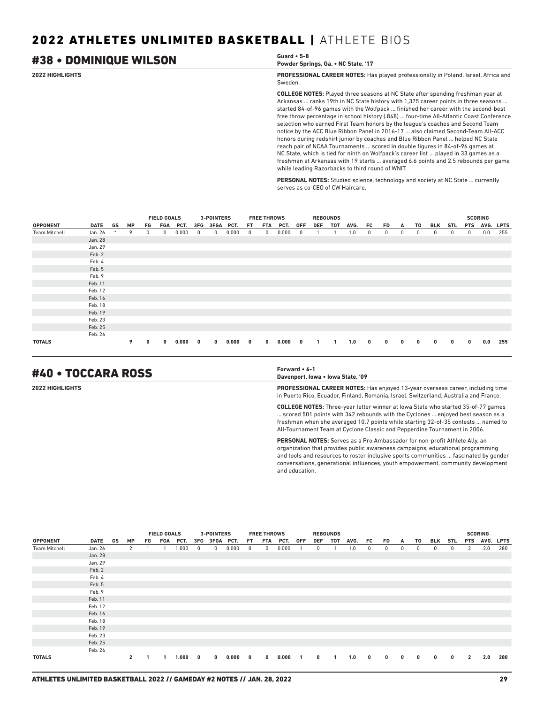## #38 • DOMINIQUE WILSON **Guard • 5-8**

## **Powder Springs, Ga. • NC State, '17**

**2022 HIGHLIGHTS PROFESSIONAL CAREER NOTES:** Has played professionally in Poland, Israel, Africa and Sweden.

> **COLLEGE NOTES:** Played three seasons at NC State after spending freshman year at Arkansas ... ranks 19th in NC State history with 1,375 career points in three seasons ... started 84-of-96 games with the Wolfpack ... finished her career with the second-best free throw percentage in school history (.848) ... four-time All-Atlantic Coast Conference selection who earned First Team honors by the league's coaches and Second Team notice by the ACC Blue Ribbon Panel in 2016-17 ... also claimed Second-Team All-ACC honors during redshirt junior by coaches and Blue Ribbon Panel ... helped NC State reach pair of NCAA Tournaments ... scored in double figures in 84-of-96 games at NC State, which is tied for ninth on Wolfpack's career list ... played in 33 games as a freshman at Arkansas with 19 starts ... averaged 6.6 points and 2.5 rebounds per game while leading Razorbacks to third round of WNIT.

**PERSONAL NOTES:** Studied science, technology and society at NC State ... currently serves as co-CEO of CW Haircare.

|                      |             |    |           |    | <b>FIELD GOALS</b> |       |   | <b>3-POINTERS</b> |       |     | <b>FREE THROWS</b> |       |            |              | <b>REBOUNDS</b> |      |     |           |   |    |            |            |            | <b>SCORING</b> |     |
|----------------------|-------------|----|-----------|----|--------------------|-------|---|-------------------|-------|-----|--------------------|-------|------------|--------------|-----------------|------|-----|-----------|---|----|------------|------------|------------|----------------|-----|
| <b>OPPONENT</b>      | <b>DATE</b> | GS | <b>MP</b> | FG | FGA                | PCT.  |   | 3FG 3FGA PCT.     |       | FT. | FTA                | PCT.  | <b>OFF</b> | <b>DEF</b>   | тот             | AVG. | FC. | <b>FD</b> | A | T0 | <b>BLK</b> | <b>STL</b> | <b>PTS</b> | AVG. LPTS      |     |
| <b>Team Mitchell</b> | Jan. 26     | *  | 9         | 0  | 0                  | 0.000 | 0 | 0                 | 0.000 | 0   | $^{\circ}$         | 0.000 |            |              |                 | 1.0  | 0   | 0         | 0 | 0  | 0          | 0          | 0          | 0.0            | 255 |
|                      | Jan. 28     |    |           |    |                    |       |   |                   |       |     |                    |       |            |              |                 |      |     |           |   |    |            |            |            |                |     |
|                      | Jan. 29     |    |           |    |                    |       |   |                   |       |     |                    |       |            |              |                 |      |     |           |   |    |            |            |            |                |     |
|                      | Feb. 2      |    |           |    |                    |       |   |                   |       |     |                    |       |            |              |                 |      |     |           |   |    |            |            |            |                |     |
|                      | Feb. 4      |    |           |    |                    |       |   |                   |       |     |                    |       |            |              |                 |      |     |           |   |    |            |            |            |                |     |
|                      | Feb. 5      |    |           |    |                    |       |   |                   |       |     |                    |       |            |              |                 |      |     |           |   |    |            |            |            |                |     |
|                      | Feb. 9      |    |           |    |                    |       |   |                   |       |     |                    |       |            |              |                 |      |     |           |   |    |            |            |            |                |     |
|                      | Feb. 11     |    |           |    |                    |       |   |                   |       |     |                    |       |            |              |                 |      |     |           |   |    |            |            |            |                |     |
|                      | Feb. 12     |    |           |    |                    |       |   |                   |       |     |                    |       |            |              |                 |      |     |           |   |    |            |            |            |                |     |
|                      | Feb. 16     |    |           |    |                    |       |   |                   |       |     |                    |       |            |              |                 |      |     |           |   |    |            |            |            |                |     |
|                      | Feb. 18     |    |           |    |                    |       |   |                   |       |     |                    |       |            |              |                 |      |     |           |   |    |            |            |            |                |     |
|                      | Feb. 19     |    |           |    |                    |       |   |                   |       |     |                    |       |            |              |                 |      |     |           |   |    |            |            |            |                |     |
|                      | Feb. 23     |    |           |    |                    |       |   |                   |       |     |                    |       |            |              |                 |      |     |           |   |    |            |            |            |                |     |
|                      | Feb. 25     |    |           |    |                    |       |   |                   |       |     |                    |       |            |              |                 |      |     |           |   |    |            |            |            |                |     |
|                      | Feb. 26     |    |           |    |                    |       |   |                   |       |     |                    |       |            |              |                 |      |     |           |   |    |            |            |            |                |     |
| <b>TOTALS</b>        |             |    | 9         | 0  | 0                  | 0.000 | 0 | $\bf{0}$          | 0.000 | 0   | $\mathbf{0}$       | 0.000 | 0          | $\mathbf{1}$ |                 | 1.0  | 0   | 0         | 0 | 0  | 0          | 0          | 0          | 0.0            | 255 |

## #40 • TOCCARA ROSS **Forward • 6-1**

**Davenport, Iowa • Iowa State, '09**

**2022 HIGHLIGHTS PROFESSIONAL CAREER NOTES:** Has enjoyed 13-year overseas career, including time in Puerto Rico, Ecuador, Finland, Romania, Israel, Switzerland, Australia and France.

> **COLLEGE NOTES:** Three-year letter winner at Iowa State who started 35-of-77 games ... scored 501 points with 342 rebounds with the Cyclones ... enjoyed best season as a freshman when she averaged 10.7 points while starting 32-of-35 contests ... named to All-Tournament Team at Cyclone Classic and Pepperdine Tournament in 2006.

> **PERSONAL NOTES:** Serves as a Pro Ambassador for non-profit Athlete Ally, an organization that provides public awareness campaigns, educational programming and tools and resources to roster inclusive sports communities ... fascinated by gender conversations, generational influences, youth empowerment, community development and education.

|                      |             |    |                |     | <b>FIELD GOALS</b> |       |              | <b>3-POINTERS</b> |       |     | <b>FREE THROWS</b> |       |              |            | <b>REBOUNDS</b> |      |     |          |              |              |            |            |                | <b>SCORING</b> |           |
|----------------------|-------------|----|----------------|-----|--------------------|-------|--------------|-------------------|-------|-----|--------------------|-------|--------------|------------|-----------------|------|-----|----------|--------------|--------------|------------|------------|----------------|----------------|-----------|
| <b>OPPONENT</b>      | <b>DATE</b> | GS | <b>MP</b>      | FG. | FGA                | PCT.  | 3FG          | 3FGA PCT.         |       | FT. | FTA                | PCT.  | <b>OFF</b>   | <b>DEF</b> | тот             | AVG. | FC. | FD.      | A            | T0           | BLK        | <b>STL</b> | <b>PTS</b>     |                | AVG. LPTS |
| <b>Team Mitchell</b> | Jan. 26     |    | 2              |     |                    | 1.000 | $^{\circ}$   | $\mathbf 0$       | 0.000 | 0   | 0                  | 0.000 |              | 0          |                 | 1.0  | 0   | 0        | 0            | 0            | $^{\circ}$ | 0          | $\mathbf{2}$   | 2.0            | 280       |
|                      | Jan. 28     |    |                |     |                    |       |              |                   |       |     |                    |       |              |            |                 |      |     |          |              |              |            |            |                |                |           |
|                      | Jan. 29     |    |                |     |                    |       |              |                   |       |     |                    |       |              |            |                 |      |     |          |              |              |            |            |                |                |           |
|                      | Feb. 2      |    |                |     |                    |       |              |                   |       |     |                    |       |              |            |                 |      |     |          |              |              |            |            |                |                |           |
|                      | Feb. 4      |    |                |     |                    |       |              |                   |       |     |                    |       |              |            |                 |      |     |          |              |              |            |            |                |                |           |
|                      | Feb. 5      |    |                |     |                    |       |              |                   |       |     |                    |       |              |            |                 |      |     |          |              |              |            |            |                |                |           |
|                      | Feb. 9      |    |                |     |                    |       |              |                   |       |     |                    |       |              |            |                 |      |     |          |              |              |            |            |                |                |           |
|                      | Feb. 11     |    |                |     |                    |       |              |                   |       |     |                    |       |              |            |                 |      |     |          |              |              |            |            |                |                |           |
|                      | Feb. 12     |    |                |     |                    |       |              |                   |       |     |                    |       |              |            |                 |      |     |          |              |              |            |            |                |                |           |
|                      | Feb. 16     |    |                |     |                    |       |              |                   |       |     |                    |       |              |            |                 |      |     |          |              |              |            |            |                |                |           |
|                      | Feb. 18     |    |                |     |                    |       |              |                   |       |     |                    |       |              |            |                 |      |     |          |              |              |            |            |                |                |           |
|                      | Feb. 19     |    |                |     |                    |       |              |                   |       |     |                    |       |              |            |                 |      |     |          |              |              |            |            |                |                |           |
|                      | Feb. 23     |    |                |     |                    |       |              |                   |       |     |                    |       |              |            |                 |      |     |          |              |              |            |            |                |                |           |
|                      | Feb. 25     |    |                |     |                    |       |              |                   |       |     |                    |       |              |            |                 |      |     |          |              |              |            |            |                |                |           |
|                      | Feb. 26     |    |                |     |                    |       |              |                   |       |     |                    |       |              |            |                 |      |     |          |              |              |            |            |                |                |           |
| <b>TOTALS</b>        |             |    | $\overline{2}$ |     |                    | 1.000 | $\mathbf{0}$ | $\bf{0}$          | 0.000 | 0   | $\bf{0}$           | 0.000 | $\mathbf{1}$ | 0          | $\mathbf{1}$    | 1.0  | 0   | $\bf{0}$ | $\mathbf{0}$ | $\mathbf{0}$ | $\bf{0}$   | 0          | $\overline{2}$ | 2.0            | 280       |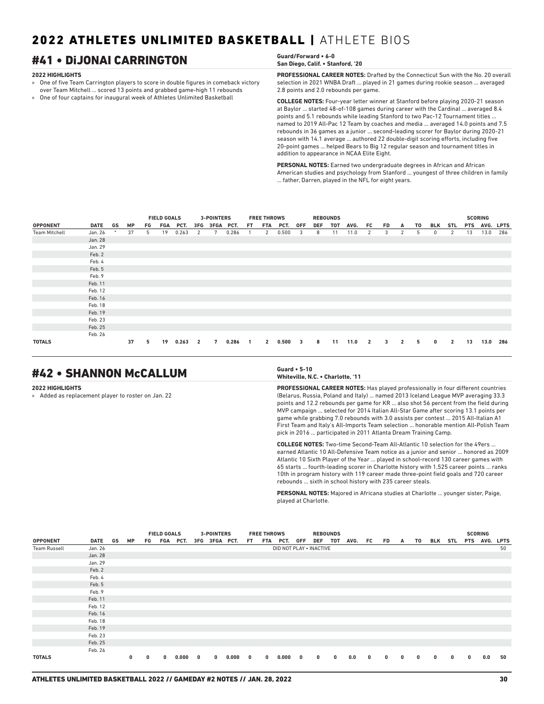## #41 • DiJONAI CARRINGTON **Guard/Forward • 6-0**

#### **2022 HIGHLIGHTS**

» One of five Team Carrington players to score in double figures in comeback victory over Team Mitchell ... scored 13 points and grabbed game-high 11 rebounds

» One of four captains for inaugural week of Athletes Unlimited Basketball

**PROFESSIONAL CAREER NOTES:** Drafted by the Connecticut Sun with the No. 20 overall selection in 2021 WNBA Draft ... played in 21 games during rookie season ... averaged 2.8 points and 2.0 rebounds per game.

**COLLEGE NOTES:** Four-year letter winner at Stanford before playing 2020-21 season at Baylor ... started 48-of-108 games during career with the Cardinal ... averaged 8.4 points and 5.1 rebounds while leading Stanford to two Pac-12 Tournament titles ... named to 2019 All-Pac 12 Team by coaches and media ... averaged 14.0 points and 7.5 rebounds in 36 games as a junior ... second-leading scorer for Baylor during 2020-21 season with 14.1 average ... authored 22 double-digit scoring efforts, including five 20-point games ... helped Bears to Big 12 regular season and tournament titles in addition to appearance in NCAA Elite Eight.

**PERSONAL NOTES:** Earned two undergraduate degrees in African and African American studies and psychology from Stanford ... youngest of three children in family ... father, Darren, played in the NFL for eight years.

|                      |         |        |           |    | <b>FIELD GOALS</b> |       |                | <b>3-POINTERS</b> |       |                | <b>FREE THROWS</b> |       |                         | <b>REBOUNDS</b> |     |      |                |           |                |    |          |                |    | <b>SCORING</b> |     |
|----------------------|---------|--------|-----------|----|--------------------|-------|----------------|-------------------|-------|----------------|--------------------|-------|-------------------------|-----------------|-----|------|----------------|-----------|----------------|----|----------|----------------|----|----------------|-----|
| <b>OPPONENT</b>      | DATE GS |        | <b>MP</b> | FG | FGA                | PCT.  | 3FG            | 3FGA PCT.         |       | FT.            | FTA                | PCT.  | 0FF                     | <b>DEF</b>      | тот | AVG. | FC.            | <b>FD</b> | A              | T0 | BLK      | <b>STL</b>     |    | PTS AVG. LPTS  |     |
| <b>Team Mitchell</b> | Jan. 26 | $\ast$ | 37        | 5  | 19                 | 0.263 | 2              | 7                 | 0.286 |                | 2                  | 0.500 | 3                       | 8               | 11  | 11.0 | 2              | 3         | 2              | 5  | 0        | 2              | 13 | 13.0           | 286 |
|                      | Jan. 28 |        |           |    |                    |       |                |                   |       |                |                    |       |                         |                 |     |      |                |           |                |    |          |                |    |                |     |
|                      | Jan. 29 |        |           |    |                    |       |                |                   |       |                |                    |       |                         |                 |     |      |                |           |                |    |          |                |    |                |     |
|                      | Feb. 2  |        |           |    |                    |       |                |                   |       |                |                    |       |                         |                 |     |      |                |           |                |    |          |                |    |                |     |
|                      | Feb. 4  |        |           |    |                    |       |                |                   |       |                |                    |       |                         |                 |     |      |                |           |                |    |          |                |    |                |     |
|                      | Feb. 5  |        |           |    |                    |       |                |                   |       |                |                    |       |                         |                 |     |      |                |           |                |    |          |                |    |                |     |
|                      | Feb. 9  |        |           |    |                    |       |                |                   |       |                |                    |       |                         |                 |     |      |                |           |                |    |          |                |    |                |     |
|                      | Feb. 11 |        |           |    |                    |       |                |                   |       |                |                    |       |                         |                 |     |      |                |           |                |    |          |                |    |                |     |
|                      | Feb. 12 |        |           |    |                    |       |                |                   |       |                |                    |       |                         |                 |     |      |                |           |                |    |          |                |    |                |     |
|                      | Feb. 16 |        |           |    |                    |       |                |                   |       |                |                    |       |                         |                 |     |      |                |           |                |    |          |                |    |                |     |
|                      | Feb. 18 |        |           |    |                    |       |                |                   |       |                |                    |       |                         |                 |     |      |                |           |                |    |          |                |    |                |     |
|                      | Feb. 19 |        |           |    |                    |       |                |                   |       |                |                    |       |                         |                 |     |      |                |           |                |    |          |                |    |                |     |
|                      | Feb. 23 |        |           |    |                    |       |                |                   |       |                |                    |       |                         |                 |     |      |                |           |                |    |          |                |    |                |     |
|                      | Feb. 25 |        |           |    |                    |       |                |                   |       |                |                    |       |                         |                 |     |      |                |           |                |    |          |                |    |                |     |
|                      | Feb. 26 |        |           |    |                    |       |                |                   |       |                |                    |       |                         |                 |     |      |                |           |                |    |          |                |    |                |     |
| <b>TOTALS</b>        |         |        | 37        | 5  | 19                 | 0.263 | $\overline{2}$ | 7                 | 0.286 | $\overline{1}$ | $\overline{2}$     | 0.500 | $\overline{\mathbf{3}}$ | 8               | 11  | 11.0 | $\overline{2}$ | 3         | $\overline{2}$ | 5  | $\bf{0}$ | $\overline{2}$ | 13 | 13.0           | 286 |

## #42 • SHANNON McCALLUM **Guard • 5-10**

#### **2022 HIGHLIGHTS**

» Added as replacement player to roster on Jan. 22

**Whiteville, N.C. • Charlotte, '11**

**PROFESSIONAL CAREER NOTES:** Has played professionally in four different countries (Belarus, Russia, Poland and Italy) ... named 2013 Iceland League MVP averaging 33.3 points and 12.2 rebounds per game for KR ... also shot 56 percent from the field during MVP campaign ... selected for 2014 Italian All-Star Game after scoring 13.1 points per game while grabbing 7.0 rebounds with 3.0 assists per contest ... 2015 All-Italian A1 First Team and Italy's All-Imports Team selection ... honorable mention All-Polish Team pick in 2016 ... participated in 2011 Atlanta Dream Training Camp.

**COLLEGE NOTES:** Two-time Second-Team All-Atlantic 10 selection for the 49ers ... earned Atlantic 10 All-Defensive Team notice as a junior and senior ... honored as 2009 Atlantic 10 Sixth Player of the Year ... played in school-record 130 career games with 65 starts ... fourth-leading scorer in Charlotte history with 1,525 career points ... ranks 10th in program history with 119 career made three-point field goals and 720 career rebounds ... sixth in school history with 235 career steals.

**PERSONAL NOTES:** Majored in Africana studies at Charlotte ... younger sister, Paige, played at Charlotte.

|                     |             |    |              |    | <b>FIELD GOALS</b> |          |          | <b>3-POINTERS</b> |       |          | <b>FREE THROWS</b> |                         |                         | <b>REBOUNDS</b> |          |      |          |             |              |             |          |                |          | <b>SCORING</b> |    |
|---------------------|-------------|----|--------------|----|--------------------|----------|----------|-------------------|-------|----------|--------------------|-------------------------|-------------------------|-----------------|----------|------|----------|-------------|--------------|-------------|----------|----------------|----------|----------------|----|
| <b>OPPONENT</b>     | <b>DATE</b> | GS | <b>MP</b>    | FG |                    | FGA PCT. |          | 3FG 3FGA PCT.     |       | FT.      |                    | FTA PCT.                | 0FF                     | DEF TOT         |          | AVG. | FC       | FD          | A            | TO          |          | <b>BLK STL</b> |          | PTS AVG. LPTS  |    |
| <b>Team Russell</b> | Jan. 26     |    |              |    |                    |          |          |                   |       |          |                    | DID NOT PLAY . INACTIVE |                         |                 |          |      |          |             |              |             |          |                |          |                | 50 |
|                     | Jan. 28     |    |              |    |                    |          |          |                   |       |          |                    |                         |                         |                 |          |      |          |             |              |             |          |                |          |                |    |
|                     | Jan. 29     |    |              |    |                    |          |          |                   |       |          |                    |                         |                         |                 |          |      |          |             |              |             |          |                |          |                |    |
|                     | Feb. 2      |    |              |    |                    |          |          |                   |       |          |                    |                         |                         |                 |          |      |          |             |              |             |          |                |          |                |    |
|                     | Feb. 4      |    |              |    |                    |          |          |                   |       |          |                    |                         |                         |                 |          |      |          |             |              |             |          |                |          |                |    |
|                     | Feb. 5      |    |              |    |                    |          |          |                   |       |          |                    |                         |                         |                 |          |      |          |             |              |             |          |                |          |                |    |
|                     | Feb. 9      |    |              |    |                    |          |          |                   |       |          |                    |                         |                         |                 |          |      |          |             |              |             |          |                |          |                |    |
|                     | Feb. 11     |    |              |    |                    |          |          |                   |       |          |                    |                         |                         |                 |          |      |          |             |              |             |          |                |          |                |    |
|                     | Feb. 12     |    |              |    |                    |          |          |                   |       |          |                    |                         |                         |                 |          |      |          |             |              |             |          |                |          |                |    |
|                     | Feb. 16     |    |              |    |                    |          |          |                   |       |          |                    |                         |                         |                 |          |      |          |             |              |             |          |                |          |                |    |
|                     | Feb. 18     |    |              |    |                    |          |          |                   |       |          |                    |                         |                         |                 |          |      |          |             |              |             |          |                |          |                |    |
|                     | Feb. 19     |    |              |    |                    |          |          |                   |       |          |                    |                         |                         |                 |          |      |          |             |              |             |          |                |          |                |    |
|                     | Feb. 23     |    |              |    |                    |          |          |                   |       |          |                    |                         |                         |                 |          |      |          |             |              |             |          |                |          |                |    |
|                     | Feb. 25     |    |              |    |                    |          |          |                   |       |          |                    |                         |                         |                 |          |      |          |             |              |             |          |                |          |                |    |
|                     | Feb. 26     |    |              |    |                    |          |          |                   |       |          |                    |                         |                         |                 |          |      |          |             |              |             |          |                |          |                |    |
| <b>TOTALS</b>       |             |    | $\mathbf{0}$ | 0  | $\mathbf{0}$       | 0.000    | $\bf{0}$ | $\mathbf{0}$      | 0.000 | $\bf{0}$ | 0                  | 0.000                   | $\overline{\mathbf{0}}$ | $\mathbf 0$     | $\bf{0}$ | 0.0  | $\bf{0}$ | $\mathbf 0$ | $\mathbf{0}$ | $\mathbf 0$ | $\bf{0}$ | $\mathbf{0}$   | $\bf{0}$ | 0.0            | 50 |

**San Diego, Calif. • Stanford, '20**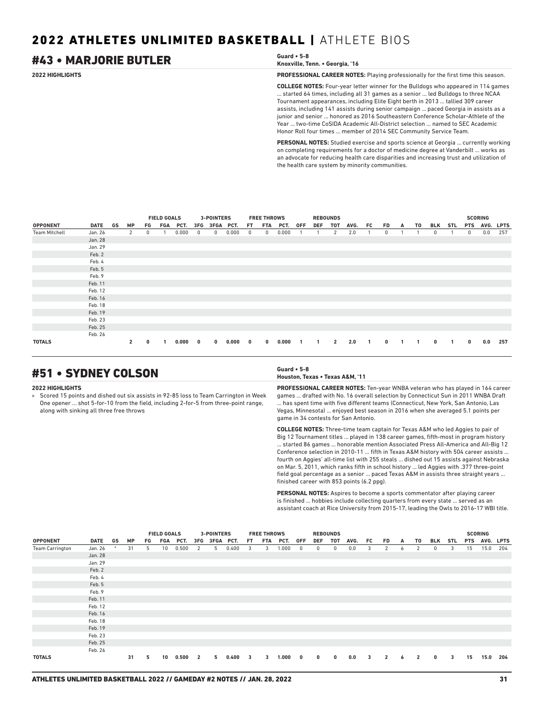## #43 • MARJORIE BUTLER **Guard • 5-8**

| Guard $\cdot$ 5-8               |  |
|---------------------------------|--|
| Knoxville, Tenn. • Georgia, '16 |  |

**2022 HIGHLIGHTS PROFESSIONAL CAREER NOTES:** Playing professionally for the first time this season.

**COLLEGE NOTES:** Four-year letter winner for the Bulldogs who appeared in 114 games ... started 64 times, including all 31 games as a senior ... led Bulldogs to three NCAA Tournament appearances, including Elite Eight berth in 2013 ... tallied 309 career assists, including 141 assists during senior campaign ... paced Georgia in assists as a junior and senior ... honored as 2016 Southeastern Conference Scholar-Athlete of the Year ... two-time CoSIDA Academic All-District selection ... named to SEC Academic Honor Roll four times ... member of 2014 SEC Community Service Team.

**PERSONAL NOTES:** Studied exercise and sports science at Georgia ... currently working on completing requirements for a doctor of medicine degree at Vanderbilt ... works as an advocate for reducing health care disparities and increasing trust and utilization of the health care system by minority communities.

|                      |         |              |    | <b>FIELD GOALS</b> |          |              | <b>3-POINTERS</b> |       |              | <b>FREE THROWS</b> |       |     |              | <b>REBOUNDS</b> |      |                          |              |    |    |             |     |              | <b>SCORING</b> |     |
|----------------------|---------|--------------|----|--------------------|----------|--------------|-------------------|-------|--------------|--------------------|-------|-----|--------------|-----------------|------|--------------------------|--------------|----|----|-------------|-----|--------------|----------------|-----|
| <b>OPPONENT</b>      | DATE GS | MP           | FG |                    | FGA PCT. |              | 3FG 3FGA PCT.     |       | FT.          | FTA                | PCT.  | 0FF | DEF          | тот             | AVG. | FC                       | FD           | A  | T0 | BLK         | STL | <b>PTS</b>   | AVG. LPTS      |     |
| <b>Team Mitchell</b> | Jan. 26 | 2            | 0  |                    | 0.000    | $^{\circ}$   | $^{\circ}$        | 0.000 | 0            | $^{\circ}$         | 0.000 |     |              | 2               | 2.0  |                          | 0            |    |    | 0           |     | $\mathbf{0}$ | 0.0            | 257 |
|                      | Jan. 28 |              |    |                    |          |              |                   |       |              |                    |       |     |              |                 |      |                          |              |    |    |             |     |              |                |     |
|                      | Jan. 29 |              |    |                    |          |              |                   |       |              |                    |       |     |              |                 |      |                          |              |    |    |             |     |              |                |     |
|                      | Feb. 2  |              |    |                    |          |              |                   |       |              |                    |       |     |              |                 |      |                          |              |    |    |             |     |              |                |     |
|                      | Feb. 4  |              |    |                    |          |              |                   |       |              |                    |       |     |              |                 |      |                          |              |    |    |             |     |              |                |     |
|                      | Feb. 5  |              |    |                    |          |              |                   |       |              |                    |       |     |              |                 |      |                          |              |    |    |             |     |              |                |     |
|                      | Feb. 9  |              |    |                    |          |              |                   |       |              |                    |       |     |              |                 |      |                          |              |    |    |             |     |              |                |     |
|                      | Feb. 11 |              |    |                    |          |              |                   |       |              |                    |       |     |              |                 |      |                          |              |    |    |             |     |              |                |     |
|                      | Feb. 12 |              |    |                    |          |              |                   |       |              |                    |       |     |              |                 |      |                          |              |    |    |             |     |              |                |     |
|                      | Feb. 16 |              |    |                    |          |              |                   |       |              |                    |       |     |              |                 |      |                          |              |    |    |             |     |              |                |     |
|                      | Feb. 18 |              |    |                    |          |              |                   |       |              |                    |       |     |              |                 |      |                          |              |    |    |             |     |              |                |     |
|                      | Feb. 19 |              |    |                    |          |              |                   |       |              |                    |       |     |              |                 |      |                          |              |    |    |             |     |              |                |     |
|                      | Feb. 23 |              |    |                    |          |              |                   |       |              |                    |       |     |              |                 |      |                          |              |    |    |             |     |              |                |     |
|                      | Feb. 25 |              |    |                    |          |              |                   |       |              |                    |       |     |              |                 |      |                          |              |    |    |             |     |              |                |     |
|                      | Feb. 26 |              |    |                    |          |              |                   |       |              |                    |       |     |              |                 |      |                          |              |    |    |             |     |              |                |     |
| <b>TOTALS</b>        |         | $\mathbf{2}$ | 0  |                    | 0.000    | $\mathbf{0}$ | $\mathbf{0}$      | 0.000 | $\mathbf{0}$ | $\mathbf{0}$       | 0.000 | -1  | $\mathbf{1}$ | $\overline{2}$  | 2.0  | $\overline{\phantom{a}}$ | $\mathbf{0}$ | -1 |    | $\mathbf 0$ |     | $\bf{0}$     | 0.0            | 257 |

## #51 • SYDNEY COLSON **Guard • 5-8**

#### **2022 HIGHLIGHTS**

» Scored 15 points and dished out six assists in 92-85 loss to Team Carrington in Week One opener ... shot 5-for-10 from the field, including 2-for-5 from three-point range, along with sinking all three free throws

## **Houston, Texas • Texas A&M, '11**

**PROFESSIONAL CAREER NOTES:** Ten-year WNBA veteran who has played in 164 career games ... drafted with No. 16 overall selection by Connecticut Sun in 2011 WNBA Draft . has spent time with five different teams (Connecticut, New York, San Antonio, Las Vegas, Minnesota) ... enjoyed best season in 2016 when she averaged 5.1 points per game in 34 contests for San Antonio.

**COLLEGE NOTES:** Three-time team captain for Texas A&M who led Aggies to pair of Big 12 Tournament titles ... played in 138 career games, fifth-most in program history ... started 86 games ... honorable mention Associated Press All-America and All-Big 12 Conference selection in 2010-11 ... fifth in Texas A&M history with 504 career assists ... fourth on Aggies' all-time list with 255 steals ... dished out 15 assists against Nebraska on Mar. 5, 2011, which ranks fifth in school history ... led Aggies with .377 three-point field goal percentage as a senior ... paced Texas A&M in assists three straight years ... finished career with 853 points (6.2 ppg).

**PERSONAL NOTES:** Aspires to become a sports commentator after playing career is finished ... hobbies include collecting quarters from every state ... served as an assistant coach at Rice University from 2015-17, leading the Owls to 2016-17 WBI title.

|                        |         |        |           |    | <b>FIELD GOALS</b> |       |                         | 3-POINTERS    |       |     | <b>FREE THROWS</b> |       |                         |          | <b>REBOUNDS</b> |      |    |                |   |                |              |     |            | <b>SCORING</b> |     |
|------------------------|---------|--------|-----------|----|--------------------|-------|-------------------------|---------------|-------|-----|--------------------|-------|-------------------------|----------|-----------------|------|----|----------------|---|----------------|--------------|-----|------------|----------------|-----|
| <b>OPPONENT</b>        | DATE    | GS     | <b>MP</b> | FG | FGA                | PCT.  |                         | 3FG 3FGA PCT. |       | FT. | FTA                | PCT.  | <b>OFF</b>              | DEF      | TOT             | AVG. | FC | FD.            | A | T0             | BLK          | STL | <b>PTS</b> | AVG. LPTS      |     |
| <b>Team Carrington</b> | Jan. 26 | $\ast$ | 31        | 5  | 10                 | 0.500 | 2                       | 5             | 0.400 | 3   | 3                  | 1.000 | $^{\circ}$              | 0        | 0               | 0.0  | 3  | 2              | 6 | 2              | 0            | 3   | 15         | 15.0           | 204 |
|                        | Jan. 28 |        |           |    |                    |       |                         |               |       |     |                    |       |                         |          |                 |      |    |                |   |                |              |     |            |                |     |
|                        | Jan. 29 |        |           |    |                    |       |                         |               |       |     |                    |       |                         |          |                 |      |    |                |   |                |              |     |            |                |     |
|                        | Feb. 2  |        |           |    |                    |       |                         |               |       |     |                    |       |                         |          |                 |      |    |                |   |                |              |     |            |                |     |
|                        | Feb. 4  |        |           |    |                    |       |                         |               |       |     |                    |       |                         |          |                 |      |    |                |   |                |              |     |            |                |     |
|                        | Feb. 5  |        |           |    |                    |       |                         |               |       |     |                    |       |                         |          |                 |      |    |                |   |                |              |     |            |                |     |
|                        | Feb. 9  |        |           |    |                    |       |                         |               |       |     |                    |       |                         |          |                 |      |    |                |   |                |              |     |            |                |     |
|                        | Feb. 11 |        |           |    |                    |       |                         |               |       |     |                    |       |                         |          |                 |      |    |                |   |                |              |     |            |                |     |
|                        | Feb. 12 |        |           |    |                    |       |                         |               |       |     |                    |       |                         |          |                 |      |    |                |   |                |              |     |            |                |     |
|                        | Feb. 16 |        |           |    |                    |       |                         |               |       |     |                    |       |                         |          |                 |      |    |                |   |                |              |     |            |                |     |
|                        | Feb. 18 |        |           |    |                    |       |                         |               |       |     |                    |       |                         |          |                 |      |    |                |   |                |              |     |            |                |     |
|                        | Feb. 19 |        |           |    |                    |       |                         |               |       |     |                    |       |                         |          |                 |      |    |                |   |                |              |     |            |                |     |
|                        | Feb. 23 |        |           |    |                    |       |                         |               |       |     |                    |       |                         |          |                 |      |    |                |   |                |              |     |            |                |     |
|                        | Feb. 25 |        |           |    |                    |       |                         |               |       |     |                    |       |                         |          |                 |      |    |                |   |                |              |     |            |                |     |
|                        | Feb. 26 |        |           |    |                    |       |                         |               |       |     |                    |       |                         |          |                 |      |    |                |   |                |              |     |            |                |     |
| <b>TOTALS</b>          |         |        | 31        | 5  | 10                 | 0.500 | $\overline{\mathbf{2}}$ | 5             | 0.400 | 3   | 3                  | 1.000 | $\overline{\mathbf{0}}$ | $\bf{0}$ | $\bf{0}$        | 0.0  | 3  | $\overline{2}$ | 6 | $\overline{2}$ | $\mathbf{0}$ | 3   | 15         | 15.0           | 204 |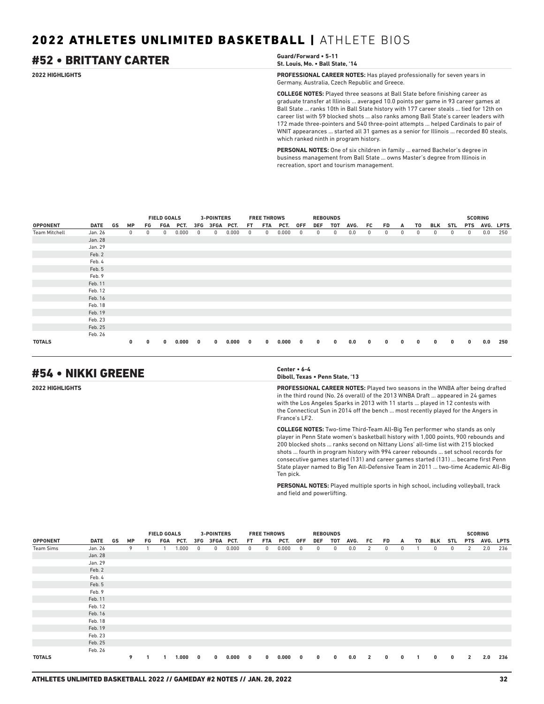## #52 • BRITTANY CARTER **Guard/Forward • 5-11**

**St. Louis, Mo. • Ball State, '14**

**2022 HIGHLIGHTS PROFESSIONAL CAREER NOTES:** Has played professionally for seven years in Germany, Australia, Czech Republic and Greece.

> **COLLEGE NOTES:** Played three seasons at Ball State before finishing career as graduate transfer at Illinois ... averaged 10.0 points per game in 93 career games at Ball State ... ranks 10th in Ball State history with 177 career steals ... tied for 12th on career list with 59 blocked shots ... also ranks among Ball State's career leaders with 172 made three-pointers and 540 three-point attempts ... helped Cardinals to pair of WNIT appearances ... started all 31 games as a senior for Illinois ... recorded 80 steals, which ranked ninth in program history.

**PERSONAL NOTES:** One of six children in family ... earned Bachelor's degree in business management from Ball State ... owns Master's degree from Illinois in recreation, sport and tourism management.

|                      |             |    |           |    | <b>FIELD GOALS</b> |       |            | <b>3-POINTERS</b> |       |            | <b>FREE THROWS</b> |       |              | <b>REBOUNDS</b> |     |      |    |              |   |    |     |            |              | <b>SCORING</b> |     |
|----------------------|-------------|----|-----------|----|--------------------|-------|------------|-------------------|-------|------------|--------------------|-------|--------------|-----------------|-----|------|----|--------------|---|----|-----|------------|--------------|----------------|-----|
| <b>OPPONENT</b>      | <b>DATE</b> | GS | <b>MP</b> | FG | FGA                | PCT.  | 3FG        | 3FGA PCT.         |       | FT.        | FTA                | PCT.  | 0FF          | DEF             | тот | AVG. | FC | FD           | A | T0 | BLK | <b>STL</b> | <b>PTS</b>   | AVG. LPTS      |     |
| <b>Team Mitchell</b> | Jan. 26     |    | 0         | 0  | 0                  | 0.000 | $^{\circ}$ | 0                 | 0.000 | $^{\circ}$ | 0                  | 0.000 | $^{\circ}$   | 0               | 0   | 0.0  | 0  | 0            | 0 | 0  | 0   | 0          | $\mathbf{0}$ | 0.0            | 250 |
|                      | Jan. 28     |    |           |    |                    |       |            |                   |       |            |                    |       |              |                 |     |      |    |              |   |    |     |            |              |                |     |
|                      | Jan. 29     |    |           |    |                    |       |            |                   |       |            |                    |       |              |                 |     |      |    |              |   |    |     |            |              |                |     |
|                      | Feb. 2      |    |           |    |                    |       |            |                   |       |            |                    |       |              |                 |     |      |    |              |   |    |     |            |              |                |     |
|                      | Feb. 4      |    |           |    |                    |       |            |                   |       |            |                    |       |              |                 |     |      |    |              |   |    |     |            |              |                |     |
|                      | Feb. 5      |    |           |    |                    |       |            |                   |       |            |                    |       |              |                 |     |      |    |              |   |    |     |            |              |                |     |
|                      | Feb. 9      |    |           |    |                    |       |            |                   |       |            |                    |       |              |                 |     |      |    |              |   |    |     |            |              |                |     |
|                      | Feb. 11     |    |           |    |                    |       |            |                   |       |            |                    |       |              |                 |     |      |    |              |   |    |     |            |              |                |     |
|                      | Feb. 12     |    |           |    |                    |       |            |                   |       |            |                    |       |              |                 |     |      |    |              |   |    |     |            |              |                |     |
|                      | Feb. 16     |    |           |    |                    |       |            |                   |       |            |                    |       |              |                 |     |      |    |              |   |    |     |            |              |                |     |
|                      | Feb. 18     |    |           |    |                    |       |            |                   |       |            |                    |       |              |                 |     |      |    |              |   |    |     |            |              |                |     |
|                      | Feb. 19     |    |           |    |                    |       |            |                   |       |            |                    |       |              |                 |     |      |    |              |   |    |     |            |              |                |     |
|                      | Feb. 23     |    |           |    |                    |       |            |                   |       |            |                    |       |              |                 |     |      |    |              |   |    |     |            |              |                |     |
|                      | Feb. 25     |    |           |    |                    |       |            |                   |       |            |                    |       |              |                 |     |      |    |              |   |    |     |            |              |                |     |
|                      | Feb. 26     |    |           |    |                    |       |            |                   |       |            |                    |       |              |                 |     |      |    |              |   |    |     |            |              |                |     |
| <b>TOTALS</b>        |             |    | 0         | 0  | $\mathbf{0}$       | 0.000 | 0          | $\mathbf 0$       | 0.000 | 0          | $\mathbf{0}$       | 0.000 | $\mathbf{0}$ | $\mathbf{0}$    | 0   | 0.0  | 0  | $\mathbf{0}$ | 0 | 0  | 0   | 0          | $\bf{0}$     | 0.0            | 250 |

## #54 • NIKKI GREENE **Center • 6-4**

**Diboll, Texas • Penn State, '13**

**2022 HIGHLIGHTS PROFESSIONAL CAREER NOTES:** Played two seasons in the WNBA after being drafted in the third round (No. 26 overall) of the 2013 WNBA Draft ... appeared in 24 games with the Los Angeles Sparks in 2013 with 11 starts ... played in 12 contests with the Connecticut Sun in 2014 off the bench ... most recently played for the Angers in France's LF2.

> **COLLEGE NOTES:** Two-time Third-Team All-Big Ten performer who stands as only player in Penn State women's basketball history with 1,000 points, 900 rebounds and 200 blocked shots ... ranks second on Nittany Lions' all-time list with 215 blocked shots ... fourth in program history with 994 career rebounds ... set school records for consecutive games started (131) and career games started (131) ... became first Penn State player named to Big Ten All-Defensive Team in 2011 ... two-time Academic All-Big Ten pick.

**PERSONAL NOTES:** Played multiple sports in high school, including volleyball, track and field and powerlifting.

|                 |             |    |           |    | <b>FIELD GOALS</b> |          |              | <b>3-POINTERS</b> |       |              | <b>FREE THROWS</b> |       |                         | <b>REBOUNDS</b> |            |      |                |          |             |              |              |            |                | <b>SCORING</b> |     |
|-----------------|-------------|----|-----------|----|--------------------|----------|--------------|-------------------|-------|--------------|--------------------|-------|-------------------------|-----------------|------------|------|----------------|----------|-------------|--------------|--------------|------------|----------------|----------------|-----|
| <b>OPPONENT</b> | <b>DATE</b> | GS | <b>MP</b> | FG |                    | FGA PCT. |              | 3FG 3FGA PCT.     |       | FT.          | FTA                | PCT.  | 0FF                     | DEF             | тот        | AVG. | FC             | FD       | A           | T0           | BLK          | STL        |                | PTS AVG. LPTS  |     |
| Team Sims       | Jan. 26     |    | 9         |    |                    | 1.000    | $^{\circ}$   | 0                 | 0.000 | $^{\circ}$   | $^{\circ}$         | 0.000 | $^{\circ}$              | 0               | $^{\circ}$ | 0.0  | $\overline{2}$ | 0        | 0           |              | $\mathbf{0}$ | $^{\circ}$ | 2              | 2.0            | 236 |
|                 | Jan. 28     |    |           |    |                    |          |              |                   |       |              |                    |       |                         |                 |            |      |                |          |             |              |              |            |                |                |     |
|                 | Jan. 29     |    |           |    |                    |          |              |                   |       |              |                    |       |                         |                 |            |      |                |          |             |              |              |            |                |                |     |
|                 | Feb. 2      |    |           |    |                    |          |              |                   |       |              |                    |       |                         |                 |            |      |                |          |             |              |              |            |                |                |     |
|                 | Feb. 4      |    |           |    |                    |          |              |                   |       |              |                    |       |                         |                 |            |      |                |          |             |              |              |            |                |                |     |
|                 | Feb. 5      |    |           |    |                    |          |              |                   |       |              |                    |       |                         |                 |            |      |                |          |             |              |              |            |                |                |     |
|                 | Feb. 9      |    |           |    |                    |          |              |                   |       |              |                    |       |                         |                 |            |      |                |          |             |              |              |            |                |                |     |
|                 | Feb. 11     |    |           |    |                    |          |              |                   |       |              |                    |       |                         |                 |            |      |                |          |             |              |              |            |                |                |     |
|                 | Feb. 12     |    |           |    |                    |          |              |                   |       |              |                    |       |                         |                 |            |      |                |          |             |              |              |            |                |                |     |
|                 | Feb. 16     |    |           |    |                    |          |              |                   |       |              |                    |       |                         |                 |            |      |                |          |             |              |              |            |                |                |     |
|                 | Feb. 18     |    |           |    |                    |          |              |                   |       |              |                    |       |                         |                 |            |      |                |          |             |              |              |            |                |                |     |
|                 | Feb. 19     |    |           |    |                    |          |              |                   |       |              |                    |       |                         |                 |            |      |                |          |             |              |              |            |                |                |     |
|                 | Feb. 23     |    |           |    |                    |          |              |                   |       |              |                    |       |                         |                 |            |      |                |          |             |              |              |            |                |                |     |
|                 | Feb. 25     |    |           |    |                    |          |              |                   |       |              |                    |       |                         |                 |            |      |                |          |             |              |              |            |                |                |     |
|                 | Feb. 26     |    |           |    |                    |          |              |                   |       |              |                    |       |                         |                 |            |      |                |          |             |              |              |            |                |                |     |
| <b>TOTALS</b>   |             |    | 9         |    |                    | 1.000    | $\mathbf{0}$ | $\mathbf 0$       | 0.000 | $\mathbf{0}$ | $\mathbf 0$        | 0.000 | $\overline{\mathbf{0}}$ | $\bf{0}$        | $\bf{0}$   | 0.0  | $\overline{2}$ | $\bf{0}$ | $\mathbf 0$ | $\mathbf{1}$ | $\mathbf{0}$ | $\bf{0}$   | $\overline{2}$ | 2.0            | 236 |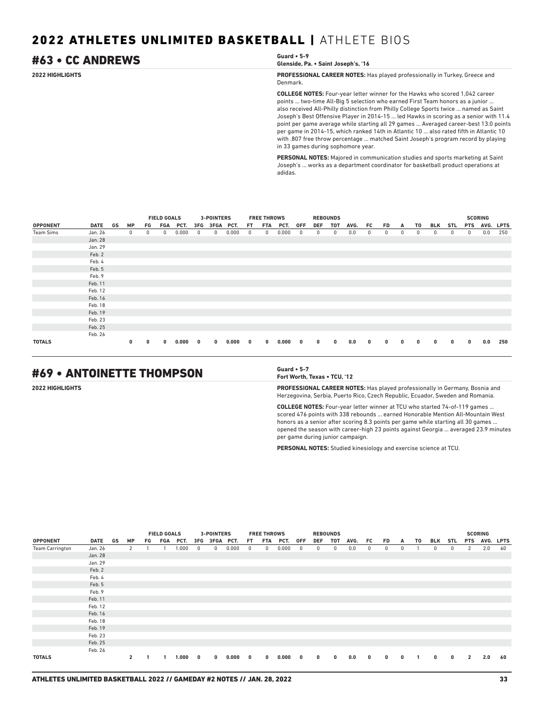## #63 • CC ANDREWS **Guard • 5-9**

```
Glenside, Pa. • Saint Joseph's, '16
```
**2022 HIGHLIGHTS PROFESSIONAL CAREER NOTES:** Has played professionally in Turkey, Greece and Denmark.

> **COLLEGE NOTES:** Four-year letter winner for the Hawks who scored 1,042 career points ... two-time All-Big 5 selection who earned First Team honors as a junior ... also received All-Philly distinction from Philly College Sports twice ... named as Saint Joseph's Best Offensive Player in 2014-15 ... led Hawks in scoring as a senior with 11.4 point per game average while starting all 29 games ... Averaged career-best 13.0 points per game in 2014-15, which ranked 14th in Atlantic 10 ... also rated fifth in Atlantic 10 with .807 free throw percentage ... matched Saint Joseph's program record by playing in 33 games during sophomore year.

**PERSONAL NOTES:** Majored in communication studies and sports marketing at Saint Joseph's ... works as a department coordinator for basketball product operations at adidas.

|                  |             |    |           |    | <b>FIELD GOALS</b> |       |     | <b>3-POINTERS</b> |       |     | <b>FREE THROWS</b> |       |            | <b>REBOUNDS</b> |     |      |    |    |              |    |            |            |            | <b>SCORING</b> |             |
|------------------|-------------|----|-----------|----|--------------------|-------|-----|-------------------|-------|-----|--------------------|-------|------------|-----------------|-----|------|----|----|--------------|----|------------|------------|------------|----------------|-------------|
| <b>OPPONENT</b>  | <b>DATE</b> | GS | <b>MP</b> | FG | FGA                | PCT.  | 3FG | 3FGA              | PCT.  | FT. | <b>FTA</b>         | PCT.  | <b>OFF</b> | <b>DEF</b>      | TOT | AVG. | FC | FD | A            | T0 | <b>BLK</b> | <b>STL</b> | <b>PTS</b> | AVG.           | <b>LPTS</b> |
| <b>Team Sims</b> | Jan. 26     |    | 0         | 0  | 0                  | 0.000 | 0   | 0                 | 0.000 | 0   | 0                  | 0.000 | 0          | 0               | 0   | 0.0  | 0  | 0  | $\mathbf{0}$ | 0  | 0          | 0          | 0          | 0.0            | 250         |
|                  | Jan. 28     |    |           |    |                    |       |     |                   |       |     |                    |       |            |                 |     |      |    |    |              |    |            |            |            |                |             |
|                  | Jan. 29     |    |           |    |                    |       |     |                   |       |     |                    |       |            |                 |     |      |    |    |              |    |            |            |            |                |             |
|                  | Feb. 2      |    |           |    |                    |       |     |                   |       |     |                    |       |            |                 |     |      |    |    |              |    |            |            |            |                |             |
|                  | Feb. 4      |    |           |    |                    |       |     |                   |       |     |                    |       |            |                 |     |      |    |    |              |    |            |            |            |                |             |
|                  | Feb. 5      |    |           |    |                    |       |     |                   |       |     |                    |       |            |                 |     |      |    |    |              |    |            |            |            |                |             |
|                  | Feb. 9      |    |           |    |                    |       |     |                   |       |     |                    |       |            |                 |     |      |    |    |              |    |            |            |            |                |             |
|                  | Feb. 11     |    |           |    |                    |       |     |                   |       |     |                    |       |            |                 |     |      |    |    |              |    |            |            |            |                |             |
|                  | Feb. 12     |    |           |    |                    |       |     |                   |       |     |                    |       |            |                 |     |      |    |    |              |    |            |            |            |                |             |
|                  | Feb. 16     |    |           |    |                    |       |     |                   |       |     |                    |       |            |                 |     |      |    |    |              |    |            |            |            |                |             |
|                  | Feb. 18     |    |           |    |                    |       |     |                   |       |     |                    |       |            |                 |     |      |    |    |              |    |            |            |            |                |             |
|                  | Feb. 19     |    |           |    |                    |       |     |                   |       |     |                    |       |            |                 |     |      |    |    |              |    |            |            |            |                |             |
|                  | Feb. 23     |    |           |    |                    |       |     |                   |       |     |                    |       |            |                 |     |      |    |    |              |    |            |            |            |                |             |
|                  | Feb. 25     |    |           |    |                    |       |     |                   |       |     |                    |       |            |                 |     |      |    |    |              |    |            |            |            |                |             |
|                  | Feb. 26     |    |           |    |                    |       |     |                   |       |     |                    |       |            |                 |     |      |    |    |              |    |            |            |            |                |             |
| <b>TOTALS</b>    |             |    | 0         | 0  | $\mathbf{0}$       | 0.000 | 0   | $\bf{0}$          | 0.000 | 0   | $\mathbf{0}$       | 0.000 | 0          | 0               | 0   | 0.0  | 0  | 0  | 0            | 0  | 0          | 0          | $\bf{0}$   | 0.0            | 250         |

## #69 • ANTOINETTE THOMPSON **Guard • 5-7**

**Fort Worth, Texas • TCU, '12**

**2022 HIGHLIGHTS PROFESSIONAL CAREER NOTES:** Has played professionally in Germany, Bosnia and Herzegovina, Serbia, Puerto Rico, Czech Republic, Ecuador, Sweden and Romania.

> **COLLEGE NOTES:** Four-year letter winner at TCU who started 74-of-119 games ... scored 476 points with 338 rebounds ... earned Honorable Mention All-Mountain West honors as a senior after scoring 8.3 points per game while starting all 30 games ... opened the season with career-high 23 points against Georgia ... averaged 23.9 minutes per game during junior campaign.

**PERSONAL NOTES:** Studied kinesiology and exercise science at TCU.

|                        |             |    |                |    | <b>FIELD GOALS</b> |       |              | <b>3-POINTERS</b> |       |              | <b>FREE THROWS</b> |       |            | <b>REBOUNDS</b> |              |      |          |              |              |    |              |          |                | <b>SCORING</b> |    |
|------------------------|-------------|----|----------------|----|--------------------|-------|--------------|-------------------|-------|--------------|--------------------|-------|------------|-----------------|--------------|------|----------|--------------|--------------|----|--------------|----------|----------------|----------------|----|
| <b>OPPONENT</b>        | <b>DATE</b> | GS | <b>MP</b>      | FG | FGA                | PCT.  | 3FG          | 3FGA PCT.         |       | FT.          | FTA                | PCT.  | 0FF        | DEF             | <b>TOT</b>   | AVG. | FC       | FD           | A            | T0 | BLK          | STL      | <b>PTS</b>     | AVG. LPTS      |    |
| <b>Team Carrington</b> | Jan. 26     |    | $\overline{2}$ |    |                    | 1.000 | $^{\circ}$   | 0                 | 0.000 | $\mathbf{0}$ | 0                  | 0.000 | $^{\circ}$ | 0               | $\mathbf{0}$ | 0.0  | 0        | $\mathbf{0}$ | 0            |    | $\mathbf{0}$ | 0        | 2              | 2.0            | 60 |
|                        | Jan. 28     |    |                |    |                    |       |              |                   |       |              |                    |       |            |                 |              |      |          |              |              |    |              |          |                |                |    |
|                        | Jan. 29     |    |                |    |                    |       |              |                   |       |              |                    |       |            |                 |              |      |          |              |              |    |              |          |                |                |    |
|                        | Feb. 2      |    |                |    |                    |       |              |                   |       |              |                    |       |            |                 |              |      |          |              |              |    |              |          |                |                |    |
|                        | Feb. 4      |    |                |    |                    |       |              |                   |       |              |                    |       |            |                 |              |      |          |              |              |    |              |          |                |                |    |
|                        | Feb. 5      |    |                |    |                    |       |              |                   |       |              |                    |       |            |                 |              |      |          |              |              |    |              |          |                |                |    |
|                        | Feb. 9      |    |                |    |                    |       |              |                   |       |              |                    |       |            |                 |              |      |          |              |              |    |              |          |                |                |    |
|                        | Feb. 11     |    |                |    |                    |       |              |                   |       |              |                    |       |            |                 |              |      |          |              |              |    |              |          |                |                |    |
|                        | Feb. 12     |    |                |    |                    |       |              |                   |       |              |                    |       |            |                 |              |      |          |              |              |    |              |          |                |                |    |
|                        | Feb. 16     |    |                |    |                    |       |              |                   |       |              |                    |       |            |                 |              |      |          |              |              |    |              |          |                |                |    |
|                        | Feb. 18     |    |                |    |                    |       |              |                   |       |              |                    |       |            |                 |              |      |          |              |              |    |              |          |                |                |    |
|                        | Feb. 19     |    |                |    |                    |       |              |                   |       |              |                    |       |            |                 |              |      |          |              |              |    |              |          |                |                |    |
|                        | Feb. 23     |    |                |    |                    |       |              |                   |       |              |                    |       |            |                 |              |      |          |              |              |    |              |          |                |                |    |
|                        | Feb. 25     |    |                |    |                    |       |              |                   |       |              |                    |       |            |                 |              |      |          |              |              |    |              |          |                |                |    |
|                        | Feb. 26     |    |                |    |                    |       |              |                   |       |              |                    |       |            |                 |              |      |          |              |              |    |              |          |                |                |    |
| <b>TOTALS</b>          |             |    | $\mathbf{2}$   |    |                    | 1.000 | $\mathbf{0}$ | $\mathbf{0}$      | 0.000 | 0            | $\mathbf{0}$       | 0.000 | 0          | $\bf{0}$        | $\bf{0}$     | 0.0  | $\bf{0}$ | $^{\circ}$   | $\mathbf{0}$ |    | $\mathbf 0$  | $\bf{0}$ | $\overline{2}$ | 2.0            | 60 |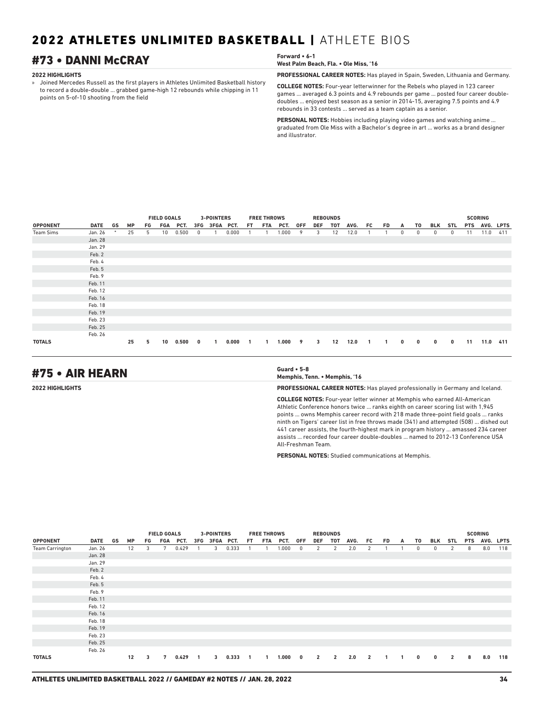## #73 • DANNI McCRAY **Forward • 6-1**

#### **2022 HIGHLIGHTS**

» Joined Mercedes Russell as the first players in Athletes Unlimited Basketball history to record a double-double ... grabbed game-high 12 rebounds while chipping in 11 points on 5-of-10 shooting from the field

| Forward • 6-1<br>West Palm Beach, Fla. • Ole Miss. '16 |
|--------------------------------------------------------|
|                                                        |

**PROFESSIONAL CAREER NOTES:** Has played in Spain, Sweden, Lithuania and Germany.

**COLLEGE NOTES:** Four-year letterwinner for the Rebels who played in 123 career games ... averaged 6.3 points and 4.9 rebounds per game ... posted four career doubledoubles ... enjoyed best season as a senior in 2014-15, averaging 7.5 points and 4.9 rebounds in 33 contests ... served as a team captain as a senior.

**PERSONAL NOTES:** Hobbies including playing video games and watching anime ... graduated from Ole Miss with a Bachelor's degree in art ... works as a brand designer and illustrator.

|                 |         |    |           |    | <b>FIELD GOALS</b> |       | <b>3-POINTERS</b><br><b>FREE THROWS</b><br><b>REBOUNDS</b><br>3FG 3FGA PCT. |   |       |     |     |           |     |                         |     |      |                |              |   |              | <b>SCORING</b> |            |            |           |     |
|-----------------|---------|----|-----------|----|--------------------|-------|-----------------------------------------------------------------------------|---|-------|-----|-----|-----------|-----|-------------------------|-----|------|----------------|--------------|---|--------------|----------------|------------|------------|-----------|-----|
| <b>OPPONENT</b> | DATE    | GS | <b>MP</b> | FG | FGA                | PCT.  |                                                                             |   |       | FT. | FTA | PCT.      | 0FF | DEF                     | TOT | AVG. | FC             | FD           | A | T0           | BLK            | STL        | <b>PTS</b> | AVG. LPTS |     |
| Team Sims       | Jan. 26 |    | 25        | 5  | 10 <sup>1</sup>    | 0.500 | $\mathbf{0}$                                                                |   | 0.000 |     |     | 1.000     | 9   | 3                       | 12  | 12.0 |                |              | 0 | 0            | $\mathbf{0}$   | $^{\circ}$ | 11         | 11.0      | 411 |
|                 | Jan. 28 |    |           |    |                    |       |                                                                             |   |       |     |     |           |     |                         |     |      |                |              |   |              |                |            |            |           |     |
|                 | Jan. 29 |    |           |    |                    |       |                                                                             |   |       |     |     |           |     |                         |     |      |                |              |   |              |                |            |            |           |     |
|                 | Feb. 2  |    |           |    |                    |       |                                                                             |   |       |     |     |           |     |                         |     |      |                |              |   |              |                |            |            |           |     |
|                 | Feb. 4  |    |           |    |                    |       |                                                                             |   |       |     |     |           |     |                         |     |      |                |              |   |              |                |            |            |           |     |
|                 | Feb. 5  |    |           |    |                    |       |                                                                             |   |       |     |     |           |     |                         |     |      |                |              |   |              |                |            |            |           |     |
|                 | Feb. 9  |    |           |    |                    |       |                                                                             |   |       |     |     |           |     |                         |     |      |                |              |   |              |                |            |            |           |     |
|                 | Feb. 11 |    |           |    |                    |       |                                                                             |   |       |     |     |           |     |                         |     |      |                |              |   |              |                |            |            |           |     |
|                 | Feb. 12 |    |           |    |                    |       |                                                                             |   |       |     |     |           |     |                         |     |      |                |              |   |              |                |            |            |           |     |
|                 | Feb. 16 |    |           |    |                    |       |                                                                             |   |       |     |     |           |     |                         |     |      |                |              |   |              |                |            |            |           |     |
|                 | Feb. 18 |    |           |    |                    |       |                                                                             |   |       |     |     |           |     |                         |     |      |                |              |   |              |                |            |            |           |     |
|                 | Feb. 19 |    |           |    |                    |       |                                                                             |   |       |     |     |           |     |                         |     |      |                |              |   |              |                |            |            |           |     |
|                 | Feb. 23 |    |           |    |                    |       |                                                                             |   |       |     |     |           |     |                         |     |      |                |              |   |              |                |            |            |           |     |
|                 | Feb. 25 |    |           |    |                    |       |                                                                             |   |       |     |     |           |     |                         |     |      |                |              |   |              |                |            |            |           |     |
|                 | Feb. 26 |    |           |    |                    |       |                                                                             |   |       |     |     |           |     |                         |     |      |                |              |   |              |                |            |            |           |     |
| <b>TOTALS</b>   |         |    | 25        | 5  | 10                 | 0.500 | $\mathbf{0}$                                                                | 1 | 0.000 |     | 1   | $1.000$ 9 |     | $\overline{\mathbf{3}}$ | 12  | 12.0 | $\overline{1}$ | $\mathbf{1}$ | 0 | $\mathbf{0}$ | $\mathbf{0}$   | 0          | 11         | 11.0      | 411 |

## #75 • AIR HEARN **Guard • 5-8**

**Memphis, Tenn. • Memphis, '16**

**2022 HIGHLIGHTS PROFESSIONAL CAREER NOTES:** Has played professionally in Germany and Iceland.

**COLLEGE NOTES:** Four-year letter winner at Memphis who earned All-American Athletic Conference honors twice ... ranks eighth on career scoring list with 1,945 points ... owns Memphis career record with 218 made three-point field goals ... ranks ninth on Tigers' career list in free throws made (341) and attempted (508) ... dished out 441 career assists, the fourth-highest mark in program history ... amassed 234 career assists ... recorded four career double-doubles ... named to 2012-13 Conference USA All-Freshman Team.

**PERSONAL NOTES:** Studied communications at Memphis.

|                        |             |    |    |    | <b>FIELD GOALS</b> |       |                | 3-POINTERS |       |     | <b>FREE THROWS</b> |         |            | <b>REBOUNDS</b> |                |      |                |    |   |              |              |                |            | <b>SCORING</b> |           |
|------------------------|-------------|----|----|----|--------------------|-------|----------------|------------|-------|-----|--------------------|---------|------------|-----------------|----------------|------|----------------|----|---|--------------|--------------|----------------|------------|----------------|-----------|
| <b>OPPONENT</b>        | <b>DATE</b> | GS | MP | FG | FGA                | PCT.  | 3FG            | 3FGA PCT.  |       | FT. | FTA                | PCT.    | 0FF        | DEF             | TOT            | AVG. | FC             | FD | A | T0           | BLK          | STL            | <b>PTS</b> |                | AVG. LPTS |
| <b>Team Carrington</b> | Jan. 26     |    | 12 | 3  | 7                  | 0.429 |                | 3          | 0.333 |     |                    | 1.000   | $^{\circ}$ | 2               | 2              | 2.0  | 2              |    |   | 0            | $\mathbf{0}$ | 2              | 8          | 8.0            | 118       |
|                        | Jan. 28     |    |    |    |                    |       |                |            |       |     |                    |         |            |                 |                |      |                |    |   |              |              |                |            |                |           |
|                        | Jan. 29     |    |    |    |                    |       |                |            |       |     |                    |         |            |                 |                |      |                |    |   |              |              |                |            |                |           |
|                        | Feb. 2      |    |    |    |                    |       |                |            |       |     |                    |         |            |                 |                |      |                |    |   |              |              |                |            |                |           |
|                        | Feb. 4      |    |    |    |                    |       |                |            |       |     |                    |         |            |                 |                |      |                |    |   |              |              |                |            |                |           |
|                        | Feb. 5      |    |    |    |                    |       |                |            |       |     |                    |         |            |                 |                |      |                |    |   |              |              |                |            |                |           |
|                        | Feb. 9      |    |    |    |                    |       |                |            |       |     |                    |         |            |                 |                |      |                |    |   |              |              |                |            |                |           |
|                        | Feb. 11     |    |    |    |                    |       |                |            |       |     |                    |         |            |                 |                |      |                |    |   |              |              |                |            |                |           |
|                        | Feb. 12     |    |    |    |                    |       |                |            |       |     |                    |         |            |                 |                |      |                |    |   |              |              |                |            |                |           |
|                        | Feb. 16     |    |    |    |                    |       |                |            |       |     |                    |         |            |                 |                |      |                |    |   |              |              |                |            |                |           |
|                        | Feb. 18     |    |    |    |                    |       |                |            |       |     |                    |         |            |                 |                |      |                |    |   |              |              |                |            |                |           |
|                        | Feb. 19     |    |    |    |                    |       |                |            |       |     |                    |         |            |                 |                |      |                |    |   |              |              |                |            |                |           |
|                        | Feb. 23     |    |    |    |                    |       |                |            |       |     |                    |         |            |                 |                |      |                |    |   |              |              |                |            |                |           |
|                        | Feb. 25     |    |    |    |                    |       |                |            |       |     |                    |         |            |                 |                |      |                |    |   |              |              |                |            |                |           |
|                        | Feb. 26     |    |    |    |                    |       |                |            |       |     |                    |         |            |                 |                |      |                |    |   |              |              |                |            |                |           |
| <b>TOTALS</b>          |             |    | 12 | 3  | 7                  | 0.429 | $\blacksquare$ | 3          | 0.333 |     | $\mathbf{1}$       | 1.00000 |            | $\overline{2}$  | $\overline{2}$ | 2.0  | $\overline{2}$ |    |   | $\mathbf{0}$ | 0            | $\overline{2}$ | 8          | 8.0            | 118       |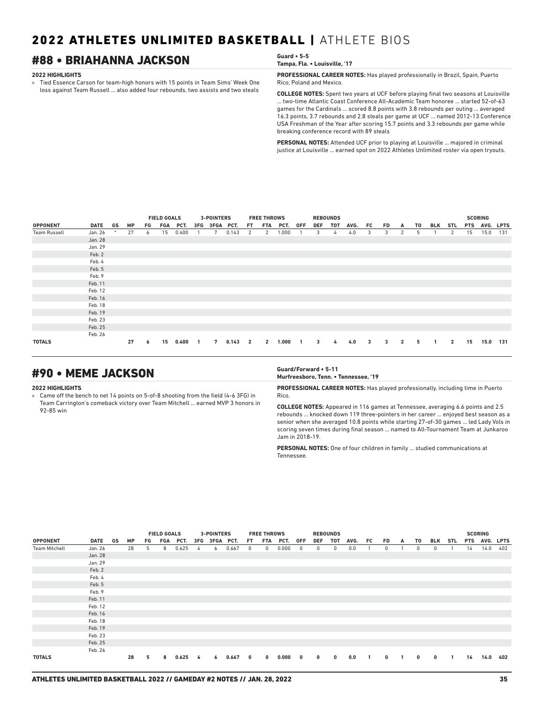## #88 • BRIAHANNA JACKSON **Guard • 5-5**

#### **2022 HIGHLIGHTS**

» Tied Essence Carson for team-high honors with 15 points in Team Sims' Week One loss against Team Russell ... also added four rebounds, two assists and two steals

**Tampa, Fla. • Louisville, '17**

**PROFESSIONAL CAREER NOTES:** Has played professionally in Brazil, Spain, Puerto Rico, Poland and Mexico.

**COLLEGE NOTES:** Spent two years at UCF before playing final two seasons at Louisville ... two-time Atlantic Coast Conference All-Academic Team honoree ... started 52-of-63 games for the Cardinals ... scored 8.8 points with 3.8 rebounds per outing ... averaged 16.3 points, 3.7 rebounds and 2.8 steals per game at UCF ... named 2012-13 Conference USA Freshman of the Year after scoring 15.7 points and 3.3 rebounds per game while breaking conference record with 89 steals

**PERSONAL NOTES:** Attended UCF prior to playing at Louisville ... majored in criminal justice at Louisville ... earned spot on 2022 Athletes Unlimited roster via open tryouts.

|                     |             |    |           | <b>FIELD GOALS</b> |     |       | <b>3-POINTERS</b> |               |       | <b>FREE THROWS</b>      |                |       | <b>REBOUNDS</b> |     |     |      |    |                         |                |    |              |                | <b>SCORING</b> |           |     |
|---------------------|-------------|----|-----------|--------------------|-----|-------|-------------------|---------------|-------|-------------------------|----------------|-------|-----------------|-----|-----|------|----|-------------------------|----------------|----|--------------|----------------|----------------|-----------|-----|
| <b>OPPONENT</b>     | <b>DATE</b> | GS | <b>MP</b> | FG                 | FGA | PCT.  |                   | 3FG 3FGA PCT. |       | FT.                     | FTA            | PCT.  | 0FF             | DEF | TOT | AVG. | FC | FD                      | A              | T0 | BLK          | <b>STL</b>     | <b>PTS</b>     | AVG. LPTS |     |
| <b>Team Russell</b> | Jan. 26     |    | 27        | 6                  | 15  | 0.400 |                   | 7             | 0.143 | 2                       | 2              | 1.000 |                 | 3   | 4   | 4.0  | 3  | 3                       | 2              | 5  |              | 2              | 15             | 15.0      | 131 |
|                     | Jan. 28     |    |           |                    |     |       |                   |               |       |                         |                |       |                 |     |     |      |    |                         |                |    |              |                |                |           |     |
|                     | Jan. 29     |    |           |                    |     |       |                   |               |       |                         |                |       |                 |     |     |      |    |                         |                |    |              |                |                |           |     |
|                     | Feb. 2      |    |           |                    |     |       |                   |               |       |                         |                |       |                 |     |     |      |    |                         |                |    |              |                |                |           |     |
|                     | Feb. 4      |    |           |                    |     |       |                   |               |       |                         |                |       |                 |     |     |      |    |                         |                |    |              |                |                |           |     |
|                     | Feb. 5      |    |           |                    |     |       |                   |               |       |                         |                |       |                 |     |     |      |    |                         |                |    |              |                |                |           |     |
|                     | Feb. 9      |    |           |                    |     |       |                   |               |       |                         |                |       |                 |     |     |      |    |                         |                |    |              |                |                |           |     |
|                     | Feb. 11     |    |           |                    |     |       |                   |               |       |                         |                |       |                 |     |     |      |    |                         |                |    |              |                |                |           |     |
|                     | Feb. 12     |    |           |                    |     |       |                   |               |       |                         |                |       |                 |     |     |      |    |                         |                |    |              |                |                |           |     |
|                     | Feb. 16     |    |           |                    |     |       |                   |               |       |                         |                |       |                 |     |     |      |    |                         |                |    |              |                |                |           |     |
|                     | Feb. 18     |    |           |                    |     |       |                   |               |       |                         |                |       |                 |     |     |      |    |                         |                |    |              |                |                |           |     |
|                     | Feb. 19     |    |           |                    |     |       |                   |               |       |                         |                |       |                 |     |     |      |    |                         |                |    |              |                |                |           |     |
|                     | Feb. 23     |    |           |                    |     |       |                   |               |       |                         |                |       |                 |     |     |      |    |                         |                |    |              |                |                |           |     |
|                     | Feb. 25     |    |           |                    |     |       |                   |               |       |                         |                |       |                 |     |     |      |    |                         |                |    |              |                |                |           |     |
|                     | Feb. 26     |    |           |                    |     |       |                   |               |       |                         |                |       |                 |     |     |      |    |                         |                |    |              |                |                |           |     |
| <b>TOTALS</b>       |             |    | 27        | 6                  | 15  | 0.400 | $\overline{1}$    | 7             | 0.143 | $\overline{\mathbf{2}}$ | $\overline{2}$ | 1.000 | $\blacksquare$  | 3   | 4   | 4.0  | 3  | $\overline{\mathbf{3}}$ | $\overline{2}$ | 5  | $\mathbf{1}$ | $\overline{2}$ | 15             | 15.0      | 131 |

## #90 • MEME JACKSON **Guard/Forward • 5-11**

#### **2022 HIGHLIGHTS**

» Came off the bench to net 14 points on 5-of-8 shooting from the field (4-6 3FG) in Team Carrington's comeback victory over Team Mitchell ... earned MVP 3 honors in 92-85 win

## **Murfreesboro, Tenn. • Tennessee, '19**

**PROFESSIONAL CAREER NOTES:** Has played professionally, including time in Puerto Rico.

**COLLEGE NOTES:** Appeared in 116 games at Tennessee, averaging 6.6 points and 2.5 rebounds ... knocked down 119 three-pointers in her career ... enjoyed best season as a senior when she averaged 10.8 points while starting 27-of-30 games ... led Lady Vols in scoring seven times during final season ... named to All-Tournament Team at Junkaroo Jam in 2018-19.

**PERSONAL NOTES:** One of four children in family ... studied communications at Tennessee.

|                      | <b>FIELD GOALS</b><br><b>3-POINTERS</b><br><b>FREE THROWS</b> |    |           |    |       |       |              |           |          | <b>REBOUNDS</b> |          |       |             |            |     |              |              |              | <b>SCORING</b> |      |            |            |            |           |     |
|----------------------|---------------------------------------------------------------|----|-----------|----|-------|-------|--------------|-----------|----------|-----------------|----------|-------|-------------|------------|-----|--------------|--------------|--------------|----------------|------|------------|------------|------------|-----------|-----|
| <b>OPPONENT</b>      | <b>DATE</b>                                                   | GS | <b>MP</b> | FG | FGA   | PCT.  | 3FG          | 3FGA PCT. |          | FT.             | FTA      | PCT.  | <b>OFF</b>  | <b>DEF</b> | TOT | AVG.         | FC.          | FD.          | A              | T0   | BLK        | <b>STL</b> | <b>PTS</b> | AVG. LPTS |     |
| <b>Team Mitchell</b> | Jan. 26                                                       |    | 28        | 5  | 8     | 0.625 | 4            | 6         | 0.667    | $^{\circ}$      | 0        | 0.000 | $\mathbf 0$ | 0          | 0   | 0.0          |              | 0            |                | 0    | $^{\circ}$ |            | 14         | 14.0      | 402 |
|                      | Jan. 28                                                       |    |           |    |       |       |              |           |          |                 |          |       |             |            |     |              |              |              |                |      |            |            |            |           |     |
|                      | Jan. 29                                                       |    |           |    |       |       |              |           |          |                 |          |       |             |            |     |              |              |              |                |      |            |            |            |           |     |
|                      | Feb. 2                                                        |    |           |    |       |       |              |           |          |                 |          |       |             |            |     |              |              |              |                |      |            |            |            |           |     |
|                      | Feb. 4                                                        |    |           |    |       |       |              |           |          |                 |          |       |             |            |     |              |              |              |                |      |            |            |            |           |     |
|                      | Feb. 5                                                        |    |           |    |       |       |              |           |          |                 |          |       |             |            |     |              |              |              |                |      |            |            |            |           |     |
|                      | Feb. 9                                                        |    |           |    |       |       |              |           |          |                 |          |       |             |            |     |              |              |              |                |      |            |            |            |           |     |
|                      | Feb. 11                                                       |    |           |    |       |       |              |           |          |                 |          |       |             |            |     |              |              |              |                |      |            |            |            |           |     |
|                      | Feb. 12                                                       |    |           |    |       |       |              |           |          |                 |          |       |             |            |     |              |              |              |                |      |            |            |            |           |     |
|                      | Feb. 16                                                       |    |           |    |       |       |              |           |          |                 |          |       |             |            |     |              |              |              |                |      |            |            |            |           |     |
|                      | Feb. 18                                                       |    |           |    |       |       |              |           |          |                 |          |       |             |            |     |              |              |              |                |      |            |            |            |           |     |
|                      | Feb. 19                                                       |    |           |    |       |       |              |           |          |                 |          |       |             |            |     |              |              |              |                |      |            |            |            |           |     |
|                      | Feb. 23                                                       |    |           |    |       |       |              |           |          |                 |          |       |             |            |     |              |              |              |                |      |            |            |            |           |     |
|                      | Feb. 25                                                       |    |           |    |       |       |              |           |          |                 |          |       |             |            |     |              |              |              |                |      |            |            |            |           |     |
|                      | Feb. 26                                                       |    |           |    |       |       |              |           |          |                 |          |       |             |            |     |              |              |              |                |      |            |            |            |           |     |
| <b>TOTALS</b>        | 28<br>5<br>8<br>0.625<br>6<br>4                               |    |           |    | 0.667 | 0     | $\mathbf{0}$ | 0.000     | $\bf{0}$ | $\bf{0}$        | $\bf{0}$ | 0.0   | 1           | $\bf{0}$   |     | $\mathbf{0}$ | $\mathbf{0}$ | $\mathbf{1}$ | 14             | 14.0 | 402        |            |            |           |     |